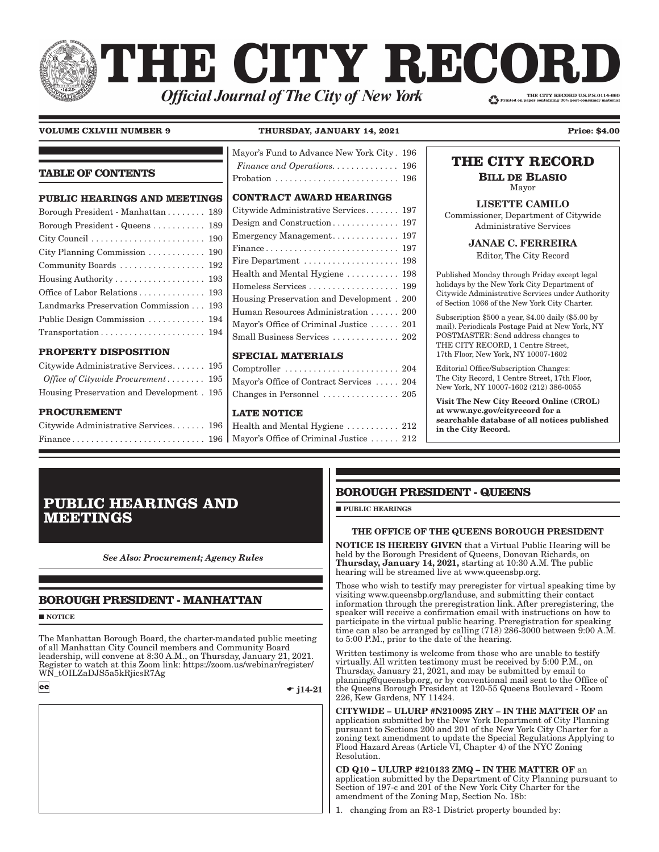# THE CITY RECORI THE CITY RECORD U.S.P.S.0114-660 **Official Journal of The City of New York**

**TABLE OF CONTENTS**

### **VOLUME CXLVIII NUMBER 9 THURSDAY, JANUARY 14, 2021 Price: \$4.00**

[Mayor's Fund to Advance New York City . 196](#page-7-0) *Finance and Operations.*  $\dots \dots \dots \dots$  196

**PUBLIC HEARINGS AND MEETINGS** Borough President - Manhattan . . . . . . . . 189 Borough President - Queens . . . . . . . . . . . 189 [City Council . . . . . . . . . . . . . . . . . . . . . . . . 190](#page-1-0) [City Planning Commission . . . . . . . . . . . . 190](#page-1-0) [Community Boards . . . . . . . . . . . . . . . . . . 192](#page-3-0) [Housing Authority . . . . . . . . . . . . . . . . . . . 193](#page-4-0) [Office of Labor Relations . . . . . . . . . . . . . . 193](#page-4-0) [Landmarks Preservation Commission . . . 193](#page-4-0) [Public Design Commission . . . . . . . . . . . . 194](#page-5-0) [Transportation . . . . . . . . . . . . . . . . . . . . . . 194](#page-5-0) **[PROPERTY DISPOSITION](#page-6-0)** [Citywide Administrative Services . . . . . . . 195](#page-6-0) *[Office of Citywide Procurement](#page-6-0) � � � � � � � �* 195 [Housing Preservation and Development . 195](#page-6-0) **[PROCUREMENT](#page-7-0) [CONTRACT AWARD HEARINGS](#page-8-0)** [Citywide Administrative Services . . . . . . . 197](#page-8-0) [Design and Construction . . . . . . . . . . . . . . 197](#page-8-0) [Emergency Management . . . . . . . . . . . . . . 197](#page-8-0) [Finance . . . . . . . . . . . . . . . . . . . . . . . . . . . . 197](#page-8-0) [Fire Department . . . . . . . . . . . . . . . . . . . . 198](#page-9-0) [Health and Mental Hygiene . . . . . . . . . . . 198](#page-9-0) [Homeless Services . . . . . . . . . . . . . . . . . . . 199](#page-10-0) [Housing Preservation and Development . 200](#page-11-0) [Human Resources Administration . . . . . . 200](#page-11-0) [Mayor's Office of Criminal Justice . . . . . . 201](#page-12-0) [Small Business Services . . . . . . . . . . . . . . 202](#page-13-0) **[SPECIAL MATERIALS](#page-15-0)** [Comptroller . . . . . . . . . . . . . . . . . . . . . . . . 204](#page-15-0) [Mayor's Office of Contract Services . . . . . 204](#page-15-0) [Changes in Personnel . . . . . . . . . . . . . . . . 205](#page-16-0) **[LATE NOTICE](#page-23-0)**

| Citywide Administrative Services 196 |  |
|--------------------------------------|--|
|                                      |  |

| Probation  196                                                  |  |
|-----------------------------------------------------------------|--|
| <b>CONTRACT AWARD HEARINGS</b>                                  |  |
| Citywide Administrative Services 197                            |  |
|                                                                 |  |
| Emergency Management 197                                        |  |
|                                                                 |  |
| Fire Department $\ldots \ldots \ldots \ldots \ldots \ldots$ 198 |  |
| Health and Mental Hygiene  198                                  |  |
| Homeless Services  199                                          |  |
| Housing Preservation and Development. 200                       |  |
| Human Resources Administration  200                             |  |
| Mayor's Office of Criminal Justice  201                         |  |

[Health and Mental Hygiene . . . . . . . . . . . 212](#page-23-0) [Mayor's Office of Criminal Justice . . . . . . 212](#page-23-0)

# **THE CITY RECORD**

**BILL DE BLASIO** Mayor

## LISETTE CAMILO

Commissioner, Department of Citywide Administrative Services

JANAE C. FERREIRA

Editor, The City Record

Published Monday through Friday except legal holidays by the New York City Department of Citywide Administrative Services under Authority of Section 1066 of the New York City Charter.

Subscription \$500 a year, \$4.00 daily (\$5.00 by mail). Periodicals Postage Paid at New York, NY POSTMASTER: Send address changes to THE CITY RECORD, 1 Centre Street, 17th Floor, New York, NY 10007-1602

Editorial Office/Subscription Changes: The City Record, 1 Centre Street, 17th Floor, New York, NY 10007-1602 (212) 386-0055

Visit The New City Record Online (CROL) at www.nyc.gov/cityrecord for a searchable database of all notices published in the City Record.

# **PUBLIC HEARINGS AND MEETINGS**

*See Also: Procurement; Agency Rules*

# **BOROUGH PRESIDENT - MANHATTAN**

**NOTICE** 

The Manhattan Borough Board, the charter-mandated public meeting of all Manhattan City Council members and Community Board leadership, will convene at 8:30 A.M., on Thursday, January 21, 2021. Register to watch at this Zoom link: https://zoom.us/webinar/register/ WN\_tOILZaDJS5a5kRjicsR7Ag  $cc$ 

 $\bullet$  j14-21

## **BOROUGH PRESIDENT - QUEENS**

**PUBLIC HEARINGS** 

## THE OFFICE OF THE QUEENS BOROUGH PRESIDENT

NOTICE IS HEREBY GIVEN that a Virtual Public Hearing will be held by the Borough President of Queens, Donovan Richards, on Thursday, January 14, 2021, starting at 10:30 A.M. The public hearing will be streamed live at www.queensbp.org.

Those who wish to testify may preregister for virtual speaking time by visiting www.queensbp.org/landuse, and submitting their contact information through the preregistration link. After preregistering, the speaker will receive a confirmation email with instructions on how to participate in the virtual public hearing. Preregistration for speaking time can also be arranged by calling  $(7\bar{1}8)$  286-3000 between  $9:00$  A.M. to 5:00 P.M., prior to the date of the hearing.

Written testimony is welcome from those who are unable to testify virtually. All written testimony must be received by 5:00 P.M., on Thursday, January 21, 2021, and may be submitted by email to planning@queensbp.org, or by conventional mail sent to the Office of the Queens Borough President at 120-55 Queens Boulevard - Room 226, Kew Gardens, NY 11424.

CITYWIDE – ULURP #N210095 ZRY – IN THE MATTER OF an application submitted by the New York Department of City Planning pursuant to Sections 200 and 201 of the New York City Charter for a zoning text amendment to update the Special Regulations Applying to Flood Hazard Areas (Article VI, Chapter 4) of the NYC Zoning Resolution.

CD Q10 – ULURP #210133 ZMQ – IN THE MATTER OF an application submitted by the Department of City Planning pursuant to Section of 197-c and 201 of the New York City Charter for the amendment of the Zoning Map, Section No. 18b:

1. changing from an R3-1 District property bounded by: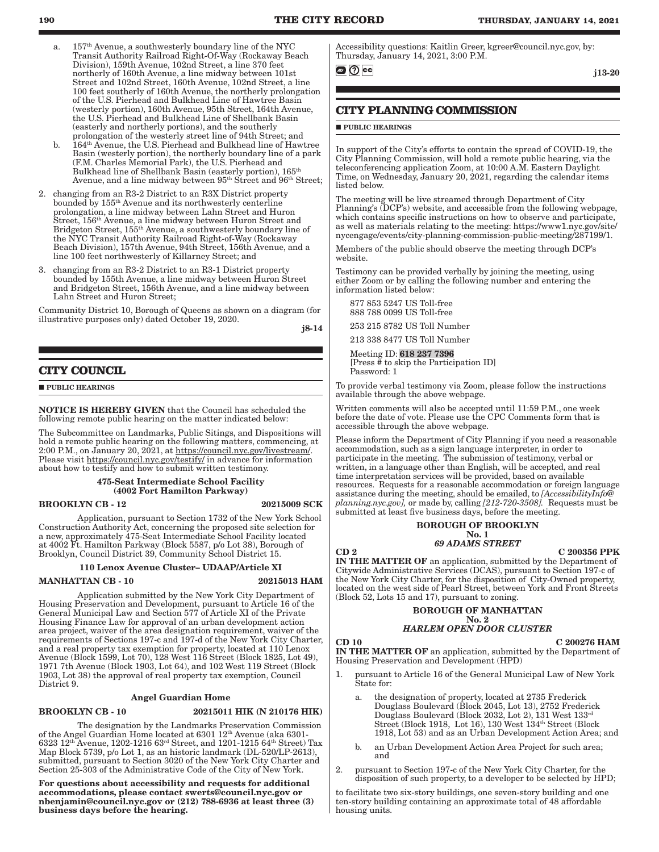- <span id="page-1-0"></span>157<sup>th</sup> Avenue, a southwesterly boundary line of the NYC Transit Authority Railroad Right-Of-Way (Rockaway Beach Division), 159th Avenue, 102nd Street, a line 370 feet northerly of 160th Avenue, a line midway between 101st Street and 102nd Street, 160th Avenue, 102nd Street, a line 100 feet southerly of 160th Avenue, the northerly prolongation of the U.S. Pierhead and Bulkhead Line of Hawtree Basin (westerly portion), 160th Avenue, 95th Street, 164th Avenue, the U.S. Pierhead and Bulkhead Line of Shellbank Basin (easterly and northerly portions), and the southerly prolongation of the westerly street line of 94th Street; and
- b. 164th Avenue, the U.S. Pierhead and Bulkhead line of Hawtree Basin (westerly portion), the northerly boundary line of a park (F.M. Charles Memorial Park), the U.S. Pierhead and Bulkhead line of Shellbank Basin (easterly portion), 165th Avenue, and a line midway between  $95<sup>th</sup> S$ treet and  $96<sup>th</sup> S$ treet;
- 2. changing from an R3-2 District to an R3X District property bounded by 155th Avenue and its northwesterly centerline prolongation, a line midway between Lahn Street and Huron Street, 156th Avenue, a line midway between Huron Street and Bridgeton Street, 155th Avenue, a southwesterly boundary line of the NYC Transit Authority Railroad Right-of-Way (Rockaway Beach Division), 157th Avenue, 94th Street, 156th Avenue, and a line 100 feet northwesterly of Killarney Street; and
- 3. changing from an R3-2 District to an R3-1 District property bounded by 155th Avenue, a line midway between Huron Street and Bridgeton Street, 156th Avenue, and a line midway between Lahn Street and Huron Street;

Community District 10, Borough of Queens as shown on a diagram (for illustrative purposes only) dated October 19, 2020.

j8-14

### **CITY COUNCIL**

**PUBLIC HEARINGS** 

NOTICE IS HEREBY GIVEN that the Council has scheduled the following remote public hearing on the matter indicated below:

The Subcommittee on Landmarks, Public Sitings, and Dispositions will hold a remote public hearing on the following matters, commencing, at 2:00 P.M., on January 20, 2021, at [https://council.nyc.gov/livestream/.](https://council.nyc.gov/livestream/) Please visit <https://council.nyc.gov/testify/> in advance for information about how to testify and how to submit written testimony.

#### 475-Seat Intermediate School Facility (4002 Fort Hamilton Parkway)

#### BROOKLYN CB - 12 20215009 SCK

Application, pursuant to Section 1732 of the New York School Construction Authority Act, concerning the proposed site selection for a new, approximately 475-Seat Intermediate School Facility located at 4002 Ft. Hamilton Parkway (Block 5587, p/o Lot 38), Borough of Brooklyn, Council District 39, Community School District 15.

### 110 Lenox Avenue Cluster– UDAAP/Article XI

#### MANHATTAN CB - 10 20215013 HAM

Application submitted by the New York City Department of Housing Preservation and Development, pursuant to Article 16 of the General Municipal Law and Section 577 of Article XI of the Private Housing Finance Law for approval of an urban development action area project, waiver of the area designation requirement, waiver of the requirements of Sections 197-c and 197-d of the New York City Charter, and a real property tax exemption for property, located at 110 Lenox Avenue (Block 1599, Lot 70), 128 West 116 Street (Block 1825, Lot 49), 1971 7th Avenue (Block 1903, Lot 64), and 102 West 119 Street (Block 1903, Lot 38) the approval of real property tax exemption, Council District 9.

#### Angel Guardian Home

#### BROOKLYN CB - 10 20215011 HIK (N 210176 HIK)

The designation by the Landmarks Preservation Commission of the Angel Guardian Home located at  $6301\ 12^{\text{th}}$  Avenue (aka  $6301$ - $6323\ 12^{\text{th}}$  Avenue,  $1202$ - $1216\ 63^{\text{rd}}$  Street, and  $1201$ - $1215\ 64^{\text{th}}$  Street) Tax Map Block 5739, p/o Lot 1, as an historic landmark (DL-520/LP-2613), submitted, pursuant to Section 3020 of the New York City Charter and Section 25-303 of the Administrative Code of the City of New York.

For questions about accessibility and requests for additional accommodations, please contact [swerts@council.nyc.gov](mailto:swerts@council.nyc.gov) or [nbenjamin@council.nyc.gov](mailto:nbenjamin@council.nyc.gov) or (212) 788-6936 at least three (3) business days before the hearing.

Accessibility questions: Kaitlin Greer, kgreer@council.nyc.gov, by: Thursday, January 14, 2021, 3:00 P.M.

@∥⊘∣cc|

j13-20

## **CITY PLANNING COMMISSION**

#### **PUBLIC HEARINGS**

In support of the City's efforts to contain the spread of COVID-19, the City Planning Commission, will hold a remote public hearing, via the teleconferencing application Zoom, at 10:00 A.M. Eastern Daylight Time, on Wednesday, January 20, 2021, regarding the calendar items listed below.

The meeting will be live streamed through Department of City Planning's (DCP's) website, and accessible from the following webpage, which contains specific instructions on how to observe and participate, as well as materials relating to the meeting: https://www1.nyc.gov/site/ nycengage/events/city-planning-commission-public-meeting/287199/1.

Members of the public should observe the meeting through DCP's website.

Testimony can be provided verbally by joining the meeting, using either Zoom or by calling the following number and entering the information listed below:

 877 853 5247 US Toll-free 888 788 0099 US Toll-free

253 215 8782 US Toll Number

213 338 8477 US Toll Number

 Meeting ID: 618 237 7396 [Press  $\frac{3}{4}$  to skip the Participation ID] Password: 1

To provide verbal testimony via Zoom, please follow the instructions available through the above webpage.

Written comments will also be accepted until 11:59 P.M., one week before the date of vote. Please use the CPC Comments form that is accessible through the above webpage.

Please inform the Department of City Planning if you need a reasonable accommodation, such as a sign language interpreter, in order to participate in the meeting. The submission of testimony, verbal or written, in a language other than English, will be accepted, and real time interpretation services will be provided, based on available resources. Requests for a reasonable accommodation or foreign language assistance during the meeting, should be emailed, to *[AccessibilityInfo@ planning.nyc.gov],* or made by, calling *[212-720-3508].* Requests must be submitted at least five business days, before the meeting.

#### BOROUGH OF BROOKLYN No. 1

## *69 ADAMS STREET*

CD 2 C 200356 PPK IN THE MATTER OF an application, submitted by the Department of Citywide Administrative Services (DCAS), pursuant to Section 197-c of the New York City Charter, for the disposition of City-Owned property, located on the west side of Pearl Street, between York and Front Streets (Block 52, Lots 15 and 17), pursuant to zoning.

#### BOROUGH OF MANHATTAN No. 2

### *HARLEM OPEN DOOR CLUSTER*

 $CD 10$  C 200276 HAM IN THE MATTER OF an application, submitted by the Department of Housing Preservation and Development (HPD)

- 1. pursuant to Article 16 of the General Municipal Law of New York State for:
	- the designation of property, located at 2735 Frederick Douglass Boulevard (Block 2045, Lot 13), 2752 Frederick Douglass Boulevard (Block 2032, Lot 2), 131 West 133rd Street (Block 1918, Lot 16), 130 West 134<sup>th</sup> Street (Block 1918, Lot 53) and as an Urban Development Action Area; and
	- b. an Urban Development Action Area Project for such area; and
- 2. pursuant to Section 197-c of the New York City Charter, for the disposition of such property, to a developer to be selected by HPD;

to facilitate two six-story buildings, one seven-story building and one ten-story building containing an approximate total of 48 affordable housing units.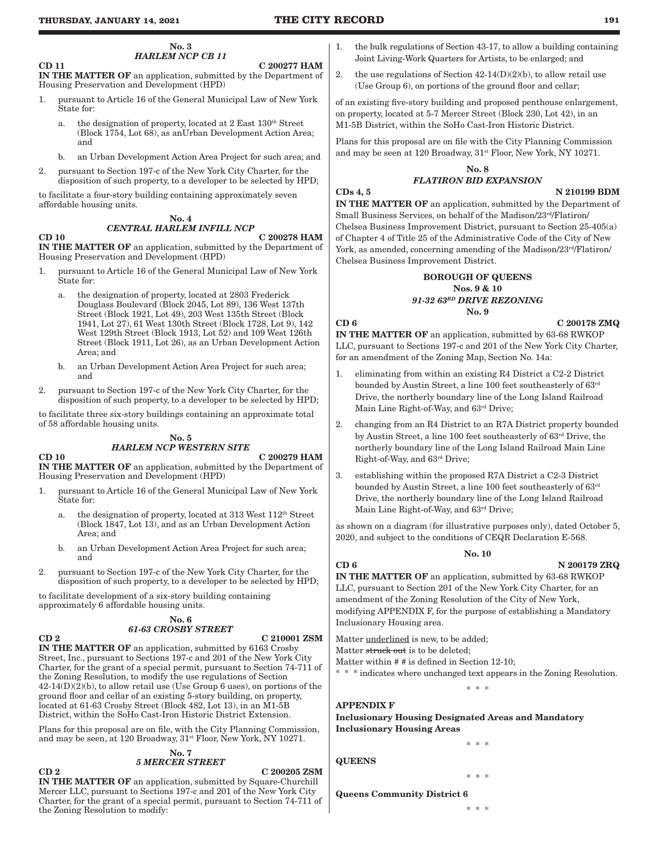No. 3 *HARLEM NCP CB 11*

 $CD 11$   $C 200277$  HAM IN THE MATTER OF an application, submitted by the Department of Housing Preservation and Development (HPD)

- 1. pursuant to Article 16 of the General Municipal Law of New York State for:
	- a. the designation of property, located at 2 East 130<sup>th</sup> Street (Block 1754, Lot 68), as anUrban Development Action Area; and
	- b. an Urban Development Action Area Project for such area; and
- 2. pursuant to Section 197-c of the New York City Charter, for the disposition of such property, to a developer to be selected by HPD;

to facilitate a four-story building containing approximately seven affordable housing units.

#### No. 4 *CENTRAL HARLEM INFILL NCP*

## CD 10 C 200278 HAM

IN THE MATTER OF an application, submitted by the Department of Housing Preservation and Development (HPD)

- 1. pursuant to Article 16 of the General Municipal Law of New York State for:
	- a. the designation of property, located at 2803 Frederick Douglass Boulevard (Block 2045, Lot 89), 136 West 137th Street (Block 1921, Lot 49), 203 West 135th Street (Block 1941, Lot 27), 61 West 130th Street (Block 1728, Lot 9), 142 West 129th Street (Block 1913, Lot 52) and 109 West 126th Street (Block 1911, Lot 26), as an Urban Development Action Area; and
	- b. an Urban Development Action Area Project for such area; and
- 2. pursuant to Section 197-c of the New York City Charter, for the disposition of such property, to a developer to be selected by HPD;

to facilitate three six-story buildings containing an approximate total of 58 affordable housing units.

#### No. 5

## *HARLEM NCP WESTERN SITE*

CD 10 C 200279 HAM

IN THE MATTER OF an application, submitted by the Department of Housing Preservation and Development (HPD)

- 1. pursuant to Article 16 of the General Municipal Law of New York State for:
	- a. the designation of property, located at 313 West  $112^{\text{th}}$  Street (Block 1847, Lot 13), and as an Urban Development Action Area; and
	- b. an Urban Development Action Area Project for such area; and
- 2. pursuant to Section 197-c of the New York City Charter, for the disposition of such property, to a developer to be selected by HPD;

to facilitate development of a six-story building containing approximately 6 affordable housing units.

#### No. 6 *61-63 CROSBY STREET*

CD 2 C 210001 ZSM IN THE MATTER OF an application, submitted by 6163 Crosby Street, Inc., pursuant to Sections 197-c and 201 of the New York City Charter, for the grant of a special permit, pursuant to Section 74-711 of the Zoning Resolution, to modify the use regulations of Section 42-14(D)(2)(b), to allow retail use (Use Group 6 uses), on portions of the ground floor and cellar of an existing 5-story building, on property, located at 61-63 Crosby Street (Block 482, Lot 13), in an M1-5B District, within the SoHo Cast-Iron Historic District Extension.

Plans for this proposal are on file, with the City Planning Commission, and may be seen, at 120 Broadway,  $31^{st}$  Floor, New York, NY 10271.

#### No. 7 *5 MERCER STREET*

 $CD 2$   $C 200205 ZSM$ IN THE MATTER OF an application, submitted by Square-Churchill Mercer LLC, pursuant to Sections 197-c and 201 of the New York City Charter, for the grant of a special permit, pursuant to Section 74-711 of the Zoning Resolution to modify:

- 1. the bulk regulations of Section 43-17, to allow a building containing Joint Living-Work Quarters for Artists, to be enlarged; and
- 2. the use regulations of Section  $42-14(D)(2)(b)$ , to allow retail use (Use Group 6), on portions of the ground floor and cellar;

of an existing five-story building and proposed penthouse enlargement, on property, located at 5-7 Mercer Street (Block 230, Lot 42), in an M1-5B District, within the SoHo Cast-Iron Historic District.

Plans for this proposal are on file with the City Planning Commission and may be seen at 120 Broadway,  $31^{st}$  Floor, New York, NY 10271.

## No. 8

### *FLATIRON BID EXPANSION*

#### CDs 4, 5 N 210199 BDM

IN THE MATTER OF an application, submitted by the Department of Small Business Services, on behalf of the Madison/23rd/Flatiron/ Chelsea Business Improvement District, pursuant to Section 25-405(a) of Chapter 4 of Title 25 of the Administrative Code of the City of New York, as amended, concerning amending of the Madison/23rd/Flatiron/ Chelsea Business Improvement District.

#### BOROUGH OF QUEENS Nos. 9 & 10 *91-32 63RD DRIVE REZONING* No. 9

### $CD 6$  C 200178 ZMQ

IN THE MATTER OF an application, submitted by 63-68 RWKOP LLC, pursuant to Sections 197-c and 201 of the New York City Charter, for an amendment of the Zoning Map, Section No. 14a:

- 1. eliminating from within an existing R4 District a C2-2 District bounded by Austin Street, a line 100 feet southeasterly of 63rd Drive, the northerly boundary line of the Long Island Railroad Main Line Right-of-Way, and 63rd Drive;
- 2. changing from an R4 District to an R7A District property bounded by Austin Street, a line 100 feet southeasterly of 63rd Drive, the northerly boundary line of the Long Island Railroad Main Line Right-of-Way, and 63rd Drive;
- 3. establishing within the proposed R7A District a C2-3 District bounded by Austin Street, a line 100 feet southeasterly of 63rd Drive, the northerly boundary line of the Long Island Railroad Main Line Right-of-Way, and 63rd Drive;

as shown on a diagram (for illustrative purposes only), dated October 5, 2020, and subject to the conditions of CEQR Declaration E-568.

#### No. 10

### $CD 6$  N 200179 ZRQ

IN THE MATTER OF an application, submitted by 63-68 RWKOP LLC, pursuant to Section 201 of the New York City Charter, for an amendment of the Zoning Resolution of the City of New York, modifying APPENDIX F, for the purpose of establishing a Mandatory Inclusionary Housing area.

Matter underlined is new, to be added;

Matter struck out is to be deleted;

Matter within # # is defined in Section 12-10;

\* \* \* indicates where unchanged text appears in the Zoning Resolution. \* \* \*

# APPENDIX F

Inclusionary Housing Designated Areas and Mandatory Inclusionary Housing Areas

**QUEENS** 

\* \* \*

\* \* \*

Queens Community District 6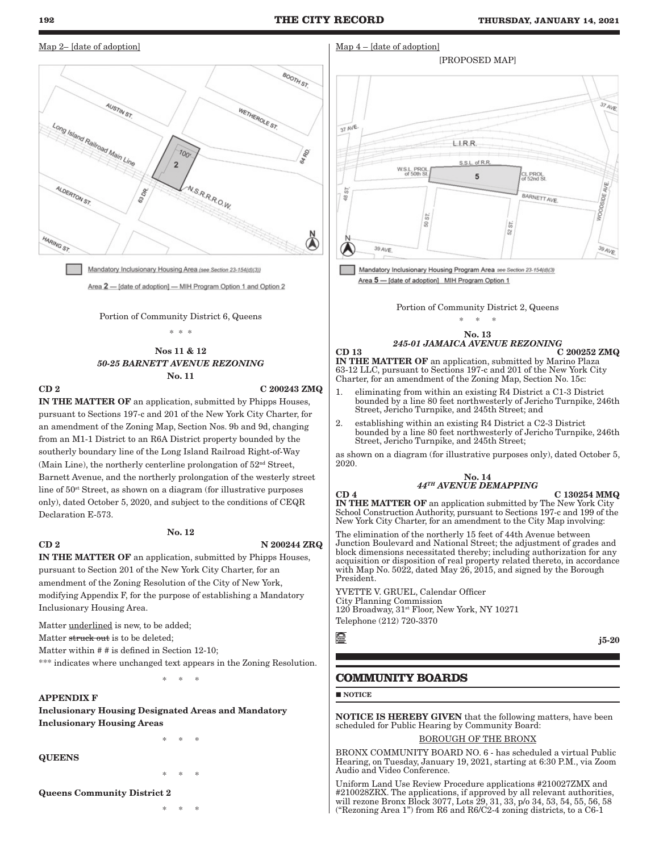Map 4 – [date of adoption]

#### <span id="page-3-0"></span>Map 2– [date of adoption]



Mandatory Inclusionary Housing Area (see Section 23-154(d)(3)) Area 2 - [date of adoption] - MIH Program Option 1 and Option 2

#### Portion of Community District 6, Queens

\* \* \*

### Nos 11 & 12 *50-25 BARNETT AVENUE REZONING* No. 11

 $CD 2 2 00243 ZMQ$ 

IN THE MATTER OF an application, submitted by Phipps Houses, pursuant to Sections 197-c and 201 of the New York City Charter, for an amendment of the Zoning Map, Section Nos. 9b and 9d, changing from an M1-1 District to an R6A District property bounded by the southerly boundary line of the Long Island Railroad Right-of-Way (Main Line), the northerly centerline prolongation of  $52<sup>nd</sup>$  Street, Barnett Avenue, and the northerly prolongation of the westerly street line of 50st Street, as shown on a diagram (for illustrative purposes only), dated October 5, 2020, and subject to the conditions of CEQR Declaration E-573.

## No. 12

#### $CD 2$  N  $200244 ZRQ$

IN THE MATTER OF an application, submitted by Phipps Houses, pursuant to Section 201 of the New York City Charter, for an amendment of the Zoning Resolution of the City of New York, modifying Appendix F, for the purpose of establishing a Mandatory Inclusionary Housing Area.

Matter underlined is new, to be added;

Matter struck out is to be deleted;

Matter within # # is defined in Section 12-10;

\*\*\* indicates where unchanged text appears in the Zoning Resolution.

\* \* \*

Inclusionary Housing Designated Areas and Mandatory Inclusionary Housing Areas

\* \* \*

QUEENS

APPENDIX F

\* \* \*

Queens Community District 2

\* \* \*



Mandatory Inclusionary Housing Program Area see Section 23-154(d)(3) Area 5 - [date of adoption] MIH Program Option 1

Portion of Community District 2, Queens

 $*$  \*

#### No. 13 *245-01 JAMAICA AVENUE REZONING*

 $\text{CD} \quad 13$   $\text{C} \quad 200252 \quad \text{ZMQ}$ IN THE MATTER OF an application, submitted by Marino Plaza 63-12 LLC, pursuant to Sections 197-c and 201 of the New York City Charter, for an amendment of the Zoning Map, Section No. 15c:

- 1. eliminating from within an existing R4 District a C1-3 District bounded by a line 80 feet northwesterly of Jericho Turnpike, 246th Street, Jericho Turnpike, and 245th Street; and
- 2. establishing within an existing R4 District a C2-3 District bounded by a line 80 feet northwesterly of Jericho Turnpike, 246th Street, Jericho Turnpike, and 245th Street;

as shown on a diagram (for illustrative purposes only), dated October 5, 2020.

#### No. 14 *44TH AVENUE DEMAPPING*

 $CD$  4  $C$  130254 MMQ

j5-20

IN THE MATTER OF an application submitted by The New York City School Construction Authority, pursuant to Sections 197-c and 199 of the New York City Charter, for an amendment to the City Map involving:

The elimination of the northerly 15 feet of 44th Avenue between Junction Boulevard and National Street; the adjustment of grades and block dimensions necessitated thereby; including authorization for any acquisition or disposition of real property related thereto, in accordance with Map No. 5022, dated May 26, 2015, and signed by the Borough President.

YVETTE V. GRUEL, Calendar Officer City Planning Commission 120 Broadway, 31<sup>st</sup> Floor, New York, NY 10271 Telephone (212) 720-3370

靈

**COMMUNITY BOARDS**

**NOTICE** 

NOTICE IS HEREBY GIVEN that the following matters, have been scheduled for Public Hearing by Community Board:

### BOROUGH OF THE BRONX

BRONX COMMUNITY BOARD NO. 6 - has scheduled a virtual Public Hearing, on Tuesday, January 19, 2021, starting at 6:30 P.M., via Zoom Audio and Video Conference.

Uniform Land Use Review Procedure applications #210027ZMX and #210028ZRX. The applications, if approved by all relevant authorities, will rezone Bronx Block 3077, Lots 29, 31, 33, p/o 34, 53, 54, 55, 56, 58 ("Rezoning Area 1") from R6 and R6/C2-4 zoning districts, to a C6-1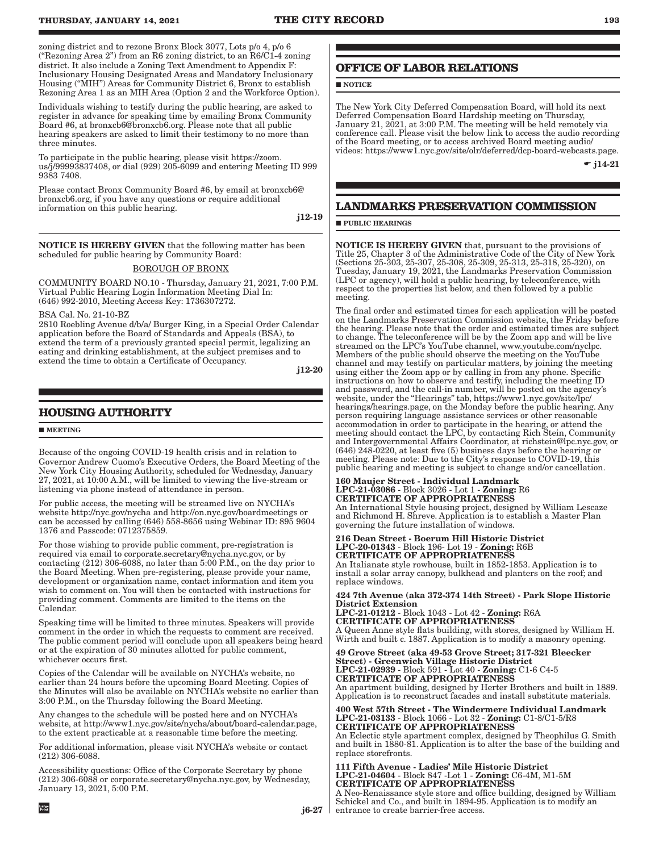<span id="page-4-0"></span>zoning district and to rezone Bronx Block 3077, Lots p/o 4, p/o 6 ("Rezoning Area 2") from an R6 zoning district, to an R6/C1-4 zoning district. It also include a Zoning Text Amendment to Appendix F: Inclusionary Housing Designated Areas and Mandatory Inclusionary Housing ("MIH") Areas for Community District 6, Bronx to establish Rezoning Area 1 as an MIH Area (Option 2 and the Workforce Option).

Individuals wishing to testify during the public hearing, are asked to register in advance for speaking time by emailing Bronx Community Board #6, at bronxcb6@bronxcb6.org. Please note that all public hearing speakers are asked to limit their testimony to no more than three minutes.

To participate in the public hearing, please visit https://zoom. us/j/99993837408, or dial (929) 205-6099 and entering Meeting ID 999 9383 7408.

Please contact Bronx Community Board #6, by email at bronxcb6@ bronxcb6.org, if you have any questions or require additional information on this public hearing.

j12-19

NOTICE IS HEREBY GIVEN that the following matter has been scheduled for public hearing by Community Board:

#### BOROUGH OF BRONX

COMMUNITY BOARD NO.10 - Thursday, January 21, 2021, 7:00 P.M. Virtual Public Hearing Login Information Meeting Dial In: (646) 992-2010, Meeting Access Key: 1736307272.

BSA Cal. No. 21-10-BZ

2810 Roebling Avenue d/b/a/ Burger King, in a Special Order Calendar application before the Board of Standards and Appeals (BSA), to extend the term of a previously granted special permit, legalizing an eating and drinking establishment, at the subject premises and to extend the time to obtain a Certificate of Occupancy.

j12-20

## **HOUSING AUTHORITY**

#### **MEETING**

Large<br>Print

Because of the ongoing COVID-19 health crisis and in relation to Governor Andrew Cuomo's Executive Orders, the Board Meeting of the New York City Housing Authority, scheduled for Wednesday, January 27, 2021, at 10:00 A.M., will be limited to viewing the live-stream or listening via phone instead of attendance in person.

For public access, the meeting will be streamed live on NYCHA's website http://nyc.gov/nycha and http://on.nyc.gov/boardmeetings or can be accessed by calling (646) 558-8656 using Webinar ID: 895 9604 1376 and Passcode: 0712375859.

For those wishing to provide public comment, pre-registration is required via email to corporate.secretary@nycha.nyc.gov, or by contacting (212) 306-6088, no later than 5:00 P.M., on the day prior to the Board Meeting. When pre-registering, please provide your name, development or organization name, contact information and item you wish to comment on. You will then be contacted with instructions for providing comment. Comments are limited to the items on the Calendar.

Speaking time will be limited to three minutes. Speakers will provide comment in the order in which the requests to comment are received. The public comment period will conclude upon all speakers being heard or at the expiration of 30 minutes allotted for public comment, whichever occurs first.

Copies of the Calendar will be available on NYCHA's website, no earlier than 24 hours before the upcoming Board Meeting. Copies of the Minutes will also be available on NYCHA's website no earlier than 3:00 P.M., on the Thursday following the Board Meeting.

Any changes to the schedule will be posted here and on NYCHA's website, at http://www1.nyc.gov/site/nycha/about/board-calendar.page, to the extent practicable at a reasonable time before the meeting.

For additional information, please visit NYCHA's website or contact (212) 306-6088.

Accessibility questions: Office of the Corporate Secretary by phone (212) 306-6088 or corporate.secretary@nycha.nyc.gov, by Wednesday, January 13, 2021, 5:00 P.M.

## **OFFICE OF LABOR RELATIONS**

**NOTICE** 

The New York City Deferred Compensation Board, will hold its next Deferred Compensation Board Hardship meeting on Thursday, January 21, 2021, at 3:00 P.M. The meeting will be held remotely via conference call. Please visit the below link to access the audio recording of the Board meeting, or to access archived Board meeting audio/ videos: https://www1.nyc.gov/site/olr/deferred/dcp-board-webcasts.page.

 $-$  j14-21

## **LANDMARKS PRESERVATION COMMISSION**

**PUBLIC HEARINGS** 

**NOTICE IS HEREBY GIVEN** that, pursuant to the provisions of Title 25, Chapter 3 of the Administrative Code of the City of New York (Sections 25-303, 25-307, 25-308, 25-309, 25-313, 25-318, 25-320), on Tuesday, January 19, 2021, the Landmarks Preservation Commission (LPC or agency), will hold a public hearing, by teleconference, with respect to the properties list below, and then followed by a public meeting.

The final order and estimated times for each application will be posted on the Landmarks Preservation Commission website, the Friday before the hearing. Please note that the order and estimated times are subject to change. The teleconference will be by the Zoom app and will be live streamed on the LPC's YouTube channel, www.youtube.com/nyclpc. Members of the public should observe the meeting on the YouTube channel and may testify on particular matters, by joining the meeting using either the Zoom app or by calling in from any phone. Specific instructions on how to observe and testify, including the meeting ID and password, and the call-in number, will be posted on the agency's website, under the "Hearings" tab, https://www1.nyc.gov/site/lpc/ hearings/hearings.page, on the Monday before the public hearing. Any person requiring language assistance services or other reasonable accommodation in order to participate in the hearing, or attend the meeting should contact the LPC, by contacting Rich Stein, Community and Intergovernmental Affairs Coordinator, at richstein@lpc.nyc.gov, or (646) 248-0220, at least five (5) business days before the hearing or meeting. Please note: Due to the City's response to COVID-19, this public hearing and meeting is subject to change and/or cancellation.

#### 160 Maujer Street - Individual Landmark LPC-21-03086 - Block 3026 - Lot 1 - Zoning: R6 CERTIFICATE OF APPROPRIATENESS

An International Style housing project, designed by William Lescaze and Richmond H. Shreve. Application is to establish a Master Plan governing the future installation of windows.

216 Dean Street - Boerum Hill Historic District LPC-20-01343 - Block 196- Lot 19 - Zoning: R6B CERTIFICATE OF APPROPRIATENESS

An Italianate style rowhouse, built in 1852-1853. Application is to install a solar array canopy, bulkhead and planters on the roof; and replace windows.

424 7th Avenue (aka 372-374 14th Street) - Park Slope Historic District Extension

LPC-21-01212 - Block 1043 - Lot 42 - Zoning: R6A CERTIFICATE OF APPROPRIATENESS

A Queen Anne style flats building, with stores, designed by William H. Wirth and built c. 1887. Application is to modify a masonry opening.

49 Grove Street (aka 49-53 Grove Street; 317-321 Bleecker Street) - Greenwich Village Historic District LPC-21-02939 - Block 591 - Lot 40 - Zoning: C1-6 C4-5 CERTIFICATE OF APPROPRIATENESS An apartment building, designed by Herter Brothers and built in 1889. Application is to reconstruct facades and install substitute materials.

400 West 57th Street - The Windermere Individual Landmark LPC-21-03133 - Block 1066 - Lot 32 - Zoning: C1-8/C1-5/R8 CERTIFICATE OF APPROPRIATENESS

An Eclectic style apartment complex, designed by Theophilus G. Smith and built in 1880-81. Application is to alter the base of the building and replace storefronts.

111 Fifth Avenue - Ladies' Mile Historic District LPC-21-04604 - Block 847 -Lot 1 - Zoning: C6-4M, M1-5M CERTIFICATE OF APPROPRIATENESS A Neo-Renaissance style store and office building, designed by William Schickel and Co., and built in 1894-95. Application is to modify an entrance to create barrier-free access.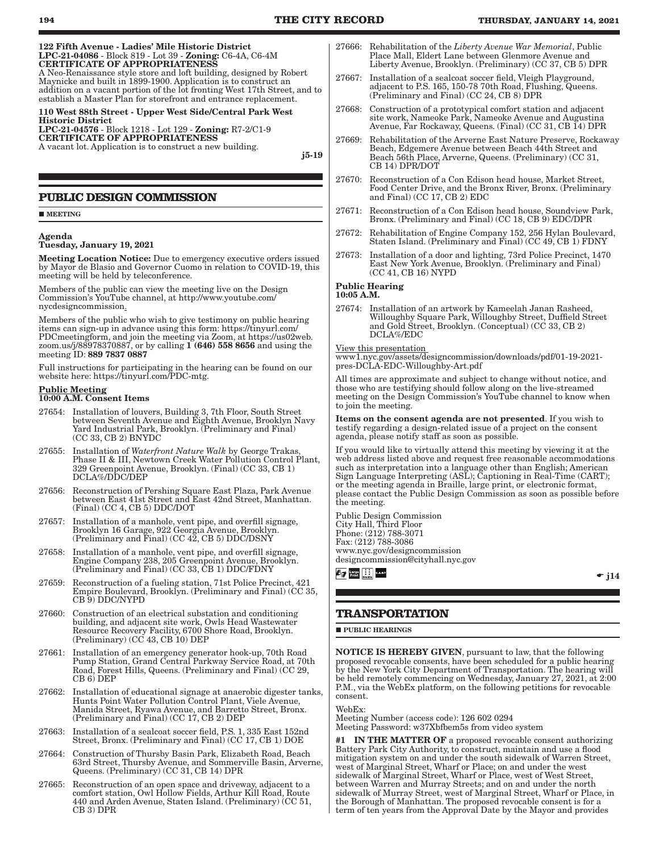<span id="page-5-0"></span>

| 122 Fifth Avenue - Ladies' Mile Historic District<br>LPC-21-04086 - Block 819 - Lot 39 - Zoning: C6-4A, C6-4M<br><b>CERTIFICATE OF APPROPRIATENESS</b><br>A Neo-Renaissance style store and loft building, designed by Robert<br>Maynicke and built in 1899-1900. Application is to construct an<br>addition on a vacant portion of the lot fronting West 17th Street, and to<br>establish a Master Plan for storefront and entrance replacement. |
|---------------------------------------------------------------------------------------------------------------------------------------------------------------------------------------------------------------------------------------------------------------------------------------------------------------------------------------------------------------------------------------------------------------------------------------------------|
| 110 West 88th Street - Upper West Side/Central Park West<br><b>Historic District</b><br>LPC-21-04576 - Block 1218 - Lot 129 - Zoning: R7-2/C1-9<br><b>CERTIFICATE OF APPROPRIATENESS</b><br>A vacant lot. Application is to construct a new building.<br>$i5-19$                                                                                                                                                                                  |
| <b>PUBLIC DESIGN COMMISSION</b>                                                                                                                                                                                                                                                                                                                                                                                                                   |
| <b>MEETING</b>                                                                                                                                                                                                                                                                                                                                                                                                                                    |
| Agenda<br>Tuesday, January 19, 2021                                                                                                                                                                                                                                                                                                                                                                                                               |
| Meeting Location Notice: Due to emergency executive orders issued<br>by Mayor de Blasio and Governor Cuomo in relation to COVID-19, this<br>meeting will be held by teleconference.                                                                                                                                                                                                                                                               |
| Members of the public can view the meeting live on the Design<br>Commission's YouTube channel, at http://www.youtube.com/<br>nycdesigncommission.                                                                                                                                                                                                                                                                                                 |
| Members of the public who wish to give testimony on public hearing                                                                                                                                                                                                                                                                                                                                                                                |

items can sign-up in advance using this form: https://tinyurl.com/ PDCmeetingform, and join the meeting via Zoom, at https://us02web. zoom.us/j/88978370887, or by calling  $1(646)$  558 8656 and using the meeting ID: 889 7837 0887

Full instructions for participating in the hearing can be found on our website here: https://tinyurl.com/PDC-mtg.

#### Public Meeting

#### 10:00 A.M. Consent Items

- 27654: Installation of louvers, Building 3, 7th Floor, South Street between Seventh Avenue and Eighth Avenue, Brooklyn Navy Yard Industrial Park, Brooklyn. (Preliminary and Final) (CC 33, CB 2) BNYDC
- 27655: Installation of *Waterfront Nature Walk* by George Trakas, Phase II & III, Newtown Creek Water Pollution Control Plant, 329 Greenpoint Avenue, Brooklyn. (Final) (CC 33, CB 1) DCLA%/DDC/DEP
- 27656: Reconstruction of Pershing Square East Plaza, Park Avenue between East 41st Street and East 42nd Street, Manhattan. (Final) (CC 4, CB 5) DDC/DOT
- 27657: Installation of a manhole, vent pipe, and overfill signage, Brooklyn 16 Garage, 922 Georgia Avenue, Brooklyn. (Preliminary and Final) (CC 42, CB 5) DDC/DSNY
- 27658: Installation of a manhole, vent pipe, and overfill signage, Engine Company 238, 205 Greenpoint Avenue, Brooklyn. (Preliminary and Final) (CC 33, CB 1) DDC/FDNY
- 27659: Reconstruction of a fueling station, 71st Police Precinct, 421 Empire Boulevard, Brooklyn. (Preliminary and Final) (CC 35, CB 9) DDC/NYPD
- 27660: Construction of an electrical substation and conditioning building, and adjacent site work, Owls Head Wastewater Resource Recovery Facility, 6700 Shore Road, Brooklyn. (Preliminary) (CC 43, CB 10) DEP
- 27661: Installation of an emergency generator hook-up, 70th Road Pump Station, Grand Central Parkway Service Road, at 70th Road, Forest Hills, Queens. (Preliminary and Final) (CC 29, CB 6) DEP
- 27662: Installation of educational signage at anaerobic digester tanks, Hunts Point Water Pollution Control Plant, Viele Avenue, Manida Street, Ryawa Avenue, and Barretto Street, Bronx. (Preliminary and Final) (CC 17, CB 2) DEP
- 27663: Installation of a sealcoat soccer field, P.S. 1, 335 East 152nd Street, Bronx. (Preliminary and Final) (CC 17, CB 1) DOE
- 27664: Construction of Thursby Basin Park, Elizabeth Road, Beach 63rd Street, Thursby Avenue, and Sommerville Basin, Arverne, Queens. (Preliminary) (CC 31, CB 14) DPR
- 27665: Reconstruction of an open space and driveway, adjacent to a comfort station, Owl Hollow Fields, Arthur Kill Road, Route 440 and Arden Avenue, Staten Island. (Preliminary) (CC 51, CB 3) DPR
- 27666: Rehabilitation of the *Liberty Avenue War Memorial*, Public Place Mall, Eldert Lane between Glenmore Avenue and Liberty Avenue, Brooklyn. (Preliminary) (CC 37, CB 5) DPR
- 27667: Installation of a sealcoat soccer field, Vleigh Playground, adjacent to P.S. 165, 150-78 70th Road, Flushing, Queens. (Preliminary and Final) (CC 24, CB 8) DPR
- 27668: Construction of a prototypical comfort station and adjacent site work, Nameoke Park, Nameoke Avenue and Augustina Avenue, Far Rockaway, Queens. (Final) (CC 31, CB 14) DPR
- 27669: Rehabilitation of the Arverne East Nature Preserve, Rockaway Beach, Edgemere Avenue between Beach 44th Street and Beach 56th Place, Arverne, Queens. (Preliminary) (CC 31, CB 14) DPR/DOT
- 27670: Reconstruction of a Con Edison head house, Market Street, Food Center Drive, and the Bronx River, Bronx. (Preliminary and Final) (CC 17, CB 2) EDC
- 27671: Reconstruction of a Con Edison head house, Soundview Park, Bronx. (Preliminary and Final) (CC 18, CB 9) EDC/DPR
- 27672: Rehabilitation of Engine Company 152, 256 Hylan Boulevard, Staten Island. (Preliminary and Final) (CC 49, CB 1) FDNY
- 27673: Installation of a door and lighting, 73rd Police Precinct, 1470 East New York Avenue, Brooklyn. (Preliminary and Final) (CC 41, CB 16) NYPD

### Public Hearing

10:05 A.M.

27674: Installation of an artwork by Kameelah Janan Rasheed, Willoughby Square Park, Willoughby Street, Duffield Street and Gold Street, Brooklyn. (Conceptual) (CC 33, CB 2) DCLA%/EDC

View this presentation

www1.nyc.gov/assets/designcommission/downloads/pdf/01-19-2021 pres-DCLA-EDC-Willoughby-Art.pdf

All times are approximate and subject to change without notice, and those who are testifying should follow along on the live-streamed meeting on the Design Commission's YouTube channel to know when to join the meeting.

Items on the consent agenda are not presented. If you wish to testify regarding a design-related issue of a project on the consent agenda, please notify staff as soon as possible.

If you would like to virtually attend this meeting by viewing it at the web address listed above and request free reasonable accommodations such as interpretation into a language other than English; American Sign Language Interpreting (ASL); Captioning in Real-Time (CART); or the meeting agenda in Braille, large print, or electronic format, please contact the Public Design Commission as soon as possible before the meeting.

Public Design Commission City Hall, Third Floor Phone: (212) 788-3071 Fax: (212) 788-3086 www.nyc.gov/designcommission designcommission@cityhall.nyc.gov *bg* Large **in the CALL** 

 $\bullet$  j14

## **TRANSPORTATION**

**PUBLIC HEARINGS** 

NOTICE IS HEREBY GIVEN, pursuant to law, that the following proposed revocable consents, have been scheduled for a public hearing by the New York City Department of Transportation. The hearing will be held remotely commencing on Wednesday, January 27, 2021, at 2:00 P.M., via the WebEx platform, on the following petitions for revocable consent.

### WebEx:

Meeting Number (access code): 126 602 0294 Meeting Password: w37Xbfbem5s from video system

#1 IN THE MATTER OF a proposed revocable consent authorizing Battery Park City Authority, to construct, maintain and use a flood mitigation system on and under the south sidewalk of Warren Street, west of Marginal Street, Wharf or Place; on and under the west sidewalk of Marginal Street, Wharf or Place, west of West Street, between Warren and Murray Streets; and on and under the north sidewalk of Murray Street, west of Marginal Street, Wharf or Place, in the Borough of Manhattan. The proposed revocable consent is for a term of ten years from the Approval Date by the Mayor and provides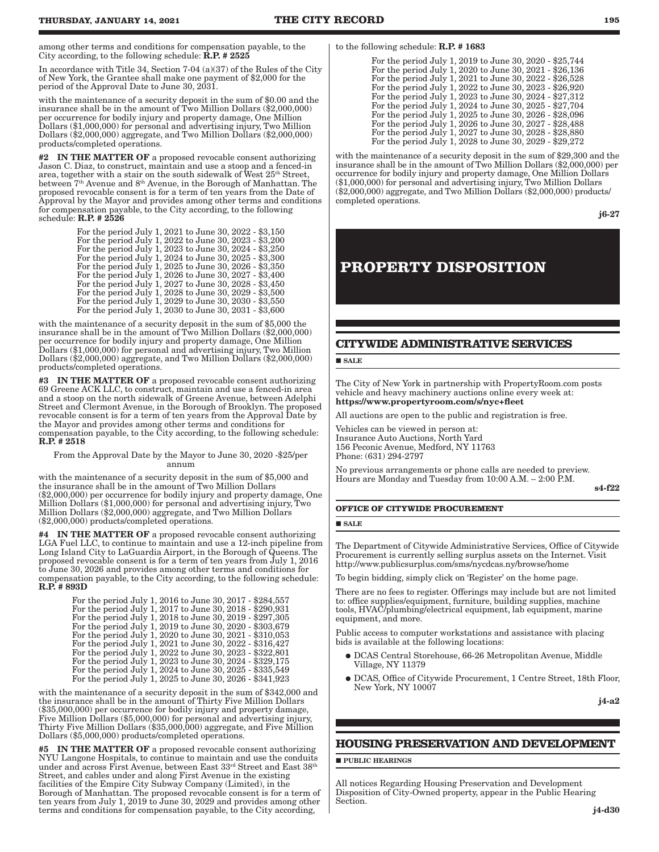<span id="page-6-0"></span>among other terms and conditions for compensation payable, to the City according, to the following schedule: R.P. # 2525

In accordance with Title 34, Section 7-04 (a)(37) of the Rules of the City of New York, the Grantee shall make one payment of \$2,000 for the period of the Approval Date to June 30, 2031.

with the maintenance of a security deposit in the sum of \$0.00 and the insurance shall be in the amount of Two Million Dollars (\$2,000,000) per occurrence for bodily injury and property damage, One Million Dollars (\$1,000,000) for personal and advertising injury, Two Million Dollars (\$2,000,000) aggregate, and Two Million Dollars (\$2,000,000) products/completed operations.

#2 IN THE MATTER OF a proposed revocable consent authorizing Jason C. Diaz, to construct, maintain and use a stoop and a fenced-in area, together with a stair on the south sidewalk of West 25th Street, between 7th Avenue and 8th Avenue, in the Borough of Manhattan. The proposed revocable consent is for a term of ten years from the Date of Approval by the Mayor and provides among other terms and conditions for compensation payable, to the City according, to the following schedule: R.P. # 2526

| For the period July 1, 2021 to June 30, 2022 - \$3,150 |
|--------------------------------------------------------|
| For the period July 1, 2022 to June 30, 2023 - \$3,200 |
| For the period July 1, 2023 to June 30, 2024 - \$3,250 |
| For the period July 1, 2024 to June 30, 2025 - \$3,300 |
| For the period July 1, 2025 to June 30, 2026 - \$3,350 |
| For the period July 1, 2026 to June 30, 2027 - \$3,400 |
| For the period July 1, 2027 to June 30, 2028 - \$3,450 |
| For the period July 1, 2028 to June 30, 2029 - \$3,500 |
| For the period July 1, 2029 to June 30, 2030 - \$3,550 |
| For the period July 1, 2030 to June 30, 2031 - \$3,600 |

with the maintenance of a security deposit in the sum of \$5,000 the insurance shall be in the amount of Two Million Dollars (\$2,000,000) per occurrence for bodily injury and property damage, One Million Dollars (\$1,000,000) for personal and advertising injury, Two Million Dollars (\$2,000,000) aggregate, and Two Million Dollars (\$2,000,000) products/completed operations.

#3 IN THE MATTER OF a proposed revocable consent authorizing 69 Greene ACK LLC, to construct, maintain and use a fenced-in area and a stoop on the north sidewalk of Greene Avenue, between Adelphi Street and Clermont Avenue, in the Borough of Brooklyn. The proposed revocable consent is for a term of ten years from the Approval Date by the Mayor and provides among other terms and conditions for compensation payable, to the City according, to the following schedule: R.P. # 2518

From the Approval Date by the Mayor to June 30, 2020 -\$25/per annum

with the maintenance of a security deposit in the sum of \$5,000 and the insurance shall be in the amount of Two Million Dollars (\$2,000,000) per occurrence for bodily injury and property damage, One Million Dollars (\$1,000,000) for personal and advertising injury, Two Million Dollars (\$2,000,000) aggregate, and Two Million Dollars (\$2,000,000) products/completed operations.

#4 IN THE MATTER OF a proposed revocable consent authorizing LGA Fuel LLC, to continue to maintain and use a 12-inch pipeline from Long Island City to LaGuardia Airport, in the Borough of Queens. The proposed revocable consent is for a term of ten years from July 1, 2016 to June 30, 2026 and provides among other terms and conditions for compensation payable, to the City according, to the following schedule: R.P. # 893D

| For the period July 1, 2016 to June 30, 2017 - \$284,557 |
|----------------------------------------------------------|
| For the period July 1, 2017 to June 30, 2018 - \$290,931 |
| For the period July 1, 2018 to June 30, 2019 - \$297,305 |
| For the period July 1, 2019 to June 30, 2020 - \$303,679 |
| For the period July 1, 2020 to June 30, 2021 - \$310,053 |
| For the period July 1, 2021 to June 30, 2022 - \$316,427 |
| For the period July 1, 2022 to June 30, 2023 - \$322,801 |
| For the period July 1, 2023 to June 30, 2024 - \$329,175 |
| For the period July 1, 2024 to June 30, 2025 - \$335,549 |
| For the period July 1, 2025 to June 30, 2026 - \$341,923 |

with the maintenance of a security deposit in the sum of \$342,000 and the insurance shall be in the amount of Thirty Five Million Dollars (\$35,000,000) per occurrence for bodily injury and property damage, Five Million Dollars (\$5,000,000) for personal and advertising injury, Thirty Five Million Dollars (\$35,000,000) aggregate, and Five Million Dollars (\$5,000,000) products/completed operations.

IN THE MATTER OF a proposed revocable consent authorizing NYU Langone Hospitals, to continue to maintain and use the conduits under and across First Avenue, between East  $33<sup>rd</sup>$  Street and East  $38<sup>th</sup>$ Street, and cables under and along First Avenue in the existing facilities of the Empire City Subway Company (Limited), in the Borough of Manhattan. The proposed revocable consent is for a term of ten years from July 1, 2019 to June 30, 2029 and provides among other terms and conditions for compensation payable, to the City according,

to the following schedule: R.P. # 1683

| For the period July 1, 2019 to June 30, 2020 - \$25,744 |
|---------------------------------------------------------|
| For the period July 1, 2020 to June 30, 2021 - \$26,136 |
| For the period July 1, 2021 to June 30, 2022 - \$26,528 |
| For the period July 1, 2022 to June 30, 2023 - \$26,920 |
| For the period July 1, 2023 to June 30, 2024 - \$27,312 |
| For the period July 1, 2024 to June 30, 2025 - \$27,704 |
| For the period July 1, 2025 to June 30, 2026 - \$28,096 |
| For the period July 1, 2026 to June 30, 2027 - \$28,488 |
| For the period July 1, 2027 to June 30, 2028 - \$28,880 |
| For the period July 1, 2028 to June 30, 2029 - \$29,272 |

with the maintenance of a security deposit in the sum of \$29,300 and the insurance shall be in the amount of Two Million Dollars (\$2,000,000) per occurrence for bodily injury and property damage, One Million Dollars (\$1,000,000) for personal and advertising injury, Two Million Dollars (\$2,000,000) aggregate, and Two Million Dollars (\$2,000,000) products/ completed operations.

j6-27

# **PROPERTY DISPOSITION**

## **CITYWIDE ADMINISTRATIVE SERVICES**

#### **SALE**

The City of New York in partnership with PropertyRoom.com posts vehicle and heavy machinery auctions online every week at: https://www.propertyroom.com/s/nyc+fleet

All auctions are open to the public and registration is free.

Vehicles can be viewed in person at: Insurance Auto Auctions, North Yard 156 Peconic Avenue, Medford, NY 11763 Phone: (631) 294-2797

No previous arrangements or phone calls are needed to preview. Hours are Monday and Tuesday from 10:00 A.M. – 2:00 P.M.

s4-f22

#### **OFFICE OF CITYWIDE PROCUREMENT**

#### **SALE**

The Department of Citywide Administrative Services, Office of Citywide Procurement is currently selling surplus assets on the Internet. Visit http://www.publicsurplus.com/sms/nycdcas.ny/browse/home

To begin bidding, simply click on 'Register' on the home page.

There are no fees to register. Offerings may include but are not limited to: office supplies/equipment, furniture, building supplies, machine tools, HVAC/plumbing/electrical equipment, lab equipment, marine equipment, and more.

Public access to computer workstations and assistance with placing bids is available at the following locations:

- � DCAS Central Storehouse, 66-26 Metropolitan Avenue, Middle Village, NY 11379
- � DCAS, Office of Citywide Procurement, 1 Centre Street, 18th Floor, New York, NY 10007

j4-a2

### **HOUSING PRESERVATION AND DEVELOPMENT**

**PUBLIC HEARINGS** 

All notices Regarding Housing Preservation and Development Disposition of City-Owned property, appear in the Public Hearing Section.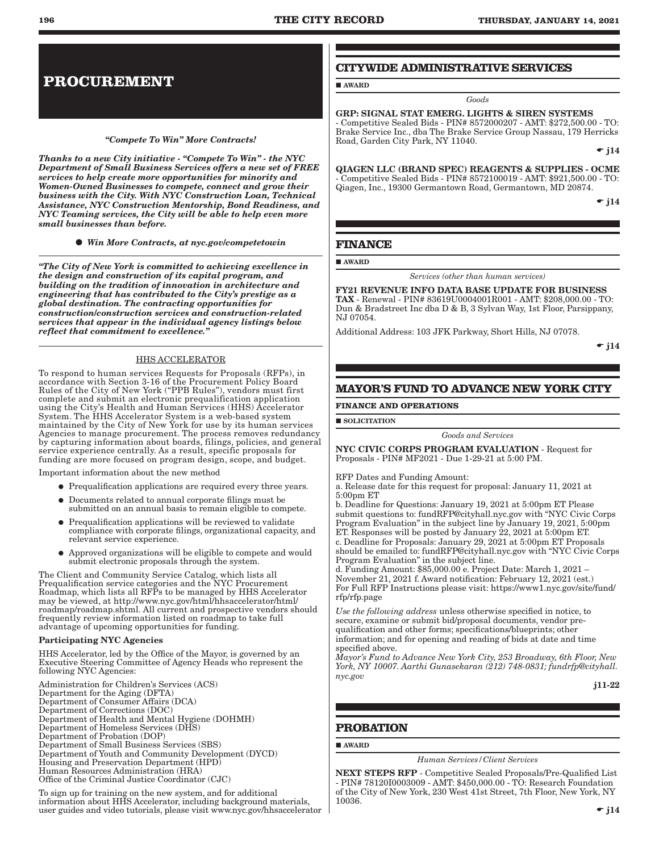# <span id="page-7-0"></span>**PROCUREMENT**

#### *"Compete To Win" More Contracts!*

*Thanks to a new City initiative - "Compete To Win" - the NYC Department of Small Business Services offers a new set of FREE services to help create more opportunities for minority and Women-Owned Businesses to compete, connect and grow their business with the City. With NYC Construction Loan, Technical Assistance, NYC Construction Mentorship, Bond Readiness, and NYC Teaming services, the City will be able to help even more small businesses than before.* 

*Win More Contracts, at nyc.gov/competetowin*

*"The City of New York is committed to achieving excellence in the design and construction of its capital program, and building on the tradition of innovation in architecture and engineering that has contributed to the City's prestige as a global destination. The contracting opportunities for construction/construction services and construction-related services that appear in the individual agency listings below reflect that commitment to excellence."*

### HHS ACCELERATOR

To respond to human services Requests for Proposals (RFPs), in accordance with Section 3-16 of the Procurement Policy Board Rules of the City of New York ("PPB Rules"), vendors must first complete and submit an electronic prequalification application using the City's Health and Human Services (HHS) Accelerator System. The HHS Accelerator System is a web-based system maintained by the City of New York for use by its human services Agencies to manage procurement. The process removes redundancy by capturing information about boards, filings, policies, and general service experience centrally. As a result, specific proposals for funding are more focused on program design, scope, and budget.

Important information about the new method

- � Prequalification applications are required every three years.
- � Documents related to annual corporate filings must be submitted on an annual basis to remain eligible to compete.
- � Prequalification applications will be reviewed to validate compliance with corporate filings, organizational capacity, and relevant service experience.
- � Approved organizations will be eligible to compete and would submit electronic proposals through the system.

The Client and Community Service Catalog, which lists all Prequalification service categories and the NYC Procurement Roadmap, which lists all RFPs to be managed by HHS Accelerator may be viewed, at http://www.nyc.gov/html/hhsaccelerator/html/ roadmap/roadmap.shtml. All current and prospective vendors should frequently review information listed on roadmap to take full advantage of upcoming opportunities for funding.

#### Participating NYC Agencies

HHS Accelerator, led by the Office of the Mayor, is governed by an Executive Steering Committee of Agency Heads who represent the following NYC Agencies:

Administration for Children's Services (ACS) Department for the Aging (DFTA) Department of Consumer Affairs (DCA) Department of Corrections (DOC) Department of Health and Mental Hygiene (DOHMH) Department of Homeless Services (DHS) Department of Probation (DOP) Department of Small Business Services (SBS) Department of Youth and Community Development (DYCD) Housing and Preservation Department (HPD) Human Resources Administration (HRA) Office of the Criminal Justice Coordinator (CJC)

To sign up for training on the new system, and for additional information about HHS Accelerator, including background materials, user guides and video tutorials, please visit www.nyc.gov/hhsaccelerator

## **CITYWIDE ADMINISTRATIVE SERVICES**

GRP: SIGNAL STAT EMERG. LIGHTS & SIREN SYSTEMS - Competitive Sealed Bids - PIN# 8572000207 - AMT: \$272,500.00 - TO: Brake Service Inc., dba The Brake Service Group Nassau, 179 Herricks Road, Garden City Park, NY 11040.

*Goods*

 $\div$  i14

QIAGEN LLC (BRAND SPEC) REAGENTS & SUPPLIES - OCME - Competitive Sealed Bids - PIN# 8572100019 - AMT: \$921,500.00 - TO: Qiagen, Inc., 19300 Germantown Road, Germantown, MD 20874.

 $\div$  i14

## **FINANCE**

AWARD

AWARD

*Services (other than human services)*

FY21 REVENUE INFO DATA BASE UPDATE FOR BUSINESS TAX - Renewal - PIN# 83619U0004001R001 - AMT: \$208,000.00 - TO: Dun & Bradstreet Inc dba D & B, 3 Sylvan Way, 1st Floor, Parsippany, NJ 07054.

Additional Address: 103 JFK Parkway, Short Hills, NJ 07078.

 $\bullet$  j14

## **MAYOR'S FUND TO ADVANCE NEW YORK CITY**

**FINANCE AND OPERATIONS**

**SOLICITATION** 

*Goods and Services*

NYC CIVIC CORPS PROGRAM EVALUATION - Request for Proposals - PIN# MF2021 - Due 1-29-21 at 5:00 PM.

RFP Dates and Funding Amount:

a. Release date for this request for proposal: January 11, 2021 at 5:00pm ET

b. Deadline for Questions: January 19, 2021 at 5:00pm ET Please submit questions to: fundRFP@cityhall.nyc.gov with "NYC Civic Corps Program Evaluation" in the subject line by January 19, 2021, 5:00pm ET. Responses will be posted by January 22, 2021 at 5:00pm ET. c. Deadline for Proposals: January 29, 2021 at 5:00pm ET Proposals

should be emailed to: fundRFP@cityhall.nyc.gov with "NYC Civic Corps Program Evaluation" in the subject line.

d. Funding Amount: \$85,000.00 e. Project Date: March 1, 2021 – November 21, 2021 f. Award notification: February 12, 2021 (est.) For Full RFP Instructions please visit: https://www1.nyc.gov/site/fund/ rfp/rfp.page

*Use the following address* unless otherwise specified in notice, to secure, examine or submit bid/proposal documents, vendor prequalification and other forms; specifications/blueprints; other information; and for opening and reading of bids at date and time specified above.

*Mayor's Fund to Advance New York City, 253 Broadway, 6th Floor, New York, NY 10007. Aarthi Gunasekaran (212) 748-0831; fundrfp@cityhall. nyc.gov*

j11-22

## **PROBATION**

AWARD

#### *Human Services/Client Services*

NEXT STEPS RFP - Competitive Sealed Proposals/Pre-Qualified List - PIN# 78120I0003009 - AMT: \$450,000.00 - TO: Research Foundation of the City of New York, 230 West 41st Street, 7th Floor, New York, NY 10036.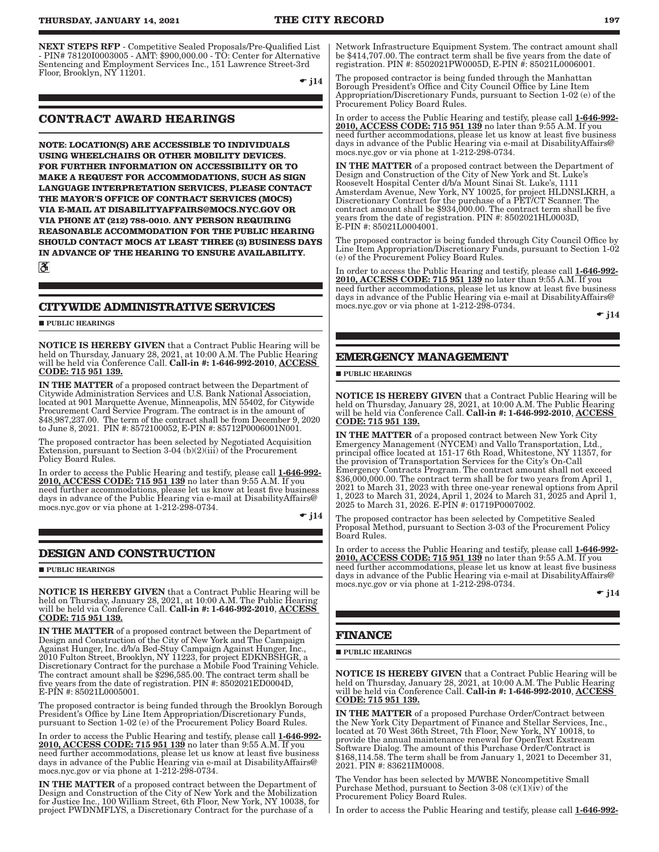<span id="page-8-0"></span>NEXT STEPS RFP - Competitive Sealed Proposals/Pre-Qualified List - PIN# 78120I0003005 - AMT: \$900,000.00 - TO: Center for Alternative Sentencing and Employment Services Inc., 151 Lawrence Street-3rd Floor, Brooklyn, NY 11201.

 $\bullet$  j14

## **CONTRACT AWARD HEARINGS**

**NOTE: LOCATION(S) ARE ACCESSIBLE TO INDIVIDUALS USING WHEELCHAIRS OR OTHER MOBILITY DEVICES. FOR FURTHER INFORMATION ON ACCESSIBILITY OR TO MAKE A REQUEST FOR ACCOMMODATIONS, SUCH AS SIGN LANGUAGE INTERPRETATION SERVICES, PLEASE CONTACT THE MAYOR'S OFFICE OF CONTRACT SERVICES (MOCS) VIA E-MAIL AT DISABILITYAFFAIRS@MOCS.NYC.GOV OR VIA PHONE AT (212) 788-0010. ANY PERSON REQUIRING REASONABLE ACCOMMODATION FOR THE PUBLIC HEARING SHOULD CONTACT MOCS AT LEAST THREE (3) BUSINESS DAYS IN ADVANCE OF THE HEARING TO ENSURE AVAILABILITY.**

 $|\mathcal{S}|$ 

## **CITYWIDE ADMINISTRATIVE SERVICES**

**PUBLIC HEARINGS** 

NOTICE IS HEREBY GIVEN that a Contract Public Hearing will be held on Thursday, January 28, 2021, at 10:00 A.M. The Public Hearing will be held via Conference Call. Call-in #: 1-646-992-2010, ACCESS CODE: 715 951 139.

IN THE MATTER of a proposed contract between the Department of Citywide Administration Services and U.S. Bank National Association, located at 901 Marquette Avenue, Minneapolis, MN 55402, for Citywide Procurement Card Service Program. The contract is in the amount of \$48,987,237.00. The term of the contract shall be from December 9, 2020 to June 8, 2021. PIN #: 8572100052, E-PIN #: 85712P0006001N001.

The proposed contractor has been selected by Negotiated Acquisition Extension, pursuant to Section 3-04 (b)(2)(iii) of the Procurement Policy Board Rules.

In order to access the Public Hearing and testify, please call 1-646-992-2010, ACCESS CODE: 715 951 139 no later than 9:55 A.M. If you need further accommodations, please let us know at least five business days in advance of the Public Hearing via e-mail at DisabilityAffairs@ mocs.nyc.gov or via phone at 1-212-298-0734.

 $\bullet$  j14

## **DESIGN AND CONSTRUCTION**

**PUBLIC HEARINGS** 

NOTICE IS HEREBY GIVEN that a Contract Public Hearing will be held on Thursday, January 28, 2021, at 10:00 A.M. The Public Hearing will be held via Conference Call. Call-in #: 1-646-992-2010, ACCESS CODE: 715 951 139.

IN THE MATTER of a proposed contract between the Department of Design and Construction of the City of New York and The Campaign Against Hunger, Inc. d/b/a Bed-Stuy Campaign Against Hunger, Inc., 2010 Fulton Street, Brooklyn, NY 11223, for project EDKNBSHGR, a Discretionary Contract for the purchase a Mobile Food Training Vehicle. The contract amount shall be \$296,585.00. The contract term shall be five years from the date of registration. PIN #: 8502021ED0004D, E-PIN #: 85021L0005001.

The proposed contractor is being funded through the Brooklyn Borough President's Office by Line Item Appropriation/Discretionary Funds, pursuant to Section 1-02 (e) of the Procurement Policy Board Rules.

In order to access the Public Hearing and testify, please call 1-646-992-2010, ACCESS CODE: 715 951 139 no later than 9:55 A.M. If you need further accommodations, please let us know at least five business days in advance of the Public Hearing via e-mail at DisabilityAffairs@ mocs.nyc.gov or via phone at 1-212-298-0734.

IN THE MATTER of a proposed contract between the Department of Design and Construction of the City of New York and the Mobilization for Justice Inc., 100 William Street, 6th Floor, New York, NY 10038, for project PWDNMFLYS, a Discretionary Contract for the purchase of a

Network Infrastructure Equipment System. The contract amount shall be \$414,707.00. The contract term shall be five years from the date of registration. PIN #: 8502021PW0005D, E-PIN #: 85021L0006001.

The proposed contractor is being funded through the Manhattan Borough President's Office and City Council Office by Line Item Appropriation/Discretionary Funds, pursuant to Section 1-02 (e) of the Procurement Policy Board Rules.

In order to access the Public Hearing and testify, please call 1-646-992-2010, ACCESS CODE: 715 951 139 no later than  $9:55$  A.M. If you need further accommodations, please let us know at least five business days in advance of the Public Hearing via e-mail at DisabilityAffairs@ mocs.nyc.gov or via phone at 1-212-298-0734.

IN THE MATTER of a proposed contract between the Department of Design and Construction of the City of New York and St. Luke's Roosevelt Hospital Center d/b/a Mount Sinai St. Luke's, 1111 Amsterdam Avenue, New York, NY 10025, for project HLDNSLKRH, a Discretionary Contract for the purchase of a PET/CT Scanner. The contract amount shall be \$934,000.00. The contract term shall be five years from the date of registration. PIN #: 8502021HL0003D, E-PIN #: 85021L0004001.

The proposed contractor is being funded through City Council Office by Line Item Appropriation/Discretionary Funds, pursuant to Section 1-02 (e) of the Procurement Policy Board Rules.

In order to access the Public Hearing and testify, please call 1-646-992- 2010, ACCESS CODE: 715 951 139 no later than 9:55 A.M. If you need further accommodations, please let us know at least five business days in advance of the Public Hearing via e-mail at DisabilityAffairs@ mocs.nyc.gov or via phone at 1-212-298-0734.

 $\bullet$  j14

## **EMERGENCY MANAGEMENT**

#### **PUBLIC HEARINGS**

NOTICE IS HEREBY GIVEN that a Contract Public Hearing will be held on Thursday, January 28, 2021, at 10:00 A.M. The Public Hearing will be held via Conference Call. Call-in #: 1-646-992-2010, ACCESS CODE: 715 951 139.

IN THE MATTER of a proposed contract between New York City Emergency Management (NYCEM) and Vallo Transportation, Ltd., principal office located at 151-17 6th Road, Whitestone, NY 11357, for the provision of Transportation Services for the City's On-Call Emergency Contracts Program. The contract amount shall not exceed \$36,000,000.00. The contract term shall be for two years from April 1, 2021 to March 31, 2023 with three one-year renewal options from April 1, 2023 to March 31, 2024, April 1, 2024 to March 31, 2025 and April 1, 2025 to March 31, 2026. E-PIN #: 01719P0007002.

The proposed contractor has been selected by Competitive Sealed Proposal Method, pursuant to Section 3-03 of the Procurement Policy Board Rules.

In order to access the Public Hearing and testify, please call 1-646-992-2010, ACCESS CODE: 715 951 139 no later than 9:55 A.M. If you need further accommodations, please let us know at least five business days in advance of the Public Hearing via e-mail at DisabilityAffairs@ mocs.nyc.gov or via phone at 1-212-298-0734.

 $\bullet$  j14

### **FINANCE**

**PUBLIC HEARINGS** 

NOTICE IS HEREBY GIVEN that a Contract Public Hearing will be held on Thursday, January 28, 2021, at 10:00 A.M. The Public Hearing will be held via Conference Call. Call-in #: 1-646-992-2010, ACCESS CODE: 715 951 139.

IN THE MATTER of a proposed Purchase Order/Contract between the New York City Department of Finance and Stellar Services, Inc., located at 70 West 36th Street, 7th Floor, New York, NY 10018, to provide the annual maintenance renewal for OpenText Exstream Software Dialog. The amount of this Purchase Order/Contract is \$168,114.58. The term shall be from January 1, 2021 to December 31, 2021. PIN #: 83621IM0008.

The Vendor has been selected by M/WBE Noncompetitive Small Purchase Method, pursuant to Section 3-08 (c)(1)(iv) of the Procurement Policy Board Rules.

In order to access the Public Hearing and testify, please call 1-646-992-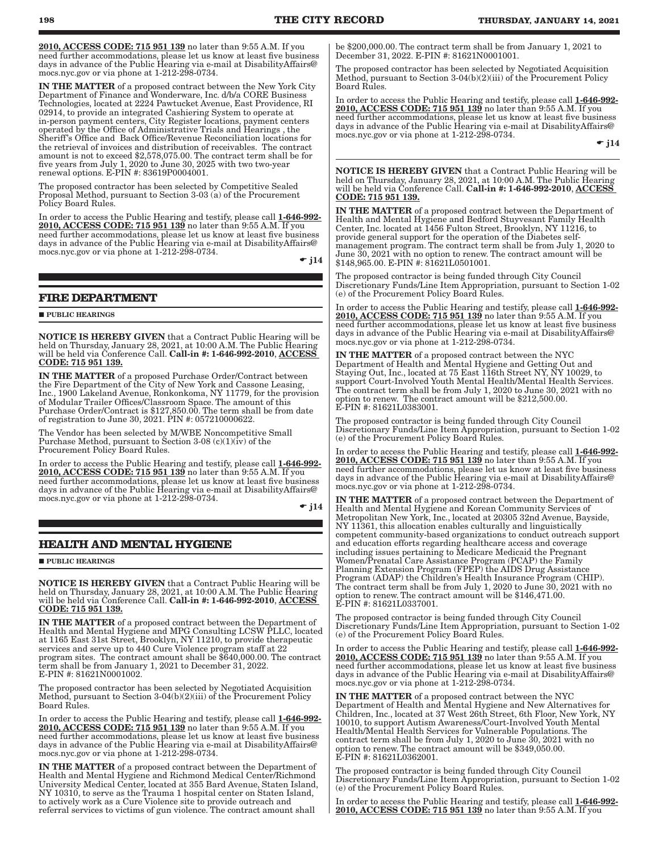<span id="page-9-0"></span>2010, ACCESS CODE: 715 951 139 no later than 9:55 A.M. If you need further accommodations, please let us know at least five business days in advance of the Public Hearing via e-mail at DisabilityAffairs@ mocs.nyc.gov or via phone at 1-212-298-0734.

IN THE MATTER of a proposed contract between the New York City Department of Finance and Wonderware, Inc. d/b/a CORE Business Technologies, located at 2224 Pawtucket Avenue, East Providence, RI 02914, to provide an integrated Cashiering System to operate at in-person payment centers, City Register locations, payment centers operated by the Office of Administrative Trials and Hearings , the Sheriff's Office and Back Office/Revenue Reconciliation locations for the retrieval of invoices and distribution of receivables. The contract amount is not to exceed \$2,578,075.00. The contract term shall be for five years from July 1, 2020 to June 30, 2025 with two two-year renewal options. E-PIN #: 83619P0004001.

The proposed contractor has been selected by Competitive Sealed Proposal Method, pursuant to Section 3-03 (a) of the Procurement Policy Board Rules.

In order to access the Public Hearing and testify, please call 1-646-992- 2010, ACCESS CODE: 715 951 139 no later than 9:55 A.M. If you need further accommodations, please let us know at least five business days in advance of the Public Hearing via e-mail at DisabilityAffairs@ mocs.nyc.gov or via phone at 1-212-298-0734.

 $\bullet$  j14

#### **FIRE DEPARTMENT**

**PUBLIC HEARINGS** 

NOTICE IS HEREBY GIVEN that a Contract Public Hearing will be held on Thursday, January 28, 2021, at 10:00 A.M. The Public Hearing will be held via Conference Call. **Call-in #: 1-646-992-2010**, <u>ACCESS</u> CODE: 715 951 139.

IN THE MATTER of a proposed Purchase Order/Contract between the Fire Department of the City of New York and Cassone Leasing, Inc., 1900 Lakeland Avenue, Ronkonkoma, NY 11779, for the provision of Modular Trailer Offices/Classroom Space. The amount of this Purchase Order/Contract is \$127,850.00. The term shall be from date of registration to June 30, 2021. PIN #: 057210000622.

The Vendor has been selected by M/WBE Noncompetitive Small Purchase Method, pursuant to Section 3-08 (c)(1)( $iv$ ) of the Procurement Policy Board Rules.

In order to access the Public Hearing and testify, please call 1-646-992- 2010, ACCESS CODE: 715 951 139 no later than 9:55 A.M. If you need further accommodations, please let us know at least five business days in advance of the Public Hearing via e-mail at DisabilityAffairs@ mocs.nyc.gov or via phone at 1-212-298-0734.

 $\bullet$  j14

### **HEALTH AND MENTAL HYGIENE**

**PUBLIC HEARINGS** 

NOTICE IS HEREBY GIVEN that a Contract Public Hearing will be held on Thursday, January 28, 2021, at 10:00 A.M. The Public Hearing will be held via Conference Call. Call-in #: 1-646-992-2010, ACCESS CODE: 715 951 139.

IN THE MATTER of a proposed contract between the Department of Health and Mental Hygiene and MPG Consulting LCSW PLLC, located at 1165 East 31st Street, Brooklyn, NY 11210, to provide therapeutic services and serve up to 440 Cure Violence program staff at 22 program sites. The contract amount shall be \$640,000.00. The contract term shall be from January 1, 2021 to December 31, 2022. E-PIN #: 81621N0001002.

The proposed contractor has been selected by Negotiated Acquisition Method, pursuant to Section 3-04(b)(2)(iii) of the Procurement Policy Board Rules.

In order to access the Public Hearing and testify, please call 1-646-992-2010, ACCESS CODE: 715 951 139 no later than 9:55 A.M. If you need further accommodations, please let us know at least five business days in advance of the Public Hearing via e-mail at DisabilityAffairs@ mocs.nyc.gov or via phone at 1-212-298-0734.

IN THE MATTER of a proposed contract between the Department of Health and Mental Hygiene and Richmond Medical Center/Richmond University Medical Center, located at 355 Bard Avenue, Staten Island, NY 10310, to serve as the Trauma 1 hospital center on Staten Island, to actively work as a Cure Violence site to provide outreach and referral services to victims of gun violence. The contract amount shall

be \$200,000.00. The contract term shall be from January 1, 2021 to December 31, 2022. E-PIN #: 81621N0001001.

The proposed contractor has been selected by Negotiated Acquisition Method, pursuant to Section 3-04(b)(2)(iii) of the Procurement Policy Board Rules.

In order to access the Public Hearing and testify, please call 1-646-992-2010, ACCESS CODE: 715 951 139 no later than 9:55 A.M. If you need further accommodations, please let us know at least five business days in advance of the Public Hearing via e-mail at DisabilityAffairs@ mocs.nyc.gov or via phone at 1-212-298-0734.  $\div$  i14

NOTICE IS HEREBY GIVEN that a Contract Public Hearing will be held on Thursday, January 28, 2021, at 10:00 A.M. The Public Hearing will be held via Conference Call. **Call-in #: 1-646-992-2010**, <u>ACCESS</u> <u>CODE: 715 951 139.</u>

IN THE MATTER of a proposed contract between the Department of Health and Mental Hygiene and Bedford Stuyvesant Family Health Center, Inc. located at 1456 Fulton Street, Brooklyn, NY 11216, to provide general support for the operation of the Diabetes selfmanagement program. The contract term shall be from July 1, 2020 to June 30, 2021 with no option to renew. The contract amount will be \$148,965.00. E-PIN #: 81621L0501001.

The proposed contractor is being funded through City Council Discretionary Funds/Line Item Appropriation, pursuant to Section 1-02 (e) of the Procurement Policy Board Rules.

In order to access the Public Hearing and testify, please call 1-646-992- 2010, ACCESS CODE: 715 951 139 no later than 9:55 A.M. If you need further accommodations, please let us know at least five business days in advance of the Public Hearing via e-mail at DisabilityAffairs@ mocs.nyc.gov or via phone at 1-212-298-0734.

IN THE MATTER of a proposed contract between the NYC Department of Health and Mental Hygiene and Getting Out and Staying Out, Inc., located at 75 East 116th Street NY, NY 10029, to support Court-Involved Youth Mental Health/Mental Health Services. The contract term shall be from July 1, 2020 to June 30, 2021 with no option to renew. The contract amount will be \$212,500.00. E-PIN #: 81621L0383001.

The proposed contractor is being funded through City Council Discretionary Funds/Line Item Appropriation, pursuant to Section 1-02 (e) of the Procurement Policy Board Rules.

In order to access the Public Hearing and testify, please call 1-646-992-2010, ACCESS CODE: 715 951 139 no later than 9:55 A.M. If you need further accommodations, please let us know at least five business days in advance of the Public Hearing via e-mail at DisabilityAffairs@ mocs.nyc.gov or via phone at 1-212-298-0734.

IN THE MATTER of a proposed contract between the Department of Health and Mental Hygiene and Korean Community Services of Metropolitan New York, Inc., located at 20305 32nd Avenue, Bayside, NY 11361, this allocation enables culturally and linguistically competent community-based organizations to conduct outreach support and education efforts regarding healthcare access and coverage including issues pertaining to Medicare Medicaid the Pregnant Women/Prenatal Care Assistance Program (PCAP) the Family Planning Extension Program (FPEP) the AIDS Drug Assistance Program (ADAP) the Children's Health Insurance Program (CHIP). The contract term shall be from July 1, 2020 to June 30, 2021 with no option to renew. The contract amount will be \$146,471.00. E-PIN #: 81621L0337001.

The proposed contractor is being funded through City Council Discretionary Funds/Line Item Appropriation, pursuant to Section 1-02 (e) of the Procurement Policy Board Rules.

In order to access the Public Hearing and testify, please call 1-646-992-2010, ACCESS CODE: 715 951 139 no later than 9:55 A.M. If you need further accommodations, please let us know at least five business days in advance of the Public Hearing via e-mail at DisabilityAffairs@ mocs.nyc.gov or via phone at 1-212-298-0734.

IN THE MATTER of a proposed contract between the NYC Department of Health and Mental Hygiene and New Alternatives for Children, Inc., located at 37 West 26th Street, 6th Floor, New York, NY 10010, to support Autism Awareness/Court-Involved Youth Mental Health/Mental Health Services for Vulnerable Populations. The contract term shall be from July 1, 2020 to June 30, 2021 with no option to renew. The contract amount will be \$349,050.00. E-PIN #: 81621L0362001.

The proposed contractor is being funded through City Council Discretionary Funds/Line Item Appropriation, pursuant to Section 1-02 (e) of the Procurement Policy Board Rules.

In order to access the Public Hearing and testify, please call 1-646-992-2010, ACCESS CODE: 715 951 139 no later than 9:55 A.M. If you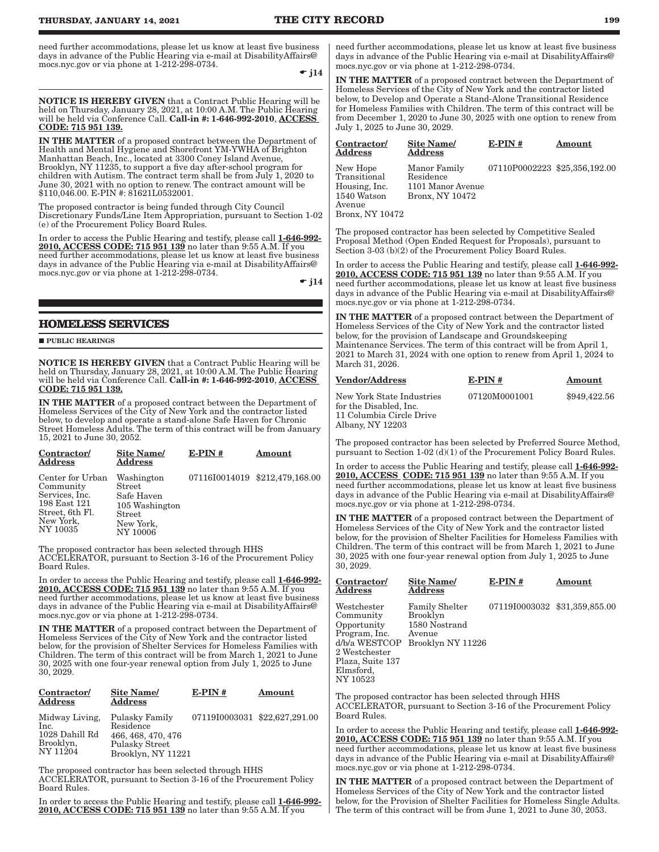<span id="page-10-0"></span>need further accommodations, please let us know at least five business days in advance of the Public Hearing via e-mail at DisabilityAffairs@ mocs.nyc.gov or via phone at 1-212-298-0734.

 $\div$  j14

NOTICE IS HEREBY GIVEN that a Contract Public Hearing will be held on Thursday, January 28, 2021, at 10:00 A.M. The Public Hearing will be held via Conference Call. Call-in #: 1-646-992-2010, ACCESS CODE: 715 951 139.

IN THE MATTER of a proposed contract between the Department of Health and Mental Hygiene and Shorefront YM-YWHA of Brighton Manhattan Beach, Inc., located at 3300 Coney Island Avenue, Brooklyn, NY 11235, to support a five day after-school program for children with Autism. The contract term shall be from July 1, 2020 to June 30, 2021 with no option to renew. The contract amount will be \$110,046.00. E-PIN #: 81621L0532001.

The proposed contractor is being funded through City Council Discretionary Funds/Line Item Appropriation, pursuant to Section 1-02 (e) of the Procurement Policy Board Rules.

In order to access the Public Hearing and testify, please call 1-646-992-2010, ACCESS CODE: 715 951 139 no later than 9:55 A.M. If you need further accommodations, please let us know at least five business days in advance of the Public Hearing via e-mail at DisabilityAffairs@ mocs.nyc.gov or via phone at 1-212-298-0734.

 $\div$  i14

## **HOMELESS SERVICES**

**PUBLIC HEARINGS** 

NOTICE IS HEREBY GIVEN that a Contract Public Hearing will be held on Thursday, January 28, 2021, at 10:00 A.M. The Public Hearing will be held via Conference Call. Call-in #: 1-646-992-2010, ACCESS CODE: 715 951 139.

IN THE MATTER of a proposed contract between the Department of Homeless Services of the City of New York and the contractor listed below, to develop and operate a stand-alone Safe Haven for Chronic Street Homeless Adults. The term of this contract will be from January 15, 2021 to June 30, 2052.

| Contractor/<br>Address                                                                                      | <b>Site Name/</b><br><b>Address</b>                                                     | $E-PIN#$ | Amount                         |
|-------------------------------------------------------------------------------------------------------------|-----------------------------------------------------------------------------------------|----------|--------------------------------|
| Center for Urban<br>Community<br>Services, Inc.<br>198 East 121<br>Street, 6th Fl.<br>New York,<br>NY 10035 | Washington<br>Street<br>Safe Haven<br>105 Washington<br>Street<br>New York,<br>NY 10006 |          | 07116I0014019 \$212,479,168.00 |

The proposed contractor has been selected through HHS ACCELERATOR, pursuant to Section 3-16 of the Procurement Policy Board Rules.

In order to access the Public Hearing and testify, please call 1-646-992- 2010, ACCESS CODE: 715 951 139 no later than 9:55 A.M. If you need further accommodations, please let us know at least five business days in advance of the Public Hearing via e-mail at DisabilityAffairs@ mocs.nyc.gov or via phone at 1-212-298-0734.

IN THE MATTER of a proposed contract between the Department of Homeless Services of the City of New York and the contractor listed below, for the provision of Shelter Services for Homeless Families with Children. The term of this contract will be from March 1, 2021 to June 30, 2025 with one four-year renewal option from July 1, 2025 to June 30, 2029.

| Contractor/<br><b>Address</b>                                     | Site Name/<br><b>Address</b>                                                                     | $E-PIN#$                      | Amount |
|-------------------------------------------------------------------|--------------------------------------------------------------------------------------------------|-------------------------------|--------|
| Midway Living,<br>Inc.<br>1028 Dahill Rd<br>Brooklyn,<br>NY 11204 | <b>Pulasky Family</b><br>Residence<br>466, 468, 470, 476<br>Pulasky Street<br>Brooklyn, NY 11221 | 07119I0003031 \$22,627,291.00 |        |

The proposed contractor has been selected through HHS ACCELERATOR, pursuant to Section 3-16 of the Procurement Policy Board Rules.

In order to access the Public Hearing and testify, please call 1-646-992-2010, ACCESS CODE: 715 951 139 no later than 9:55 A.M. If you

need further accommodations, please let us know at least five business days in advance of the Public Hearing via e-mail at DisabilityAffairs@ mocs.nyc.gov or via phone at 1-212-298-0734.

IN THE MATTER of a proposed contract between the Department of Homeless Services of the City of New York and the contractor listed below, to Develop and Operate a Stand-Alone Transitional Residence for Homeless Families with Children. The term of this contract will be from December 1, 2020 to June 30, 2025 with one option to renew from July 1, 2025 to June 30, 2029.

| Contractor/<br>Address                                                                | Site Name/<br><b>Address</b>                                      | $E-PIN#$                      | Amount |
|---------------------------------------------------------------------------------------|-------------------------------------------------------------------|-------------------------------|--------|
| New Hope<br>Transitional<br>Housing, Inc.<br>1540 Watson<br>Avenue<br>Bronx, NY 10472 | Manor Family<br>Residence<br>1101 Manor Avenue<br>Bronx, NY 10472 | 07110P0002223 \$25,356,192.00 |        |

The proposed contractor has been selected by Competitive Sealed Proposal Method (Open Ended Request for Proposals), pursuant to Section 3-03 (b)(2) of the Procurement Policy Board Rules.

In order to access the Public Hearing and testify, please call 1-646-992-2010, ACCESS CODE: 715 951 139 no later than 9:55 A.M. If you need further accommodations, please let us know at least five business days in advance of the Public Hearing via e-mail at DisabilityAffairs@ mocs.nyc.gov or via phone at 1-212-298-0734.

IN THE MATTER of a proposed contract between the Department of Homeless Services of the City of New York and the contractor listed below, for the provision of Landscape and Groundskeeping Maintenance Services. The term of this contract will be from April 1, 2021 to March 31, 2024 with one option to renew from April 1, 2024 to March 31, 2026.

| <b>Vendor/Address</b>                               | $E-PIN#$      | Amount       |
|-----------------------------------------------------|---------------|--------------|
| New York State Industries<br>for the Disabled, Inc. | 07120M0001001 | \$949,422.56 |
| 11 Columbia Circle Drive<br>Albany, NY 12203        |               |              |

The proposed contractor has been selected by Preferred Source Method, pursuant to Section 1-02 (d)(1) of the Procurement Policy Board Rules.

In order to access the Public Hearing and testify, please call 1-646-992-2010, ACCESS CODE: 715 951 139 no later than 9:55 A.M. If you need further accommodations, please let us know at least five business days in advance of the Public Hearing via e-mail at DisabilityAffairs@ mocs.nyc.gov or via phone at 1-212-298-0734.

IN THE MATTER of a proposed contract between the Department of Homeless Services of the City of New York and the contractor listed below, for the provision of Shelter Facilities for Homeless Families with Children. The term of this contract will be from March 1, 2021 to June 30, 2025 with one four-year renewal option from July 1, 2025 to June 30, 2029.

| Contractor/<br>Address                                                                                                                  | <b>Site Name</b><br>Address                                                       | $E-PIN#$                      | Amount |  |
|-----------------------------------------------------------------------------------------------------------------------------------------|-----------------------------------------------------------------------------------|-------------------------------|--------|--|
| Westchester<br>Community<br>Opportunity<br>Program, Inc.<br>d/b/a WESTCOP<br>2 Westchester<br>Plaza, Suite 137<br>Elmsford,<br>NY 10523 | <b>Family Shelter</b><br>Brooklyn<br>1580 Nostrand<br>Avenue<br>Brooklyn NY 11226 | 07119I0003032 \$31,359,855.00 |        |  |
| The proposed contractor has been selected through HHS                                                                                   |                                                                                   |                               |        |  |

ACCELERATOR, pursuant to Section 3-16 of the Procurement Policy Board Rules.

In order to access the Public Hearing and testify, please call 1-646-992- 2010, ACCESS CODE: 715 951 139 no later than 9:55 A.M. If you need further accommodations, please let us know at least five business days in advance of the Public Hearing via e-mail at DisabilityAffairs@ mocs.nyc.gov or via phone at 1-212-298-0734.

IN THE MATTER of a proposed contract between the Department of Homeless Services of the City of New York and the contractor listed below, for the Provision of Shelter Facilities for Homeless Single Adults. The term of this contract will be from June 1, 2021 to June 30, 2053.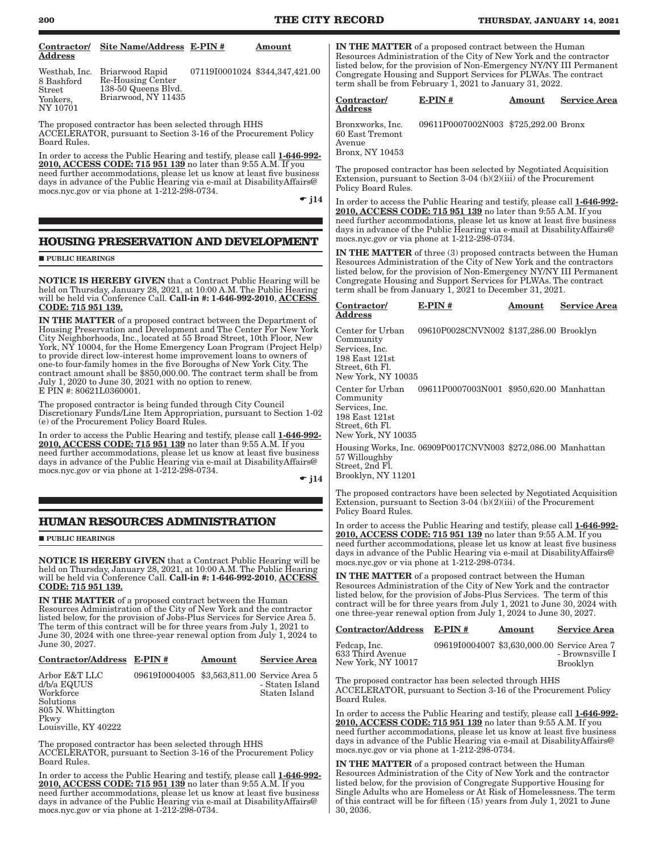<span id="page-11-0"></span>

| Contractor/                                                                                                                                                                                                                                                                                                                                      | Site Name/Address E-PIN #                                                                                                                                                                                                                                                                                                                                                                                                                                                                                       |                                             | Amount                           |                                                                                                                                                                                                                                                                                                                                                  |                                          |        |                                                                            |
|--------------------------------------------------------------------------------------------------------------------------------------------------------------------------------------------------------------------------------------------------------------------------------------------------------------------------------------------------|-----------------------------------------------------------------------------------------------------------------------------------------------------------------------------------------------------------------------------------------------------------------------------------------------------------------------------------------------------------------------------------------------------------------------------------------------------------------------------------------------------------------|---------------------------------------------|----------------------------------|--------------------------------------------------------------------------------------------------------------------------------------------------------------------------------------------------------------------------------------------------------------------------------------------------------------------------------------------------|------------------------------------------|--------|----------------------------------------------------------------------------|
| Address<br>Westhab, Inc.                                                                                                                                                                                                                                                                                                                         | Briarwood Rapid                                                                                                                                                                                                                                                                                                                                                                                                                                                                                                 |                                             | 07119I0001024 \$344,347,421.00   | <b>IN THE MATTER</b> of a proposed contract between the Human<br>Resources Administration of the City of New York and the contractor<br>listed below, for the provision of Non-Emergency NY/NY III Permanent                                                                                                                                     |                                          |        |                                                                            |
| 8 Bashford<br>Street                                                                                                                                                                                                                                                                                                                             | Re-Housing Center<br>138-50 Queens Blvd.                                                                                                                                                                                                                                                                                                                                                                                                                                                                        |                                             |                                  | Congregate Housing and Support Services for PLWAs. The contract<br>term shall be from February 1, 2021 to January 31, 2022.                                                                                                                                                                                                                      |                                          |        |                                                                            |
| Yonkers,<br>NY 10701                                                                                                                                                                                                                                                                                                                             | Briarwood, NY 11435                                                                                                                                                                                                                                                                                                                                                                                                                                                                                             |                                             |                                  | Contractor/<br>Address                                                                                                                                                                                                                                                                                                                           | $E-PIN#$                                 | Amount | <b>Service Area</b>                                                        |
| Board Rules.                                                                                                                                                                                                                                                                                                                                     | The proposed contractor has been selected through HHS<br>ACCELERATOR, pursuant to Section 3-16 of the Procurement Policy                                                                                                                                                                                                                                                                                                                                                                                        |                                             |                                  | Bronxworks, Inc.<br>60 East Tremont<br>Avenue                                                                                                                                                                                                                                                                                                    | 09611P0007002N003 \$725,292.00 Bronx     |        |                                                                            |
|                                                                                                                                                                                                                                                                                                                                                  | In order to access the Public Hearing and testify, please call 1-646-992-<br>2010, ACCESS CODE: 715 951 139 no later than 9:55 A.M. If you                                                                                                                                                                                                                                                                                                                                                                      |                                             |                                  | Bronx, NY 10453                                                                                                                                                                                                                                                                                                                                  |                                          |        |                                                                            |
|                                                                                                                                                                                                                                                                                                                                                  | need further accommodations, please let us know at least five business<br>days in advance of the Public Hearing via e-mail at Disability Affairs @<br>mocs.nyc.gov or via phone at 1-212-298-0734.                                                                                                                                                                                                                                                                                                              |                                             |                                  | The proposed contractor has been selected by Negotiated Acquisition<br>Extension, pursuant to Section 3-04 (b) $(2)(iii)$ of the Procurement<br>Policy Board Rules.                                                                                                                                                                              |                                          |        |                                                                            |
|                                                                                                                                                                                                                                                                                                                                                  |                                                                                                                                                                                                                                                                                                                                                                                                                                                                                                                 |                                             | $\bullet$ j14                    | In order to access the Public Hearing and testify, please call 1-646-992-<br>2010, ACCESS CODE: 715 951 139 no later than 9:55 A.M. If you<br>need further accommodations, please let us know at least five business<br>days in advance of the Public Hearing via e-mail at Disability Affairs @<br>mocs.nyc.gov or via phone at 1-212-298-0734. |                                          |        |                                                                            |
|                                                                                                                                                                                                                                                                                                                                                  | HOUSING PRESERVATION AND DEVELOPMENT                                                                                                                                                                                                                                                                                                                                                                                                                                                                            |                                             |                                  | <b>IN THE MATTER</b> of three (3) proposed contracts between the Human                                                                                                                                                                                                                                                                           |                                          |        |                                                                            |
| <b>PUBLIC HEARINGS</b>                                                                                                                                                                                                                                                                                                                           | <b>NOTICE IS HEREBY GIVEN</b> that a Contract Public Hearing will be                                                                                                                                                                                                                                                                                                                                                                                                                                            |                                             |                                  | Resources Administration of the City of New York and the contractors<br>listed below, for the provision of Non-Emergency NY/NY III Permanent<br>Congregate Housing and Support Services for PLWAs. The contract                                                                                                                                  |                                          |        |                                                                            |
| CODE: 715 951 139.                                                                                                                                                                                                                                                                                                                               | held on Thursday, January 28, 2021, at 10:00 A.M. The Public Hearing<br>will be held via Conference Call. Call-in #: 1-646-992-2010, ACCESS                                                                                                                                                                                                                                                                                                                                                                     |                                             |                                  | term shall be from January 1, 2021 to December 31, 2021.<br>Contractor/<br><b>Address</b>                                                                                                                                                                                                                                                        | $E-PIN#$                                 | Amount | <b>Service Area</b>                                                        |
|                                                                                                                                                                                                                                                                                                                                                  | <b>IN THE MATTER</b> of a proposed contract between the Department of<br>Housing Preservation and Development and The Center For New York<br>City Neighborhoods, Inc., located at 55 Broad Street, 10th Floor, New<br>York, NY 10004, for the Home Emergency Loan Program (Project Help)<br>to provide direct low-interest home improvement loans to owners of<br>one-to four-family homes in the five Boroughs of New York City. The<br>contract amount shall be \$850,000.00. The contract term shall be from |                                             |                                  | Center for Urban<br>Community<br>Services, Inc.<br>$198$ East $121st$<br>Street, 6th Fl.<br>New York, NY 10035                                                                                                                                                                                                                                   | 09610P0028CNVN002 \$137,286.00 Brooklyn  |        |                                                                            |
| E PIN #: 80621L0360001.                                                                                                                                                                                                                                                                                                                          | July 1, 2020 to June 30, 2021 with no option to renew.<br>The proposed contractor is being funded through City Council                                                                                                                                                                                                                                                                                                                                                                                          |                                             |                                  | Center for Urban<br>Community<br>Services, Inc.                                                                                                                                                                                                                                                                                                  | 09611P0007003N001 \$950,620.00 Manhattan |        |                                                                            |
|                                                                                                                                                                                                                                                                                                                                                  | Discretionary Funds/Line Item Appropriation, pursuant to Section 1-02<br>(e) of the Procurement Policy Board Rules.                                                                                                                                                                                                                                                                                                                                                                                             |                                             |                                  | 198 East 121st<br>Street, 6th Fl.<br>New York, NY 10035                                                                                                                                                                                                                                                                                          |                                          |        |                                                                            |
| In order to access the Public Hearing and testify, please call 1-646-992-<br>2010, ACCESS CODE: 715 951 139 no later than 9:55 A.M. If you<br>need further accommodations, please let us know at least five business<br>days in advance of the Public Hearing via e-mail at Disability Affairs @<br>mocs.nyc.gov or via phone at 1-212-298-0734. |                                                                                                                                                                                                                                                                                                                                                                                                                                                                                                                 |                                             | $\bullet$ j14                    | Housing Works, Inc. 06909P0017CNVN003 \$272,086.00 Manhattan<br>57 Willoughby<br>Street, 2nd Fl.<br>Brooklyn, NY 11201                                                                                                                                                                                                                           |                                          |        |                                                                            |
|                                                                                                                                                                                                                                                                                                                                                  |                                                                                                                                                                                                                                                                                                                                                                                                                                                                                                                 |                                             |                                  | The proposed contractors have been selected by Negotiated Acquisition<br>Extension, pursuant to Section 3-04 (b)(2)(iii) of the Procurement<br>Policy Board Rules.                                                                                                                                                                               |                                          |        |                                                                            |
|                                                                                                                                                                                                                                                                                                                                                  | <b>HUMAN RESOURCES ADMINISTRATION</b>                                                                                                                                                                                                                                                                                                                                                                                                                                                                           |                                             |                                  | In order to access the Public Hearing and testify, please call 1-646-992-                                                                                                                                                                                                                                                                        |                                          |        |                                                                            |
| <b>PUBLIC HEARINGS</b>                                                                                                                                                                                                                                                                                                                           | <b>NOTICE IS HEREBY GIVEN</b> that a Contract Public Hearing will be                                                                                                                                                                                                                                                                                                                                                                                                                                            |                                             |                                  | 2010, ACCESS CODE: 715 951 139 no later than 9:55 A.M. If you<br>need further accommodations, please let us know at least five business<br>days in advance of the Public Hearing via e-mail at Disability Affairs @<br>mocs.nyc.gov or via phone at 1-212-298-0734.                                                                              |                                          |        |                                                                            |
| CODE: 715 951 139.                                                                                                                                                                                                                                                                                                                               | held on Thursday, January 28, 2021, at 10:00 A.M. The Public Hearing<br>will be held via Conference Call. Call-in #: 1-646-992-2010, ACCESS                                                                                                                                                                                                                                                                                                                                                                     |                                             |                                  | <b>IN THE MATTER</b> of a proposed contract between the Human<br>Resources Administration of the City of New York and the contractor<br>listed below, for the provision of Jobs-Plus Services. The term of this                                                                                                                                  |                                          |        |                                                                            |
|                                                                                                                                                                                                                                                                                                                                                  | IN THE MATTER of a proposed contract between the Human<br>Resources Administration of the City of New York and the contractor<br>listed below, for the provision of Jobs-Plus Services for Service Area 5.                                                                                                                                                                                                                                                                                                      |                                             |                                  | contract will be for three years from July 1, 2021 to June 30, 2024 with<br>one three-year renewal option from July 1, 2024 to June 30, 2027.                                                                                                                                                                                                    |                                          |        |                                                                            |
|                                                                                                                                                                                                                                                                                                                                                  | The term of this contract will be for three years from July 1, 2021 to<br>June 30, 2024 with one three-year renewal option from July 1, 2024 to                                                                                                                                                                                                                                                                                                                                                                 |                                             |                                  | <b>Contractor/Address</b>                                                                                                                                                                                                                                                                                                                        | $E-PIN#$                                 | Amount | <b>Service Area</b>                                                        |
| June 30, 2027.                                                                                                                                                                                                                                                                                                                                   | Contractor/Address E-PIN#                                                                                                                                                                                                                                                                                                                                                                                                                                                                                       | Amount                                      | <b>Service Area</b>              | Fedcap, Inc.<br>633 Third Avenue<br>New York, NY 10017                                                                                                                                                                                                                                                                                           |                                          |        | 09619I0004007 \$3,630,000.00 Service Area 7<br>- Brownsville I<br>Brooklyn |
| Arbor E&T LLC<br>d/b/a EQUUS<br>Workforce<br>Solutions                                                                                                                                                                                                                                                                                           |                                                                                                                                                                                                                                                                                                                                                                                                                                                                                                                 | 09619I0004005 \$3,563,811.00 Service Area 5 | - Staten Island<br>Staten Island | The proposed contractor has been selected through HHS<br>ACCELERATOR, pursuant to Section 3-16 of the Procurement Policy<br>Board Rules.                                                                                                                                                                                                         |                                          |        |                                                                            |
| 805 N. Whittington<br>Pkwy<br>Louisville, KY 40222                                                                                                                                                                                                                                                                                               | The proposed contractor has been selected through HHS                                                                                                                                                                                                                                                                                                                                                                                                                                                           |                                             |                                  | In order to access the Public Hearing and testify, please call 1-646-992-<br>2010, ACCESS CODE: 715 951 139 no later than 9:55 A.M. If you<br>need further accommodations, please let us know at least five business<br>days in advance of the Public Hearing via e-mail at Disability Affairs @                                                 |                                          |        |                                                                            |
| Board Rules.                                                                                                                                                                                                                                                                                                                                     | ACCELERATOR, pursuant to Section 3-16 of the Procurement Policy                                                                                                                                                                                                                                                                                                                                                                                                                                                 |                                             |                                  | mocs.nyc.gov or via phone at 1-212-298-0734.<br><b>IN THE MATTER</b> of a proposed contract between the Human                                                                                                                                                                                                                                    |                                          |        |                                                                            |
|                                                                                                                                                                                                                                                                                                                                                  | In order to access the Public Hearing and testify please call 1-646-992-                                                                                                                                                                                                                                                                                                                                                                                                                                        |                                             |                                  | Resources Administration of the City of New York and the contractor                                                                                                                                                                                                                                                                              |                                          |        |                                                                            |

30, 2036.

listed below, for the provision of Congregate Supportive Housing for Single Adults who are Homeless or At Risk of Homelessness. The term of this contract will be for fifteen (15) years from July 1, 2021 to June

In order to access the Public Hearing and testify, please call 1-646-992-2010, ACCESS CODE: 715 951 139 no later than 9:55 A.M. If you need further accommodations, please let us know at least five business days in advance of the Public Hearing via e-mail at DisabilityAffairs@ mocs.nyc.gov or via phone at 1-212-298-0734.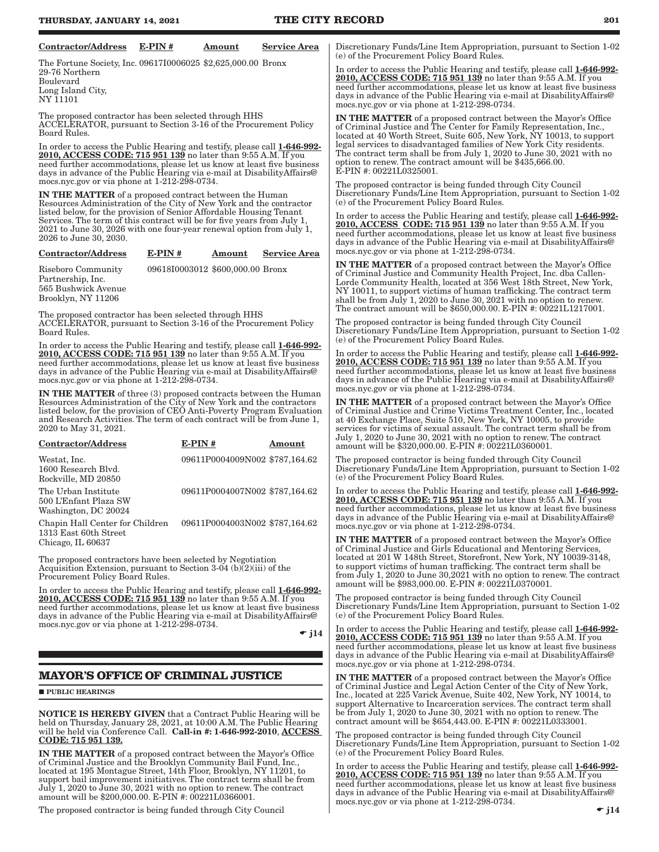$\bullet$  j14

<span id="page-12-0"></span>

| <b>Contractor/Address</b>                                                                                                                                                                                                                                                                                                                                 | $E-PIN#$ | Amount                                                           | <b>Service Area</b> | Discretionary Funds/Line Item Appropriation, pursuant to Section 1-02<br>(e) of the Procurement Policy Board Rules.                                                                                                                                                                                                                                                                                                                     |
|-----------------------------------------------------------------------------------------------------------------------------------------------------------------------------------------------------------------------------------------------------------------------------------------------------------------------------------------------------------|----------|------------------------------------------------------------------|---------------------|-----------------------------------------------------------------------------------------------------------------------------------------------------------------------------------------------------------------------------------------------------------------------------------------------------------------------------------------------------------------------------------------------------------------------------------------|
| The Fortune Society, Inc. 09617I0006025 \$2,625,000.00 Bronx<br>29-76 Northern<br>Boulevard<br>Long Island City,<br>NY 11101                                                                                                                                                                                                                              |          |                                                                  |                     | In order to access the Public Hearing and testify, please call 1-646-992-<br>2010, ACCESS CODE: 715 951 139 no later than 9:55 A.M. If you<br>need further accommodations, please let us know at least five business<br>days in advance of the Public Hearing via e-mail at Disability Affairs @<br>mocs.nyc.gov or via phone at 1-212-298-0734.                                                                                        |
| The proposed contractor has been selected through HHS<br>ACCELERATOR, pursuant to Section 3-16 of the Procurement Policy<br>Board Rules.                                                                                                                                                                                                                  |          |                                                                  |                     | <b>IN THE MATTER</b> of a proposed contract between the Mayor's Office<br>of Criminal Justice and The Center for Family Representation, Inc.,<br>located at 40 Worth Street, Suite 605, New York, NY 10013, to support<br>legal services to disadvantaged families of New York City residents.                                                                                                                                          |
| In order to access the Public Hearing and testify, please call 1-646-992-<br>2010, ACCESS CODE: 715 951 139 no later than 9:55 A.M. If you<br>need further accommodations, please let us know at least five business<br>days in advance of the Public Hearing via e-mail at Disability Affairs @<br>mocs.nyc.gov or via phone at 1-212-298-0734.          |          |                                                                  |                     | The contract term shall be from July 1, 2020 to June 30, 2021 with no<br>option to renew. The contract amount will be \$435,666.00.<br>E-PIN #: 00221L0325001.                                                                                                                                                                                                                                                                          |
| <b>IN THE MATTER</b> of a proposed contract between the Human<br>Resources Administration of the City of New York and the contractor<br>listed below, for the provision of Senior Affordable Housing Tenant<br>Services. The term of this contract will be for five years from July 1,                                                                    |          |                                                                  |                     | The proposed contractor is being funded through City Council<br>Discretionary Funds/Line Item Appropriation, pursuant to Section 1-02<br>(e) of the Procurement Policy Board Rules.<br>In order to access the Public Hearing and testify, please call 1-646-992-                                                                                                                                                                        |
| 2021 to June 30, 2026 with one four-year renewal option from July 1,<br>2026 to June 30, 2030.                                                                                                                                                                                                                                                            |          |                                                                  |                     | 2010, ACCESS CODE: 715 951 139 no later than 9:55 A.M. If you<br>need further accommodations, please let us know at least five business<br>days in advance of the Public Hearing via e-mail at Disability Affairs @                                                                                                                                                                                                                     |
| <b>Contractor/Address</b>                                                                                                                                                                                                                                                                                                                                 | $E-PIN#$ | Amount                                                           | <b>Service Area</b> | mocs.nyc.gov or via phone at 1-212-298-0734.                                                                                                                                                                                                                                                                                                                                                                                            |
| Riseboro Community<br>Partnership, Inc.<br>565 Bushwick Avenue<br>Brooklyn, NY 11206                                                                                                                                                                                                                                                                      |          | 09618I0003012 \$600,000.00 Bronx                                 |                     | <b>IN THE MATTER</b> of a proposed contract between the Mayor's Office<br>of Criminal Justice and Community Health Project, Inc. dba Callen-<br>Lorde Community Health, located at 356 West 18th Street, New York,<br>NY 10011, to support victims of human trafficking. The contract term<br>shall be from July 1, 2020 to June 30, 2021 with no option to renew.<br>The contract amount will be \$650,000.00. E-PIN #: 00221L1217001. |
| The proposed contractor has been selected through HHS<br>ACCELERATOR, pursuant to Section 3-16 of the Procurement Policy<br>Board Rules.                                                                                                                                                                                                                  |          |                                                                  |                     | The proposed contractor is being funded through City Council<br>Discretionary Funds/Line Item Appropriation, pursuant to Section 1-02<br>(e) of the Procurement Policy Board Rules.                                                                                                                                                                                                                                                     |
| In order to access the Public Hearing and testify, please call 1-646-992-<br>2010, ACCESS CODE: 715 951 139 no later than 9:55 A.M. If you<br>need further accommodations, please let us know at least five business<br>days in advance of the Public Hearing via e-mail at Disability Affairs @<br>mocs.nyc.gov or via phone at 1-212-298-0734.          |          |                                                                  |                     | In order to access the Public Hearing and testify, please call 1-646-992-<br>2010, ACCESS CODE: 715 951 139 no later than 9:55 A.M. If you<br>need further accommodations, please let us know at least five business<br>days in advance of the Public Hearing via e-mail at Disability Affairs @                                                                                                                                        |
| <b>IN THE MATTER</b> of three (3) proposed contracts between the Human<br>Resources Administration of the City of New York and the contractors<br>listed below, for the provision of CEO Anti-Poverty Program Evaluation<br>and Research Activities. The term of each contract will be from June 1,<br>2020 to May 31, 2021.<br><b>Contractor/Address</b> | $E-PIN#$ |                                                                  | Amount              | mocs.nyc.gov or via phone at 1-212-298-0734.<br><b>IN THE MATTER</b> of a proposed contract between the Mayor's Office<br>of Criminal Justice and Crime Victims Treatment Center, Inc., located<br>at 40 Exchange Place, Suite 510, New York, NY 10005, to provide<br>services for victims of sexual assault. The contract term shall be from<br>July 1, 2020 to June 30, 2021 with no option to renew. The contract                    |
|                                                                                                                                                                                                                                                                                                                                                           |          |                                                                  |                     | amount will be \$320,000.00. E-PIN #: 00221L0360001.                                                                                                                                                                                                                                                                                                                                                                                    |
| Westat, Inc.<br>1600 Research Blvd.<br>Rockville, MD 20850                                                                                                                                                                                                                                                                                                |          | 09611P0004009N002 \$787,164.62                                   |                     | The proposed contractor is being funded through City Council<br>Discretionary Funds/Line Item Appropriation, pursuant to Section 1-02<br>(e) of the Procurement Policy Board Rules.                                                                                                                                                                                                                                                     |
| The Urban Institute<br>500 L'Enfant Plaza SW<br>Washington, DC 20024<br>Chapin Hall Center for Children                                                                                                                                                                                                                                                   |          | 09611P0004007N002 \$787,164.62<br>09611P0004003N002 \$787,164.62 |                     | In order to access the Public Hearing and testify, please call 1-646-992-<br><b>2010, ACCESS CODE: 715 951 139</b> no later than 9:55 A.M. If you<br>need further accommodations, please let us know at least five business<br>days in advance of the Public Hearing via e-mail at Disability Affairs @<br>mocs.nyc.gov or via phone at 1-212-298-0734.                                                                                 |
| 1313 East 60th Street<br>Chicago, IL 60637                                                                                                                                                                                                                                                                                                                |          |                                                                  |                     | IN THE MATTER of a proposed contract between the Mayor's Office<br>of Criminal Justice and Girls Educational and Mentoring Services,                                                                                                                                                                                                                                                                                                    |
| The proposed contractors have been selected by Negotiation<br>Acquisition Extension, pursuant to Section 3-04 (b) $\overline{(2)}$ (iii) of the<br>Procurement Policy Board Rules.                                                                                                                                                                        |          |                                                                  |                     | located at 201 W 148th Street, Storefront, New York, NY 10039-3148,<br>to support victims of human trafficking. The contract term shall be<br>from July 1, 2020 to June 30, 2021 with no option to renew. The contract<br>amount will be \$983,000.00. E-PIN #: 00221L0370001.                                                                                                                                                          |
| In order to access the Public Hearing and testify, please call 1-646-992-<br>2010, ACCESS CODE: 715 951 139 no later than 9:55 A.M. If you<br>need further accommodations, please let us know at least five business<br>days in advance of the Public Hearing via e-mail at Disability Affairs@                                                           |          |                                                                  |                     | The proposed contractor is being funded through City Council<br>Discretionary Funds/Line Item Appropriation, pursuant to Section 1-02<br>(e) of the Procurement Policy Board Rules.                                                                                                                                                                                                                                                     |
| mocs.nyc.gov or via phone at 1-212-298-0734.                                                                                                                                                                                                                                                                                                              |          |                                                                  | $\bullet$ j14       | In order to access the Public Hearing and testify, please call 1-646-992-<br>2010, ACCESS CODE: 715 951 139 no later than 9:55 A.M. If you<br>need further accommodations, please let us know at least five business<br>days in advance of the Public Hearing via e-mail at Disability Affairs @                                                                                                                                        |
| <b>MAYOR'S OFFICE OF CRIMINAL JUSTICE</b>                                                                                                                                                                                                                                                                                                                 |          |                                                                  |                     | mocs.nyc.gov or via phone at 1-212-298-0734.                                                                                                                                                                                                                                                                                                                                                                                            |
| <b>PUBLIC HEARINGS</b>                                                                                                                                                                                                                                                                                                                                    |          |                                                                  |                     | <b>IN THE MATTER</b> of a proposed contract between the Mayor's Office<br>of Criminal Justice and Legal Action Center of the City of New York,<br>Inc., located at 225 Varick Avenue, Suite 402, New York, NY 10014, to<br>support Alternative to Incarceration services. The contract term shall                                                                                                                                       |
| <b>NOTICE IS HEREBY GIVEN</b> that a Contract Public Hearing will be<br>held on Thursday, January 28, 2021, at 10:00 A.M. The Public Hearing<br>will be held via Conference Call. Call-in #: 1-646-992-2010, ACCESS                                                                                                                                       |          |                                                                  |                     | be from July 1, 2020 to June 30, 2021 with no option to renew. The<br>contract amount will be \$654,443.00. E-PIN #: 00221L0333001.<br>The proposed contractor is being funded through City Council                                                                                                                                                                                                                                     |
| CODE: 715 951 139.<br><b>IN THE MATTER</b> of a proposed contract between the Mayor's Office                                                                                                                                                                                                                                                              |          |                                                                  |                     | Discretionary Funds/Line Item Appropriation, pursuant to Section 1-02<br>(e) of the Procurement Policy Board Rules.                                                                                                                                                                                                                                                                                                                     |
| of Criminal Justice and the Brooklyn Community Bail Fund, Inc.,<br>located at 195 Montague Street, 14th Floor, Brooklyn, NY 11201, to<br>support bail improvement initiatives. The contract term shall be from<br>July 1, 2020 to June 30, 2021 with no option to renew. The contract<br>amount will be \$200,000.00. E-PIN #: 00221L0366001.             |          |                                                                  |                     | In order to access the Public Hearing and testify, please call 1-646-992-<br>2010, ACCESS CODE: 715 951 139 no later than 9:55 A.M. If you<br>need further accommodations, please let us know at least five business<br>days in advance of the Public Hearing via e-mail at Disability Affairs @<br>mocs.nyc.gov or via phone at 1-212-298-0734.                                                                                        |

 $\overline{ }$ 

The proposed contractor is being funded through City Council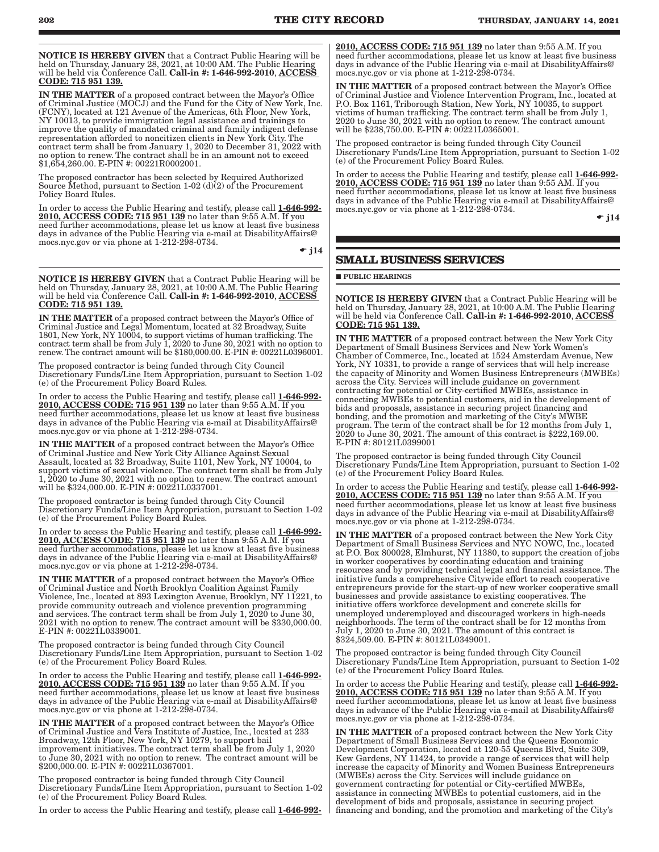<span id="page-13-0"></span>NOTICE IS HEREBY GIVEN that a Contract Public Hearing will be held on Thursday, January 28, 2021, at 10:00 AM. The Public Hearing<br>will be held via Conference Call. **Call-in #: 1-646-992-2010**, <u>ACCESS</u> CODE: 715 951 139.

IN THE MATTER of a proposed contract between the Mayor's Office of Criminal Justice (MOCJ) and the Fund for the City of New York, Inc. (FCNY), located at 121 Avenue of the Americas, 6th Floor, New York, NY 10013, to provide immigration legal assistance and trainings to improve the quality of mandated criminal and family indigent defense representation afforded to noncitizen clients in New York City. The contract term shall be from January 1, 2020 to December 31, 2022 with no option to renew. The contract shall be in an amount not to exceed \$1,654,260.00. E-PIN #: 00221R0002001.

The proposed contractor has been selected by Required Authorized Source Method, pursuant to Section 1-02 (d)(2) of the Procurement Policy Board Rules.

In order to access the Public Hearing and testify, please call 1-646-992- 2010, ACCESS CODE: 715 951 139 no later than 9:55 A.M. If you need further accommodations, please let us know at least five business days in advance of the Public Hearing via e-mail at DisabilityAffairs@ mocs.nyc.gov or via phone at 1-212-298-0734.

 $\bullet$  j14

NOTICE IS HEREBY GIVEN that a Contract Public Hearing will be held on Thursday, January 28, 2021, at 10:00 A.M. The Public Hearing will be held via Conference Call. Call-in #: 1-646-992-2010, ACCESS CODE: 715 951 139.

IN THE MATTER of a proposed contract between the Mayor's Office of Criminal Justice and Legal Momentum, located at 32 Broadway, Suite 1801, New York, NY 10004, to support victims of human trafficking. The contract term shall be from July 1, 2020 to June 30, 2021 with no option to renew. The contract amount will be \$180,000.00. E-PIN #: 00221L0396001.

The proposed contractor is being funded through City Council Discretionary Funds/Line Item Appropriation, pursuant to Section 1-02 (e) of the Procurement Policy Board Rules.

In order to access the Public Hearing and testify, please call 1-646-992- 2010, ACCESS CODE: 715 951 139 no later than 9:55 A.M. If you need further accommodations, please let us know at least five business days in advance of the Public Hearing via e-mail at DisabilityAffairs@ mocs.nyc.gov or via phone at 1-212-298-0734.

IN THE MATTER of a proposed contract between the Mayor's Office of Criminal Justice and New York City Alliance Against Sexual Assault, located at 32 Broadway, Suite 1101, New York, NY 10004, to support victims of sexual violence. The contract term shall be from July 1, 2020 to June 30, 2021 with no option to renew. The contract amount will be \$324,000.00. E-PIN #: 00221L0337001.

The proposed contractor is being funded through City Council Discretionary Funds/Line Item Appropriation, pursuant to Section 1-02 (e) of the Procurement Policy Board Rules.

In order to access the Public Hearing and testify, please call 1-646-992-2010, ACCESS CODE: 715 951 139 no later than 9:55 A.M. If you need further accommodations, please let us know at least five business days in advance of the Public Hearing via e-mail at DisabilityAffairs@ mocs.nyc.gov or via phone at 1-212-298-0734.

IN THE MATTER of a proposed contract between the Mayor's Office of Criminal Justice and North Brooklyn Coalition Against Family Violence, Inc., located at 893 Lexington Avenue, Brooklyn, NY 11221, to provide community outreach and violence prevention programming and services. The contract term shall be from July 1, 2020 to June 30, 2021 with no option to renew. The contract amount will be \$330,000.00. E-PIN #: 00221L0339001.

The proposed contractor is being funded through City Council Discretionary Funds/Line Item Appropriation, pursuant to Section 1-02 (e) of the Procurement Policy Board Rules.

In order to access the Public Hearing and testify, please call 1-646-992-2010, ACCESS CODE: 715 951 139 no later than 9:55 A.M. If you need further accommodations, please let us know at least five business days in advance of the Public Hearing via e-mail at DisabilityAffairs@ mocs.nyc.gov or via phone at 1-212-298-0734.

IN THE MATTER of a proposed contract between the Mayor's Office of Criminal Justice and Vera Institute of Justice, Inc., located at 233 Broadway, 12th Floor, New York, NY 10279, to support bail improvement initiatives. The contract term shall be from July 1, 2020 to June 30, 2021 with no option to renew. The contract amount will be \$200,000.00. E-PIN #: 00221L0367001.

The proposed contractor is being funded through City Council Discretionary Funds/Line Item Appropriation, pursuant to Section 1-02 (e) of the Procurement Policy Board Rules.

In order to access the Public Hearing and testify, please call 1-646-992-

2010, ACCESS CODE: 715 951 139 no later than 9:55 A.M. If you need further accommodations, please let us know at least five business days in advance of the Public Hearing via e-mail at DisabilityAffairs@ mocs.nyc.gov or via phone at 1-212-298-0734.

IN THE MATTER of a proposed contract between the Mayor's Office of Criminal Justice and Violence Intervention Program, Inc., located at P.O. Box 1161, Triborough Station, New York, NY 10035, to support victims of human trafficking. The contract term shall be from July 1, 2020 to June 30, 2021 with no option to renew. The contract amount will be \$238,750.00. E-PIN #: 00221L0365001.

The proposed contractor is being funded through City Council Discretionary Funds/Line Item Appropriation, pursuant to Section 1-02 (e) of the Procurement Policy Board Rules.

In order to access the Public Hearing and testify, please call 1-646-992-2010, ACCESS CODE: 715 951 139 no later than 9:55 AM. If you need further accommodations, please let us know at least five business days in advance of the Public Hearing via e-mail at DisabilityAffairs@ mocs.nyc.gov or via phone at 1-212-298-0734.

 $\div$  j14

### **SMALL BUSINESS SERVICES**

**PUBLIC HEARINGS** 

NOTICE IS HEREBY GIVEN that a Contract Public Hearing will be held on Thursday, January 28, 2021, at 10:00 A.M. The Public Hearing will be held via Conference Call. Call-in #: 1-646-992-2010, ACCESS CODE: 715 951 139.

IN THE MATTER of a proposed contract between the New York City Department of Small Business Services and New York Women's Chamber of Commerce, Inc., located at 1524 Amsterdam Avenue, New York, NY 10331, to provide a range of services that will help increase the capacity of Minority and Women Business Entrepreneurs (MWBEs) across the City. Services will include guidance on government contracting for potential or City-certified MWBEs, assistance in connecting MWBEs to potential customers, aid in the development of bids and proposals, assistance in securing project financing and bonding, and the promotion and marketing of the City's MWBE program. The term of the contract shall be for 12 months from July 1,  $2020$  to June 30, 2021. The amount of this contract is  $\$222,169.00.$ E-PIN #: 80121L0399001

The proposed contractor is being funded through City Council Discretionary Funds/Line Item Appropriation, pursuant to Section 1-02 (e) of the Procurement Policy Board Rules.

In order to access the Public Hearing and testify, please call 1-646-992-2010, ACCESS CODE: 715 951 139 no later than 9:55 A.M. If you need further accommodations, please let us know at least five business days in advance of the Public Hearing via e-mail at DisabilityAffairs@ mocs.nyc.gov or via phone at 1-212-298-0734.

IN THE MATTER of a proposed contract between the New York City Department of Small Business Services and NYC NOWC, Inc., located at P.O. Box 800028, Elmhurst, NY 11380, to support the creation of jobs in worker cooperatives by coordinating education and training resources and by providing technical legal and financial assistance. The initiative funds a comprehensive Citywide effort to reach cooperative entrepreneurs provide for the start-up of new worker cooperative small businesses and provide assistance to existing cooperatives. The initiative offers workforce development and concrete skills for unemployed underemployed and discouraged workers in high-needs neighborhoods. The term of the contract shall be for 12 months from July 1, 2020 to June 30, 2021. The amount of this contract is \$324,509.00. E-PIN #: 80121L0349001.

The proposed contractor is being funded through City Council Discretionary Funds/Line Item Appropriation, pursuant to Section 1-02 (e) of the Procurement Policy Board Rules.

In order to access the Public Hearing and testify, please call 1-646-992-2010, ACCESS CODE: 715 951 139 no later than  $9:55$  A.M. If you need further accommodations, please let us know at least five business days in advance of the Public Hearing via e-mail at DisabilityAffairs@ mocs.nyc.gov or via phone at 1-212-298-0734.

IN THE MATTER of a proposed contract between the New York City Department of Small Business Services and the Queens Economic Development Corporation, located at 120-55 Queens Blvd, Suite 309, Kew Gardens, NY 11424, to provide a range of services that will help increase the capacity of Minority and Women Business Entrepreneurs (MWBEs) across the City. Services will include guidance on government contracting for potential or City-certified MWBEs, assistance in connecting MWBEs to potential customers, aid in the development of bids and proposals, assistance in securing project financing and bonding, and the promotion and marketing of the City's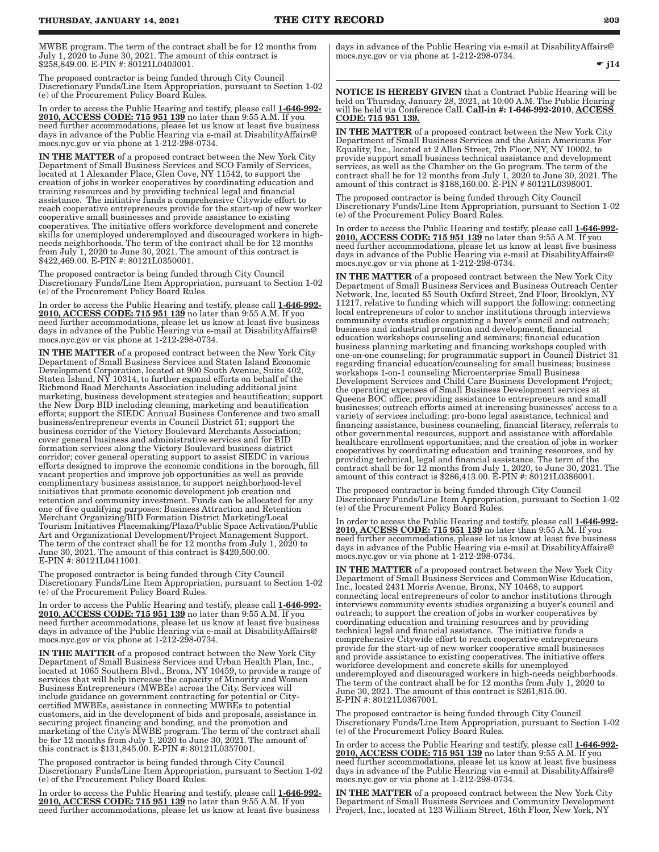MWBE program. The term of the contract shall be for 12 months from July 1, 2020 to June 30, 2021. The amount of this contract is \$258,849.00. E-PIN #: 80121L0403001.

The proposed contractor is being funded through City Council Discretionary Funds/Line Item Appropriation, pursuant to Section 1-02 (e) of the Procurement Policy Board Rules.

In order to access the Public Hearing and testify, please call 1-646-992- 2010, ACCESS CODE: 715 951 139 no later than 9:55 A.M. If you need further accommodations, please let us know at least five business days in advance of the Public Hearing via e-mail at DisabilityAffairs@ mocs.nyc.gov or via phone at 1-212-298-0734.

IN THE MATTER of a proposed contract between the New York City Department of Small Business Services and SCO Family of Services, located at 1 Alexander Place, Glen Cove, NY 11542, to support the creation of jobs in worker cooperatives by coordinating education and training resources and by providing technical legal and financial assistance. The initiative funds a comprehensive Citywide effort to reach cooperative entrepreneurs provide for the start-up of new worker cooperative small businesses and provide assistance to existing cooperatives. The initiative offers workforce development and concrete skills for unemployed underemployed and discouraged workers in highneeds neighborhoods. The term of the contract shall be for 12 months from July 1, 2020 to June 30, 2021. The amount of this contract is \$422,469.00. E-PIN #: 80121L0350001.

The proposed contractor is being funded through City Council Discretionary Funds/Line Item Appropriation, pursuant to Section 1-02 (e) of the Procurement Policy Board Rules.

In order to access the Public Hearing and testify, please call 1-646-992-2010, ACCESS CODE: 715 951 139 no later than 9:55 A.M. If you need further accommodations, please let us know at least five business days in advance of the Public Hearing via e-mail at DisabilityAffairs@ mocs.nyc.gov or via phone at 1-212-298-0734.

IN THE MATTER of a proposed contract between the New York City Department of Small Business Services and Staten Island Economic Development Corporation, located at 900 South Avenue, Suite 402, Staten Island, NY 10314, to further expand efforts on behalf of the Richmond Road Merchants Association including additional joint marketing, business development strategies and beautification; support the New Dorp BID including cleaning, marketing and beautification efforts; support the SIEDC Annual Business Conference and two small business/entrepreneur events in Council District 51; support the business corridor of the Victory Boulevard Merchants Association; cover general business and administrative services and for BID formation services along the Victory Boulevard business district corridor; cover general operating support to assist SIEDC in various efforts designed to improve the economic conditions in the borough, fill vacant properties and improve job opportunities as well as provide complimentary business assistance, to support neighborhood-level initiatives that promote economic development job creation and retention and community investment. Funds can be allocated for any one of five qualifying purposes: Business Attraction and Retention Merchant Organizing/BID Formation District Marketing/Local Tourism Initiatives Placemaking/Plaza/Public Space Activation/Public Art and Organizational Development/Project Management Support. The term of the contract shall be for 12 months from July 1, 2020 to June 30, 2021. The amount of this contract is \$420,500.00. E-PIN #: 80121L0411001.

The proposed contractor is being funded through City Council Discretionary Funds/Line Item Appropriation, pursuant to Section 1-02 (e) of the Procurement Policy Board Rules.

In order to access the Public Hearing and testify, please call 1-646-992- 2010, ACCESS CODE: 715 951 139 no later than 9:55 A.M. If you need further accommodations, please let us know at least five business days in advance of the Public Hearing via e-mail at DisabilityAffairs@ mocs.nyc.gov or via phone at 1-212-298-0734.

IN THE MATTER of a proposed contract between the New York City Department of Small Business Services and Urban Health Plan, Inc., located at 1065 Southern Blvd., Bronx, NY 10459, to provide a range of services that will help increase the capacity of Minority and Women Business Entrepreneurs (MWBEs) across the City. Services will include guidance on government contracting for potential or Citycertified MWBEs, assistance in connecting MWBEs to potential customers, aid in the development of bids and proposals, assistance in securing project financing and bonding, and the promotion and marketing of the City's MWBE program. The term of the contract shall be for 12 months from July 1, 2020 to June 30, 2021. The amount of this contract is \$131,845.00. E-PIN #: 80121L0357001.

The proposed contractor is being funded through City Council Discretionary Funds/Line Item Appropriation, pursuant to Section 1-02 (e) of the Procurement Policy Board Rules.

In order to access the Public Hearing and testify, please call 1-646-992-2010, ACCESS CODE: 715 951 139 no later than 9:55 A.M. If you need further accommodations, please let us know at least five business days in advance of the Public Hearing via e-mail at DisabilityAffairs@ mocs.nyc.gov or via phone at 1-212-298-0734.

 $\div$  j14

NOTICE IS HEREBY GIVEN that a Contract Public Hearing will be held on Thursday, January 28, 2021, at 10:00 A.M. The Public Hearing will be held via Conference Call. **Call-in #: 1-646-992-2010**, <u>ACCESS</u> <u> CODE: 715 951 139.</u>

IN THE MATTER of a proposed contract between the New York City Department of Small Business Services and the Asian Americans For Equality, Inc., located at 2 Allen Street, 7th Floor, NY, NY 10002, to provide support small business technical assistance and development services, as well as the Chamber on the Go program. The term of the contract shall be for 12 months from July 1, 2020 to June 30, 2021. The amount of this contract is \$188,160.00. E-PIN # 80121L0398001.

The proposed contractor is being funded through City Council Discretionary Funds/Line Item Appropriation, pursuant to Section 1-02 (e) of the Procurement Policy Board Rules.

In order to access the Public Hearing and testify, please call 1-646-992-2010, ACCESS CODE: 715 951 139 no later than 9:55 A.M. If you need further accommodations, please let us know at least five business days in advance of the Public Hearing via e-mail at DisabilityAffairs@ mocs.nyc.gov or via phone at 1-212-298-0734.

IN THE MATTER of a proposed contract between the New York City Department of Small Business Services and Business Outreach Center Network, Inc, located 85 South Oxford Street, 2nd Floor, Brooklyn, NY 11217, relative to funding which will support the following: connecting local entrepreneurs of color to anchor institutions through interviews community events studies organizing a buyer's council and outreach; business and industrial promotion and development; financial education workshops counseling and seminars; financial education business planning marketing and financing workshops coupled with one-on-one counseling; for programmatic support in Council District 31 regarding financial education/counseling for small business; business workshops 1-on-1 counseling Microenterprise Small Business Development Services and Child Care Business Development Project; the operating expenses of Small Business Development services at Queens BOC office; providing assistance to entrepreneurs and small businesses; outreach efforts aimed at increasing businesses' access to a variety of services including: pro-bono legal assistance, technical and financing assistance, business counseling, financial literacy, referrals to other governmental resources, support and assistance with affordable healthcare enrollment opportunities; and the creation of jobs in worker cooperatives by coordinating education and training resources, and by providing technical, legal and financial assistance. The term of the contract shall be for 12 months from July 1, 2020, to June 30, 2021. The amount of this contract is \$286,413.00. E-PIN #: 80121L0386001.

The proposed contractor is being funded through City Council Discretionary Funds/Line Item Appropriation, pursuant to Section 1-02 (e) of the Procurement Policy Board Rules.

In order to access the Public Hearing and testify, please call 1-646-992-2010, ACCESS CODE: 715 951 139 no later than 9:55 A.M. If you need further accommodations, please let us know at least five business days in advance of the Public Hearing via e-mail at DisabilityAffairs@ mocs.nyc.gov or via phone at 1-212-298-0734.

IN THE MATTER of a proposed contract between the New York City Department of Small Business Services and CommonWise Education, Inc., located 2431 Morris Avenue, Bronx, NY 10468, to support connecting local entrepreneurs of color to anchor institutions through interviews community events studies organizing a buyer's council and outreach; to support the creation of jobs in worker cooperatives by coordinating education and training resources and by providing technical legal and financial assistance. The initiative funds a comprehensive Citywide effort to reach cooperative entrepreneurs provide for the start-up of new worker cooperative small businesses and provide assistance to existing cooperatives. The initiative offers workforce development and concrete skills for unemployed underemployed and discouraged workers in high-needs neighborhoods. The term of the contract shall be for 12 months from July 1, 2020 to June 30, 2021. The amount of this contract is \$261,815.00. E-PIN #: 80121L0367001.

The proposed contractor is being funded through City Council Discretionary Funds/Line Item Appropriation, pursuant to Section 1-02 (e) of the Procurement Policy Board Rules.

In order to access the Public Hearing and testify, please call 1-646-992-2010, ACCESS CODE: 715 951 139 no later than 9:55 A.M. If you need further accommodations, please let us know at least five business days in advance of the Public Hearing via e-mail at DisabilityAffairs@ mocs.nyc.gov or via phone at 1-212-298-0734.

IN THE MATTER of a proposed contract between the New York City Department of Small Business Services and Community Development Project, Inc., located at 123 William Street, 16th Floor, New York, NY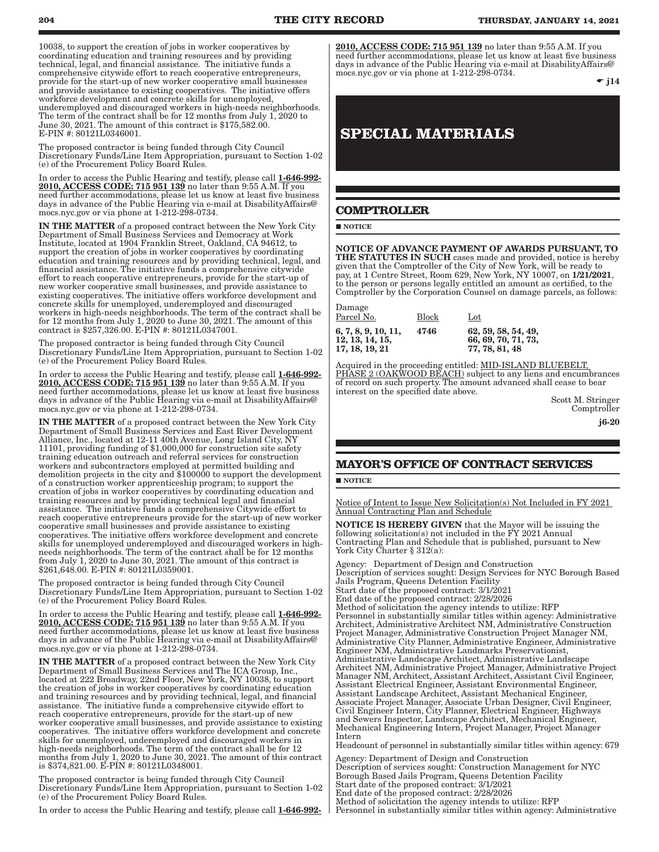<span id="page-15-0"></span>10038, to support the creation of jobs in worker cooperatives by coordinating education and training resources and by providing technical, legal, and financial assistance. The initiative funds a comprehensive citywide effort to reach cooperative entrepreneurs, provide for the start-up of new worker cooperative small businesses and provide assistance to existing cooperatives. The initiative offers workforce development and concrete skills for unemployed, underemployed and discouraged workers in high-needs neighborhoods. The term of the contract shall be for 12 months from July 1, 2020 to June 30, 2021. The amount of this contract is \$175,582.00. E-PIN #: 80121L0346001.

The proposed contractor is being funded through City Council Discretionary Funds/Line Item Appropriation, pursuant to Section 1-02 (e) of the Procurement Policy Board Rules.

In order to access the Public Hearing and testify, please call 1-646-992- 2010, ACCESS CODE: 715 951 139 no later than 9:55 A.M. If you need further accommodations, please let us know at least five business days in advance of the Public Hearing via e-mail at DisabilityAffairs@ mocs.nyc.gov or via phone at 1-212-298-0734.

IN THE MATTER of a proposed contract between the New York City Department of Small Business Services and Democracy at Work Institute, located at 1904 Franklin Street, Oakland, CA 94612, to support the creation of jobs in worker cooperatives by coordinating education and training resources and by providing technical, legal, and financial assistance. The initiative funds a comprehensive citywide effort to reach cooperative entrepreneurs, provide for the start-up of new worker cooperative small businesses, and provide assistance to existing cooperatives. The initiative offers workforce development and concrete skills for unemployed, underemployed and discouraged workers in high-needs neighborhoods. The term of the contract shall be for 12 months from July 1, 2020 to June 30, 2021. The amount of this contract is \$257,326.00. E-PIN #: 80121L0347001.

The proposed contractor is being funded through City Council Discretionary Funds/Line Item Appropriation, pursuant to Section 1-02 (e) of the Procurement Policy Board Rules.

In order to access the Public Hearing and testify, please call 1-646-992-2010, ACCESS CODE: 715 951 139 no later than 9:55 A.M. If you need further accommodations, please let us know at least five business days in advance of the Public Hearing via e-mail at DisabilityAffairs@ mocs.nyc.gov or via phone at 1-212-298-0734.

IN THE MATTER of a proposed contract between the New York City Department of Small Business Services and East River Development Alliance, Inc., located at 12-11 40th Avenue, Long Island City, NY 11101, providing funding of \$1,000,000 for construction site safety training education outreach and referral services for construction workers and subcontractors employed at permitted building and demolition projects in the city and \$100000 to support the development of a construction worker apprenticeship program; to support the creation of jobs in worker cooperatives by coordinating education and training resources and by providing technical legal and financial assistance. The initiative funds a comprehensive Citywide effort to reach cooperative entrepreneurs provide for the start-up of new worker cooperative small businesses and provide assistance to existing cooperatives. The initiative offers workforce development and concrete skills for unemployed underemployed and discouraged workers in highneeds neighborhoods. The term of the contract shall be for 12 months from July 1, 2020 to June 30, 2021. The amount of this contract is \$261,648.00. E-PIN #: 80121L0359001.

The proposed contractor is being funded through City Council Discretionary Funds/Line Item Appropriation, pursuant to Section 1-02 (e) of the Procurement Policy Board Rules.

In order to access the Public Hearing and testify, please call 1-646-992-2010, ACCESS CODE: 715 951 139 no later than 9:55 A.M. If you need further accommodations, please let us know at least five business days in advance of the Public Hearing via e-mail at DisabilityAffairs@ mocs.nyc.gov or via phone at 1-212-298-0734.

IN THE MATTER of a proposed contract between the New York City Department of Small Business Services and The ICA Group, Inc., located at 222 Broadway, 22nd Floor, New York, NY 10038, to support the creation of jobs in worker cooperatives by coordinating education and training resources and by providing technical, legal, and financial assistance. The initiative funds a comprehensive citywide effort to reach cooperative entrepreneurs, provide for the start-up of new worker cooperative small businesses, and provide assistance to existing cooperatives. The initiative offers workforce development and concrete skills for unemployed, underemployed and discouraged workers in high-needs neighborhoods. The term of the contract shall be for 12 months from July 1, 2020 to June 30, 2021. The amount of this contract is \$374,821.00. E-PIN #: 80121L0348001.

The proposed contractor is being funded through City Council Discretionary Funds/Line Item Appropriation, pursuant to Section 1-02 (e) of the Procurement Policy Board Rules.

In order to access the Public Hearing and testify, please call 1-646-992-

2010, ACCESS CODE: 715 951 139 no later than 9:55 A.M. If you need further accommodations, please let us know at least five business days in advance of the Public Hearing via e-mail at DisabilityAffairs@ mocs.nyc.gov or via phone at 1-212-298-0734.

 $\bullet$  j14

## **SPECIAL MATERIALS**

### **COMPTROLLER**

**NOTICE** 

NOTICE OF ADVANCE PAYMENT OF AWARDS PURSUANT, TO THE STATUTES IN SUCH cases made and provided, notice is hereby given that the Comptroller of the City of New York, will be ready to pay, at 1 Centre Street, Room 629, New York, NY 10007, on 1/21/2021, to the person or persons legally entitled an amount as certified, to the Comptroller by the Corporation Counsel on damage parcels, as follows:

| Damage                                                   |       |                                                              |
|----------------------------------------------------------|-------|--------------------------------------------------------------|
| Parcel No.                                               | Block | $_{\rm Lot}$                                                 |
| 6, 7, 8, 9, 10, 11,<br>12, 13, 14, 15,<br>17, 18, 19, 21 | 4746  | 62, 59, 58, 54, 49,<br>66, 69, 70, 71, 73,<br>77, 78, 81, 48 |

Acquired in the proceeding entitled: **MID-ISLAND BLUEBELT**, PHASE 2 (OAKWOOD BEACH) subject to any liens and encumbrances of record on such property. The amount advanced shall cease to bear interest on the specified date above.

Scott M. Stringer Comptroller

j6-20

## **MAYOR'S OFFICE OF CONTRACT SERVICES**

#### **NOTICE**

Notice of Intent to Issue New Solicitation(s) Not Included in FY 2021 Annual Contracting Plan and Schedule

NOTICE IS HEREBY GIVEN that the Mayor will be issuing the following solicitation(s) not included in the  $\check{F}Y$  2021 Annual Contracting Plan and Schedule that is published, pursuant to New York City Charter § 312(a):

Agency: Department of Design and Construction Description of services sought: Design Services for NYC Borough Based Jails Program, Queens Detention Facility Start date of the proposed contract: 3/1/2021 End date of the proposed contract: 2/28/2026 Method of solicitation the agency intends to utilize: RFP Personnel in substantially similar titles within agency: Administrative Architect, Administrative Architect NM, Administrative Construction Project Manager, Administrative Construction Project Manager NM, Administrative City Planner, Administrative Engineer, Administrative Engineer NM, Administrative Landmarks Preservationist, Administrative Landscape Architect, Administrative Landscape Architect NM, Administrative Project Manager, Administrative Project Manager NM, Architect, Assistant Architect, Assistant Civil Engineer, Assistant Electrical Engineer, Assistant Environmental Engineer, Assistant Landscape Architect, Assistant Mechanical Engineer, Associate Project Manager, Associate Urban Designer, Civil Engineer, Civil Engineer Intern, City Planner, Electrical Engineer, Highways and Sewers Inspector, Landscape Architect, Mechanical Engineer, Mechanical Engineering Intern, Project Manager, Project Manager Intern Headcount of personnel in substantially similar titles within agency: 679

Agency: Department of Design and Construction Description of services sought: Construction Management for NYC Borough Based Jails Program, Queens Detention Facility Start date of the proposed contract: 3/1/2021 End date of the proposed contract: 2/28/2026 Method of solicitation the agency intends to utilize: RFP Personnel in substantially similar titles within agency: Administrative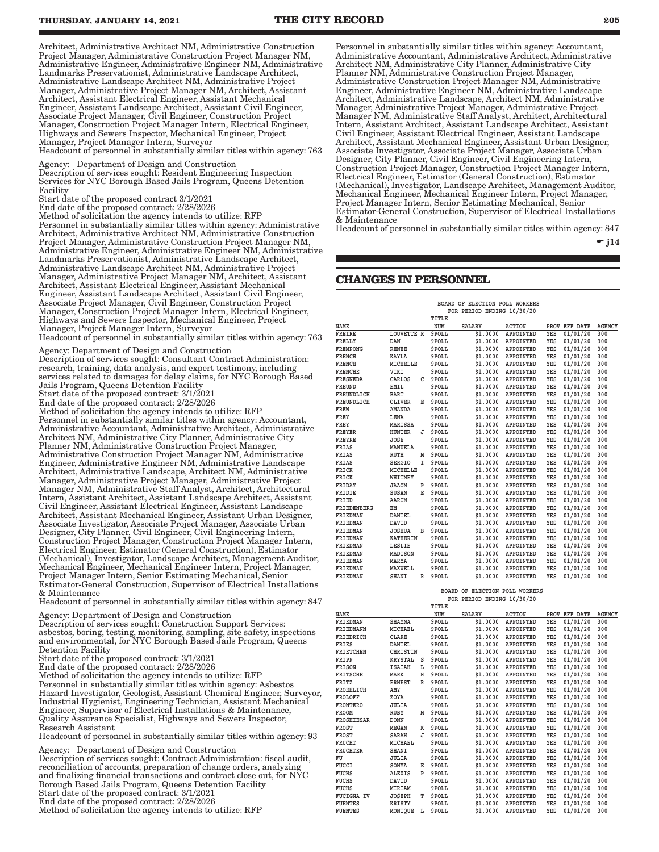<span id="page-16-0"></span>Architect, Administrative Architect NM, Administrative Construction Project Manager, Administrative Construction Project Manager NM, Administrative Engineer, Administrative Engineer NM, Administrative Landmarks Preservationist, Administrative Landscape Architect, Administrative Landscape Architect NM, Administrative Project Manager, Administrative Project Manager NM, Architect, Assistant Architect, Assistant Electrical Engineer, Assistant Mechanical Engineer, Assistant Landscape Architect, Assistant Civil Engineer, Associate Project Manager, Civil Engineer, Construction Project Manager, Construction Project Manager Intern, Electrical Engineer, Highways and Sewers Inspector, Mechanical Engineer, Project Manager, Project Manager Intern, Surveyor

Headcount of personnel in substantially similar titles within agency: 763

Agency: Department of Design and Construction Description of services sought: Resident Engineering Inspection Services for NYC Borough Based Jails Program, Queens Detention Facility

Start date of the proposed contract 3/1/2021

End date of the proposed contract: 2/28/2026

Method of solicitation the agency intends to utilize: RFP Personnel in substantially similar titles within agency: Administrative Architect, Administrative Architect NM, Administrative Construction Project Manager, Administrative Construction Project Manager NM, Administrative Engineer, Administrative Engineer NM, Administrative Landmarks Preservationist, Administrative Landscape Architect, Administrative Landscape Architect NM, Administrative Project Manager, Administrative Project Manager NM, Architect, Assistant Architect, Assistant Electrical Engineer, Assistant Mechanical Engineer, Assistant Landscape Architect, Assistant Civil Engineer, Associate Project Manager, Civil Engineer, Construction Project Manager, Construction Project Manager Intern, Electrical Engineer, Highways and Sewers Inspector, Mechanical Engineer, Project Manager, Project Manager Intern, Surveyor

Headcount of personnel in substantially similar titles within agency: 763

Agency: Department of Design and Construction Description of services sought: Consultant Contract Administration: research, training, data analysis, and expert testimony, including services related to damages for delay claims, for NYC Borough Based Jails Program, Queens Detention Facility

Start date of the proposed contract: 3/1/2021

End date of the proposed contract: 2/28/2026

Method of solicitation the agency intends to utilize: RFP Personnel in substantially similar titles within agency: Accountant, Administrative Accountant, Administrative Architect, Administrative Architect NM, Administrative City Planner, Administrative City Planner NM, Administrative Construction Project Manager, Administrative Construction Project Manager NM, Administrative Engineer, Administrative Engineer NM, Administrative Landscape Architect, Administrative Landscape, Architect NM, Administrative Manager, Administrative Project Manager, Administrative Project Manager NM, Administrative Staff Analyst, Architect, Architectural Intern, Assistant Architect, Assistant Landscape Architect, Assistant Civil Engineer, Assistant Electrical Engineer, Assistant Landscape Architect, Assistant Mechanical Engineer, Assistant Urban Designer, Associate Investigator, Associate Project Manager, Associate Urban Designer, City Planner, Civil Engineer, Civil Engineering Intern, Construction Project Manager, Construction Project Manager Intern, Electrical Engineer, Estimator (General Construction), Estimator (Mechanical), Investigator, Landscape Architect, Management Auditor, Mechanical Engineer, Mechanical Engineer Intern, Project Manager, Project Manager Intern, Senior Estimating Mechanical, Senior Estimator-General Construction, Supervisor of Electrical Installations & Maintenance

Headcount of personnel in substantially similar titles within agency: 847

Agency: Department of Design and Construction

Description of services sought: Construction Support Services: asbestos, boring, testing, monitoring, sampling, site safety, inspections and environmental, for NYC Borough Based Jails Program, Queens Detention Facility

Start date of the proposed contract: 3/1/2021

End date of the proposed contract: 2/28/2026

Method of solicitation the agency intends to utilize: RFP Personnel in substantially similar titles within agency: Asbestos Hazard Investigator, Geologist, Assistant Chemical Engineer, Surveyor, Industrial Hygienist, Engineering Technician, Assistant Mechanical Engineer, Supervisor of Electrical Installations & Maintenance, Quality Assurance Specialist, Highways and Sewers Inspector, Research Assistant

Headcount of personnel in substantially similar titles within agency: 93

Agency: Department of Design and Construction Description of services sought: Contract Administration: fiscal audit, reconciliation of accounts, preparation of change orders, analyzing and finalizing financial transactions and contract close out, for NYC Borough Based Jails Program, Queens Detention Facility Start date of the proposed contract: 3/1/2021 End date of the proposed contract: 2/28/2026 Method of solicitation the agency intends to utilize: RFP

Personnel in substantially similar titles within agency: Accountant, Administrative Accountant, Administrative Architect, Administrative Architect NM, Administrative City Planner, Administrative City Planner NM, Administrative Construction Project Manager, Administrative Construction Project Manager NM, Administrative Engineer, Administrative Engineer NM, Administrative Landscape Architect, Administrative Landscape, Architect NM, Administrative Manager, Administrative Project Manager, Administrative Project Manager NM, Administrative Staff Analyst, Architect, Architectural Intern, Assistant Architect, Assistant Landscape Architect, Assistant Civil Engineer, Assistant Electrical Engineer, Assistant Landscape Architect, Assistant Mechanical Engineer, Assistant Urban Designer, Associate Investigator, Associate Project Manager, Associate Urban Designer, City Planner, Civil Engineer, Civil Engineering Intern, Construction Project Manager, Construction Project Manager Intern, Electrical Engineer, Estimator (General Construction), Estimator (Mechanical), Investigator, Landscape Architect, Management Auditor, Mechanical Engineer, Mechanical Engineer Intern, Project Manager, Project Manager Intern, Senior Estimating Mechanical, Senior Estimator-General Construction, Supervisor of Electrical Installations & Maintenance

Headcount of personnel in substantially similar titles within agency: 847

 $\div$  i14

### **CHANGES IN PERSONNEL**

|                 |                 |   |       | BOARD OF ELECTION POLL WORKERS<br>FOR PERIOD ENDING 10/30/20 |               |     |               |               |
|-----------------|-----------------|---|-------|--------------------------------------------------------------|---------------|-----|---------------|---------------|
|                 |                 |   | TITLE |                                                              |               |     |               |               |
| NAME            |                 |   | NUM   | <b>SALARY</b>                                                | <b>ACTION</b> |     | PROV EFF DATE | <b>AGENCY</b> |
| <b>FREIRE</b>   | LOUVETTE R      |   | 9POLL | \$1,0000                                                     | APPOINTED     | YES | 01/01/20      | 300           |
| FRELLY          | DAN             |   | 9POLL | \$1,0000                                                     | APPOINTED     | YES | 01/01/20      | 300           |
| <b>FREMPONG</b> | <b>RENEE</b>    |   | 9POLL | \$1.0000                                                     | APPOINTED     | YES | 01/01/20      | 300           |
| <b>FRENCH</b>   | <b>KAYLA</b>    |   | 9POLL | \$1,0000                                                     | APPOINTED     | YES | 01/01/20      | 300           |
| <b>FRENCH</b>   | MICHELLE        |   | 9POLL | \$1,0000                                                     | APPOINTED     | YES | 01/01/20      | 300           |
| <b>FRENCHE</b>  | VIKI            |   | 9POLL | \$1,0000                                                     | APPOINTED     | YES | 01/01/20      | 300           |
| <b>FRESNEDA</b> | CARLOS          | C | 9POLL | \$1.0000                                                     | APPOINTED     | YES | 01/01/20      | 300           |
| <b>FREUND</b>   | <b>EMIL</b>     |   | 9POLL | \$1,0000                                                     | APPOINTED     | YES | 01/01/20      | 300           |
| FREUNDLICH      | <b>BART</b>     |   | 9POLL | \$1,0000                                                     | APPOINTED     | YES | 01/01/20      | 300           |
| FREUNDLICH      | <b>OLIVER</b>   | Е | 9POLL | \$1,0000                                                     | APPOINTED     | YES | 01/01/20      | 300           |
| FREW            | <b>AMANDA</b>   |   | 9POLL | \$1,0000                                                     | APPOINTED     | YES | 01/01/20      | 300           |
| FREY            | LENA            |   | 9POLL | \$1,0000                                                     | APPOINTED     | YES | 01/01/20      | 300           |
| FREY            | MARISSA         |   | 9POLL | \$1,0000                                                     | APPOINTED     | YES | 01/01/20      | 300           |
| <b>FREYER</b>   | <b>HUNTER</b>   | J | 9POLL | \$1,0000                                                     | APPOINTED     | YES | 01/01/20      | 300           |
| <b>FREYRE</b>   | <b>JOSE</b>     |   | 9POLL | \$1,0000                                                     | APPOINTED     | YES | 01/01/20      | 300           |
| FRIAS           | MANUELA         |   | 9POLL | \$1,0000                                                     | APPOINTED     | YES | 01/01/20      | 300           |
| FRIAS           | <b>RUTH</b>     | М | 9POLL | \$1.0000                                                     | APPOINTED     | YES | 01/01/20      | 300           |
| FRIAS           | <b>SERGIO</b>   | I | 9POLL | \$1,0000                                                     | APPOINTED     | YES | 01/01/20      | 300           |
| FRICK           | MICHELLE        |   | 9POLL | \$1,0000                                                     | APPOINTED     | YES | 01/01/20      | 300           |
| FRICK           | WHITNEY         |   | 9POLL | \$1,0000                                                     | APPOINTED     | YES | 01/01/20      | 300           |
| FRIDAY          | <b>JAAON</b>    | P | 9POLL | \$1.0000                                                     | APPOINTED     | YES | 01/01/20      | 300           |
| FRIDIE          | SUSAN           | Е | 9POLL | \$1,0000                                                     | APPOINTED     | YES | 01/01/20      | 300           |
| FRIED           | AARON           |   | 9POLL | \$1,0000                                                     | APPOINTED     | YES | 01/01/20      | 300           |
| FRIEDENBERG     | EM              |   | 9POLL | \$1,0000                                                     | APPOINTED     | YES | 01/01/20      | 300           |
| <b>FRIEDMAN</b> | <b>DANIEL</b>   |   | 9POLL | \$1,0000                                                     | APPOINTED     | YES | 01/01/20      | 300           |
| <b>FRIEDMAN</b> | DAVID           |   | 9POLL | \$1.0000                                                     | APPOINTED     | YES | 01/01/20      | 300           |
| <b>FRIEDMAN</b> | <b>JOSHUA</b>   | в | 9POLL | \$1,0000                                                     | APPOINTED     | YES | 01/01/20      | 300           |
| <b>FRIEDMAN</b> | <b>KATHERIN</b> |   | 9POLL | \$1,0000                                                     | APPOINTED     | YES | 01/01/20      | 300           |
| <b>FRIEDMAN</b> | <b>LESLIE</b>   |   | 9POLL | \$1,0000                                                     | APPOINTED     | YES | 01/01/20      | 300           |
| <b>FRIEDMAN</b> | MADISON         |   | 9POLL | \$1.0000                                                     | APPOINTED     | YES | 01/01/20      | 300           |
| FRIEDMAN        | MARYA           |   | 9POLL | \$1,0000                                                     | APPOINTED     | YES | 01/01/20      | 300           |
| <b>FRIEDMAN</b> | MAXWELL         |   | 9POLL | \$1,0000                                                     | APPOINTED     | YES | 01/01/20      | 300           |
| <b>FRIEDMAN</b> | SHANI           | R | 9POLL | \$1,0000                                                     | APPOINTED     | YES | 01/01/20      | 300           |
|                 |                 |   |       | DOARD OF ELEGETOM DOLL MORERS                                |               |     |               |               |

 **BOARD OF ELECTION POLL WORKERS FOR PERIOD ENDING 10/30/20**

|                   |                 |   | TITLE |               |                  |     |               |               |
|-------------------|-----------------|---|-------|---------------|------------------|-----|---------------|---------------|
| NAME              |                 |   | NUM   | <b>SALARY</b> | <b>ACTION</b>    |     | PROV EFF DATE | <b>AGENCY</b> |
| FRIEDMAN          | <b>SHAYNA</b>   |   | 9POLL | \$1,0000      | APPOINTED        | YES | 01/01/20      | 300           |
| FRIEDMANN         | MICHAEL         |   | 9POLL | \$1,0000      | APPOINTED        | YES | 01/01/20      | 300           |
| FRIEDRICH         | <b>CLARE</b>    |   | 9POLL | \$1,0000      | APPOINTED        | YES | 01/01/20      | 300           |
| FRIES             | DANIEL          |   | 9POLL | \$1,0000      | <b>APPOINTED</b> | YES | 01/01/20      | 300           |
| FRIETCHEN         | <b>CHRISTIN</b> |   | 9POLL | \$1,0000      | APPOINTED        | YES | 01/01/20      | 300           |
| FRIPP             | <b>KRYSTAL</b>  | s | 9POLL | \$1,0000      | APPOINTED        | YES | 01/01/20      | 300           |
| <b>FRISON</b>     | <b>ISAIAH</b>   | Ŀ | 9POLL | \$1,0000      | APPOINTED        | YES | 01/01/20      | 300           |
| FRITSCHE          | MARK            | н | 9POLL | \$1,0000      | APPOINTED        | YES | 01/01/20      | 300           |
| FRITZ             | <b>ERNEST</b>   | R | 9POLL | \$1,0000      | APPOINTED        | YES | 01/01/20      | 300           |
| FROEHLICH         | AMY             |   | 9POLL | \$1,0000      | <b>APPOINTED</b> | YES | 01/01/20      | 300           |
| FROLOFF           | ZOYA            |   | 9POLL | \$1,0000      | APPOINTED        | YES | 01/01/20      | 300           |
| <b>FRONTERO</b>   | JULIA           |   | 9POLL | \$1,0000      | APPOINTED        | YES | 01/01/20      | 300           |
| FROOM             | RUBY            | M | 9POLL | \$1,0000      | <b>APPOINTED</b> | YES | 01/01/20      | 300           |
| FROSHIESAR        | <b>DONN</b>     |   | 9POLL | \$1,0000      | APPOINTED        | YES | 01/01/20      | 300           |
| FROST             | MEGAN           | к | 9POLL | \$1,0000      | APPOINTED        | YES | 01/01/20      | 300           |
| FROST             | SARAH           | J | 9POLL | \$1,0000      | APPOINTED        | YES | 01/01/20      | 300           |
| <b>FRUCHT</b>     | MICHAEL         |   | 9POLL | \$1,0000      | APPOINTED        | YES | 01/01/20      | 300           |
| <b>FRUCHTER</b>   | SHANI           |   | 9POLL | \$1,0000      | <b>APPOINTED</b> | YES | 01/01/20      | 300           |
| FU                | JULIA           |   | 9POLL | \$1,0000      | <b>APPOINTED</b> | YES | 01/01/20      | 300           |
| FUCCI             | SONYA           | Е | 9POLL | \$1,0000      | APPOINTED        | YES | 01/01/20      | 300           |
| FUCHS             | <b>ALEXIS</b>   | P | 9POLL | \$1,0000      | APPOINTED        | YES | 01/01/20      | 300           |
| FUCHS             | DAVID           |   | 9POLL | \$1,0000      | <b>APPOINTED</b> | YES | 01/01/20      | 300           |
| FUCHS             | MIRIAM          |   | 9POLL | \$1,0000      | APPOINTED        | YES | 01/01/20      | 300           |
| <b>FUCIGNA IV</b> | <b>JOSEPH</b>   | т | 9POLL | \$1,0000      | APPOINTED        | YES | 01/01/20      | 300           |
| <b>FUENTES</b>    | <b>KRISTY</b>   |   | 9POLL | \$1,0000      | APPOINTED        | YES | 01/01/20      | 300           |
| FUENTES           | MONIOUE         | L | 9POLL | \$1,0000      | APPOINTED        | YES | 01/01/20      | 300           |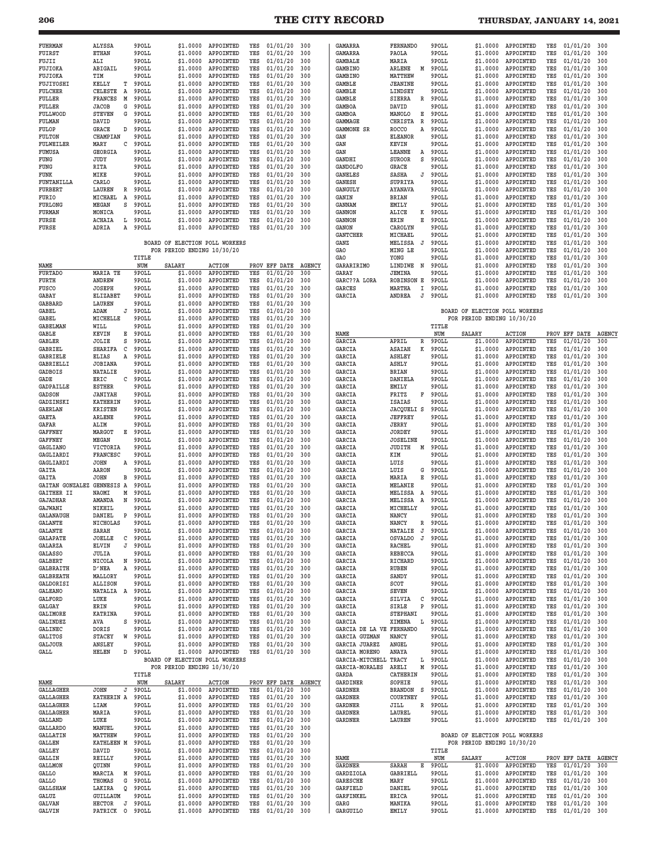**206 THE CITY RECORD THURSDAY, JANUARY 14, 2021**

| FUHRMAN<br>FUIRST<br>FUJII<br>FUJIOKA<br>FUJIOKA<br>FUJIYOSHI<br><b>FULCHER</b><br>FULLER<br>FULLER<br><b>FULLWOOD</b>                    | ALYSSA<br><b>ETHAN</b><br>ALI<br>ABIGAIL<br>TIM<br>KELLY<br>т<br>CELESTE<br>A<br>FRANCES<br>M<br><b>JACOB</b><br>G<br><b>STEVEN</b><br>G          | 9POLL<br>9POLL<br>9POLL<br>9POLL<br>9POLL<br>9POLL<br>9POLL<br>9POLL<br>9POLL<br>9POLL | \$1,0000<br>\$1.0000<br>\$1.0000<br>\$1.0000<br>\$1,0000<br>\$1.0000<br>\$1.0000<br>\$1.0000<br>\$1.0000<br>\$1.0000     | APPOINTED<br>APPOINTED<br>APPOINTED<br>APPOINTED<br>APPOINTED<br>APPOINTED<br>APPOINTED<br>APPOINTED<br>APPOINTED<br>APPOINTED | YES<br>YES<br>YES<br>YES<br>YES<br>YES<br>YES<br>YES<br>YES<br>YES | 01/01/20<br>01/01/20<br>01/01/20<br>01/01/20<br>01/01/20<br>01/01/20<br>01/01/20<br>01/01/20<br>01/01/20<br>01/01/20 | 300<br>300<br>300<br>300<br>300<br>300<br>300<br>300<br>300<br>300    | GAMARRA<br>GAMARRA<br><b>GAMBALE</b><br><b>GAMBINO</b><br><b>GAMBINO</b><br><b>GAMBLE</b><br><b>GAMBLE</b><br><b>GAMBLE</b><br><b>GAMBOA</b><br><b>GAMBOA</b> | <b>FERNANDO</b><br>PAOLA<br>MARIA<br>ARLENE<br>Μ<br>MATTHEW<br><b>JEANINE</b><br>LINDSEY<br>SIERRA<br>R<br>DAVID<br>MANOLO<br>Е                | 9POLL<br>9POLL<br>9POLL<br>9POLL<br>9POLL<br>9POLL<br>9POLL<br>9POLL<br>9POLL<br>9POLL | \$1,0000<br>\$1.0000<br>\$1.0000<br>\$1,0000<br>\$1,0000<br>\$1.0000<br>\$1.0000<br>\$1.0000<br>\$1.0000<br>\$1.0000           | APPOINTED<br>APPOINTED<br>APPOINTED<br>APPOINTED<br>APPOINTED<br>APPOINTED<br>APPOINTED<br>APPOINTED<br>APPOINTED<br>APPOINTED | YES<br>YES<br>YES<br>YES<br>YES<br>YES<br>YES<br>YES<br>YES<br>YES | 01/01/20<br>01/01/20<br>01/01/20<br>01/01/20<br>01/01/20<br>01/01/20<br>01/01/20<br>01/01/20<br>01/01/20<br>01/01/20 | 300<br>300<br>300<br>300<br>300<br>300<br>300<br>300<br>300<br>300    |
|-------------------------------------------------------------------------------------------------------------------------------------------|---------------------------------------------------------------------------------------------------------------------------------------------------|----------------------------------------------------------------------------------------|--------------------------------------------------------------------------------------------------------------------------|--------------------------------------------------------------------------------------------------------------------------------|--------------------------------------------------------------------|----------------------------------------------------------------------------------------------------------------------|-----------------------------------------------------------------------|---------------------------------------------------------------------------------------------------------------------------------------------------------------|------------------------------------------------------------------------------------------------------------------------------------------------|----------------------------------------------------------------------------------------|--------------------------------------------------------------------------------------------------------------------------------|--------------------------------------------------------------------------------------------------------------------------------|--------------------------------------------------------------------|----------------------------------------------------------------------------------------------------------------------|-----------------------------------------------------------------------|
| FULMAN<br>FULOP<br>FULTON<br>FULWEILER<br>FUMUSA<br>FUNG<br>FUNG<br>FUNK<br>FUNTANILLA<br><b>FURBERT</b>                                  | DAVID<br>GRACE<br>D<br>CHAMPIAN<br>MARY<br>с<br>GEORGIA<br>JUDY<br>RITA<br>MIKE<br>CARLO<br>LAUREN<br>R                                           | 9POLL<br>9POLL<br>9POLL<br>9POLL<br>9POLL<br>9POLL<br>9POLL<br>9POLL<br>9POLL<br>9POLL | \$1.0000<br>\$1.0000<br>\$1.0000<br>\$1,0000<br>\$1.0000<br>\$1.0000<br>\$1.0000<br>\$1.0000<br>\$1.0000<br>\$1.0000     | APPOINTED<br>APPOINTED<br>APPOINTED<br>APPOINTED<br>APPOINTED<br>APPOINTED<br>APPOINTED<br>APPOINTED<br>APPOINTED<br>APPOINTED | YES<br>YES<br>YES<br>YES<br>YES<br>YES<br>YES<br>YES<br>YES<br>YES | 01/01/20<br>01/01/20<br>01/01/20<br>01/01/20<br>01/01/20<br>01/01/20<br>01/01/20<br>01/01/20<br>01/01/20<br>01/01/20 | 300<br>300<br>300<br>300<br>300<br>300<br>300<br>300<br>300<br>300    | GAMMAGE<br>GAMMONE SR<br>GAN<br>GAN<br>GAN<br><b>GANDHI</b><br><b>GANDOLFO</b><br><b>GANELES</b><br><b>GANESH</b><br><b>GANGULY</b>                           | CHRISTA<br>R<br><b>ROCCO</b><br>A<br><b>ELEANOR</b><br>KEVIN<br>LEANNE<br>Α<br><b>SUROOR</b><br>S<br>GRACE<br>SASHA<br>J<br>SUPRIYA<br>AYANAVA | 9POLL<br>9POLL<br>9POLL<br>9POLL<br>9POLL<br>9POLL<br>9POLL<br>9POLL<br>9POLL<br>9POLL | \$1.0000<br>\$1.0000<br>\$1.0000<br>\$1.0000<br>\$1.0000<br>\$1,0000<br>\$1.0000<br>\$1.0000<br>\$1.0000<br>\$1.0000           | APPOINTED<br>APPOINTED<br>APPOINTED<br>APPOINTED<br>APPOINTED<br>APPOINTED<br>APPOINTED<br>APPOINTED<br>APPOINTED<br>APPOINTED | YES<br>YES<br>YES<br>YES<br>YES<br>YES<br>YES<br>YES<br>YES<br>YES | 01/01/20<br>01/01/20<br>01/01/20<br>01/01/20<br>01/01/20<br>01/01/20<br>01/01/20<br>01/01/20<br>01/01/20<br>01/01/20 | 300<br>300<br>300<br>300<br>300<br>300<br>300<br>300<br>300<br>300    |
| FURIO<br>FURLONG<br><b>FURMAN</b><br>FURSE<br>FURSE                                                                                       | Α<br>MICHAEL<br>MEGAN<br>s<br>MONICA<br>ACHAIA<br>L<br>ADRIA<br>Α                                                                                 | 9POLL<br>9POLL<br>9POLL<br>9POLL<br>9POLL<br>TITLE                                     | \$1.0000<br>\$1.0000<br>\$1.0000<br>\$1.0000<br>\$1.0000<br>BOARD OF ELECTION POLL WORKERS<br>FOR PERIOD ENDING 10/30/20 | APPOINTED<br>APPOINTED<br>APPOINTED<br>APPOINTED<br>APPOINTED                                                                  | YES<br>YES<br>YES<br>YES<br>YES                                    | 01/01/20<br>01/01/20<br>01/01/20<br>01/01/20<br>01/01/20                                                             | 300<br>300<br>300<br>300<br>300                                       | <b>GANIN</b><br><b>GANNAM</b><br><b>GANNON</b><br>GANNON<br>GANON<br><b>GANTCHER</b><br>GANZ<br>GAO<br><b>GAO</b>                                             | BRIAN<br><b>EMILY</b><br>ALICE<br>K<br>ERIN<br>Е<br>CAROLYN<br>MICHAEL<br>MELISSA<br>J<br>MING LE<br>YONG                                      | 9POLL<br>9POLL<br>9POLL<br>9POLL<br>9POLL<br>9POLL<br>9POLL<br>9POLL<br>9POLL          | \$1.0000<br>\$1.0000<br>\$1.0000<br>\$1.0000<br>\$1.0000<br>\$1.0000<br>\$1.0000<br>\$1,0000<br>\$1.0000                       | APPOINTED<br>APPOINTED<br>APPOINTED<br>APPOINTED<br>APPOINTED<br>APPOINTED<br>APPOINTED<br>APPOINTED<br>APPOINTED              | YES<br>YES<br>YES<br>YES<br>YES<br>YES<br>YES<br>YES<br>YES        | 01/01/20<br>01/01/20<br>01/01/20<br>01/01/20<br>01/01/20<br>01/01/20<br>01/01/20<br>01/01/20<br>01/01/20             | 300<br>300<br>300<br>300<br>300<br>300<br>300<br>300<br>300           |
| NAME<br><b>FURTADO</b><br>FURTH<br><b>FUSCO</b><br>GABAY<br><b>GABBARD</b><br>GABEL<br>GABEL<br><b>GABELMAN</b>                           | MARIA TE<br><b>ANDREW</b><br><b>JOSEPH</b><br>ELIZABET<br>LAUREN<br>ADAM<br>J<br>MICHELLE<br>WILL                                                 | NUM<br>9POLL<br>9POLL<br>9POLL<br>9POLL<br>9POLL<br>9POLL<br>9POLL<br>9POLL            | SALARY<br>\$1.0000<br>\$1.0000<br>\$1.0000<br>\$1,0000<br>\$1.0000<br>\$1.0000<br>\$1,0000<br>\$1.0000                   | <b>ACTION</b><br>APPOINTED<br>APPOINTED<br>APPOINTED<br>APPOINTED<br>APPOINTED<br>APPOINTED<br>APPOINTED<br>APPOINTED          | YES<br>YES<br>YES<br>YES<br>YES<br>YES<br>YES<br>YES               | PROV EFF DATE<br>01/01/20<br>01/01/20<br>01/01/20<br>01/01/20<br>01/01/20<br>01/01/20<br>01/01/20<br>01/01/20        | <b>AGENCY</b><br>300<br>300<br>300<br>300<br>300<br>300<br>300<br>300 | GARARIRIMO<br>GARAY<br>GARC??A LORA<br>GARCES<br>GARCIA                                                                                                       | LINDIWE<br>N<br>JEMINA<br><b>ROBINSON E</b><br>MARTHA<br>I<br>ANDREA<br>J                                                                      | 9POLL<br>9POLL<br>9POLL<br>9POLL<br>9POLL<br>TITLE                                     | \$1.0000<br>\$1.0000<br>\$1.0000<br>\$1,0000<br>\$1.0000<br>BOARD OF ELECTION POLL WORKERS<br>FOR PERIOD ENDING 10/30/20       | APPOINTED<br>APPOINTED<br>APPOINTED<br>APPOINTED<br>APPOINTED                                                                  | YES<br>YES<br>YES<br>YES<br>YES                                    | 01/01/20<br>01/01/20<br>01/01/20<br>01/01/20<br>01/01/20                                                             | 300<br>300<br>300<br>300<br>300                                       |
| GABLE<br>GABLER<br><b>GABRIEL</b><br><b>GABRIELE</b><br>GABRIELLI<br><b>GADBOIS</b><br>GADE<br>GADPAILLE<br>GADSON                        | KEVIN<br>Е<br>JOLIE<br>s<br>C<br>SHARIFA<br><b>ELIAS</b><br>A<br><b>JOBIANA</b><br><b>NATALIE</b><br>ERIC<br>C<br><b>ESTHER</b><br><b>JANIYAH</b> | 9POLL<br>9POLL<br>9POLL<br>9POLL<br>9POLL<br>9POLL<br>9POLL<br>9POLL<br>9POLL          | \$1.0000<br>\$1,0000<br>\$1.0000<br>\$1,0000<br>\$1.0000<br>\$1.0000<br>\$1.0000<br>\$1.0000<br>\$1.0000                 | APPOINTED<br>APPOINTED<br>APPOINTED<br>APPOINTED<br>APPOINTED<br>APPOINTED<br>APPOINTED<br>APPOINTED<br>APPOINTED              | YES<br>YES<br>YES<br>YES<br>YES<br>YES<br>YES<br>YES<br>YES        | 01/01/20<br>01/01/20<br>01/01/20<br>01/01/20<br>01/01/20<br>01/01/20<br>01/01/20<br>01/01/20<br>01/01/20             | 300<br>300<br>300<br>300<br>300<br>300<br>300<br>300<br>300           | NAME<br>GARCIA<br>GARCIA<br>GARCIA<br>GARCIA<br>GARCIA<br>GARCIA<br>GARCIA<br>GARCIA                                                                          | APRIL<br>R<br>К<br><b>ASAIAH</b><br><b>ASHLEY</b><br>ASHLY<br>BRIAN<br><b>DANIELA</b><br>EMILY<br>FRITZ<br>F                                   | NUM<br>9POLL<br>9POLL<br>9POLL<br>9POLL<br>9POLL<br>9POLL<br>9POLL<br>9POLL            | <b>SALARY</b><br>\$1,0000<br>\$1.0000<br>\$1.0000<br>\$1.0000<br>\$1.0000<br>\$1.0000<br>\$1.0000<br>\$1.0000                  | <b>ACTION</b><br>APPOINTED<br>APPOINTED<br>APPOINTED<br>APPOINTED<br>APPOINTED<br>APPOINTED<br>APPOINTED<br>APPOINTED          | PROV<br>YES<br>YES<br>YES<br>YES<br>YES<br>YES<br>YES<br>YES       | EFF DATE<br>01/01/20<br>01/01/20<br>01/01/20<br>01/01/20<br>01/01/20<br>01/01/20<br>01/01/20<br>01/01/20             | <b>AGENCY</b><br>300<br>300<br>300<br>300<br>300<br>300<br>300<br>300 |
| GADZINSKI<br><b>GAERLAN</b><br>GAETA<br>GAFAR<br><b>GAFFNEY</b><br><b>GAFFNEY</b><br>GAGLIANO<br>GAGLIARDI<br>GAGLIARDI                   | <b>KATHERIN</b><br><b>KRISTEN</b><br><b>ARLENE</b><br>ALIM<br>MARGOT<br>Е<br>MEGAN<br>VICTORIA<br><b>FRANCESC</b><br><b>JOHN</b><br>Α             | 9POLL<br>9POLL<br>9POLL<br>9POLL<br>9POLL<br>9POLL<br>9POLL<br>9POLL<br>9POLL          | \$1.0000<br>\$1.0000<br>\$1.0000<br>\$1.0000<br>\$1.0000<br>\$1.0000<br>\$1.0000<br>\$1.0000<br>\$1.0000                 | APPOINTED<br>APPOINTED<br>APPOINTED<br>APPOINTED<br>APPOINTED<br>APPOINTED<br>APPOINTED<br>APPOINTED<br>APPOINTED              | YES<br>YES<br>YES<br>YES<br>YES<br>YES<br>YES<br>YES<br>YES        | 01/01/20<br>01/01/20<br>01/01/20<br>01/01/20<br>01/01/20<br>01/01/20<br>01/01/20<br>01/01/20<br>01/01/20             | 300<br>300<br>300<br>300<br>300<br>300<br>300<br>300<br>300           | GARCIA<br>GARCIA<br>GARCIA<br>GARCIA<br>GARCIA<br>GARCIA<br>GARCIA<br>GARCIA<br>GARCIA                                                                        | <b>ISAIAS</b><br><b>JACQUELI S</b><br>JEFFREY<br>JERRY<br><b>JORDEY</b><br><b>JOSELINE</b><br>JUDITH<br>М<br>KIM<br>LUIS                       | 9POLL<br>9POLL<br>9POLL<br>9POLL<br>9POLL<br>9POLL<br>9POLL<br>9POLL<br>9POLL          | \$1.0000<br>\$1.0000<br>\$1.0000<br>\$1.0000<br>\$1.0000<br>\$1.0000<br>\$1.0000<br>\$1.0000<br>\$1.0000                       | APPOINTED<br>APPOINTED<br>APPOINTED<br>APPOINTED<br>APPOINTED<br>APPOINTED<br>APPOINTED<br>APPOINTED<br>APPOINTED              | YES<br>YES<br>YES<br>YES<br>YES<br>YES<br>YES<br>YES<br>YES        | 01/01/20<br>01/01/20<br>01/01/20<br>01/01/20<br>01/01/20<br>01/01/20<br>01/01/20<br>01/01/20<br>01/01/20             | 300<br>300<br>300<br>300<br>300<br>300<br>300<br>300<br>300           |
| GAITA<br>GAITA<br>GAITAN GONZALEZ<br>GAITHER II<br><b>GAJADHAR</b><br>GAJWANI<br><b>GALANAUGH</b><br>GALANTE<br>GALANTE                   | AARON<br>JOHN<br>в<br>GENNESIS A<br>NAOMI<br>Μ<br>AMANDA<br>N<br>NIKHIL<br>DANIEL<br>Ρ<br>NICHOLAS<br>SARAH                                       | 9POLL<br>9POLL<br>9POLL<br>9POLL<br>9POLL<br>9POLL<br>9POLL<br>9 POLL<br>9POLL         | \$1.0000<br>\$1.0000<br>\$1.0000<br>\$1.0000<br>\$1.0000<br>\$1.0000<br>\$1,0000<br>\$1,0000<br>\$1.0000                 | APPOINTED<br>APPOINTED<br>APPOINTED<br>APPOINTED<br>APPOINTED<br>APPOINTED<br>APPOINTED<br>APPOINTED<br>APPOINTED              | YES<br>YES<br>YES<br>YES<br>YES<br>YES<br>YES<br>YES<br>YES        | 01/01/20<br>01/01/20<br>01/01/20<br>01/01/20<br>01/01/20<br>01/01/20<br>01/01/20<br>01/<br>'01/20<br>01/01/20        | 300<br>300<br>300<br>300<br>300<br>300<br>300<br>300<br>300           | GARCIA<br>GARCIA<br>GARCIA<br>GARCIA<br>GARCIA<br><b>GARCIA</b><br>GARCIA<br>GARCIA<br>GARCIA                                                                 | LUIS<br>G<br>MARIA<br>E<br>MELANIE<br>MELISSA<br>Α<br>MELISSA<br>Α<br>MICHELLY<br>NANCY<br>NANCY<br>NATALIE<br>J                               | 9POLL<br>9POLL<br>9POLL<br>9POLL<br>9POLL<br>9POLL<br>9POLL<br><b>SPOLL</b><br>9POLL   | \$1.0000<br>\$1,0000<br>\$1,0000<br>\$1,0000<br>\$1.0000<br>\$1.0000<br>\$1,0000<br>\$1.0000<br>\$1.0000                       | APPOINTED<br>APPOINTED<br>APPOINTED<br>APPOINTED<br>APPOINTED<br>APPOINTED<br>APPOINTED<br>APPOINTED<br>APPOINTED              | YES<br>YES<br>YES<br>YES<br>YES<br>YES<br>YES<br>YES<br>YES        | 01/01/20<br>01/01/20<br>01/01/20<br>01/01/20<br>01/01/20<br>01/01/20<br>01/01/20<br>01/01/20<br>01/01/20             | 300<br>300<br>300<br>300<br>300<br>300<br>300<br>300<br>300           |
| <b>GALAPATE</b><br>GALARZA<br><b>GALASSO</b><br>GALBERT<br><b>GALBRAITH</b><br><b>GALBREATH</b><br>GALDORISI<br><b>GALEANO</b><br>GALFORD | JOELLE<br>С<br>ELVIN<br>J<br>JULIA<br>NICOLA<br>N<br>D'NEA<br>Α<br>MALLORY<br>ALLISON<br>NATALIA A<br>LUKE                                        | 9POLL<br>9POLL<br>9POLL<br>9POLL<br>9POLL<br>9POLL<br>9POLL<br>9POLL<br>9POLL          | \$1.0000<br>\$1.0000<br>\$1.0000<br>\$1.0000<br>\$1.0000<br>\$1.0000<br>\$1.0000<br>\$1.0000<br>\$1.0000                 | APPOINTED<br>APPOINTED<br>APPOINTED<br>APPOINTED<br>APPOINTED<br>APPOINTED<br>APPOINTED<br>APPOINTED<br>APPOINTED              | YES<br>YES<br>YES<br>YES<br>YES<br>YES<br>YES<br>YES<br>YES        | 01/01/20<br>01/01/20<br>01/01/20<br>01/01/20<br>01/01/20<br>01/01/20<br>01/01/20<br>01/01/20<br>01/01/20             | 300<br>300<br>300<br>300<br>300<br>300<br>300<br>300<br>300           | GARCIA<br>GARCIA<br>GARCIA<br>GARCIA<br>GARCIA<br>GARCIA<br>GARCIA<br>GARCIA<br>GARCIA                                                                        | <b>OSVALDO</b><br>J<br>RACHEL<br>REBECCA<br>RICHARD<br>RUBEN<br>SANDY<br>SCOT<br>SEVEN<br>SILVIA<br>с                                          | 9POLL<br>9POLL<br>9POLL<br>9POLL<br>9POLL<br>9POLL<br>9POLL<br>9POLL<br>9POLL          | \$1.0000<br>\$1.0000<br>\$1.0000<br>\$1.0000<br>\$1.0000<br>\$1.0000<br>\$1.0000<br>\$1.0000<br>\$1.0000                       | APPOINTED<br>APPOINTED<br>APPOINTED<br>APPOINTED<br>APPOINTED<br>APPOINTED<br>APPOINTED<br>APPOINTED<br>APPOINTED              | YES<br>YES<br>YES<br>YES<br>YES<br>YES<br>YES<br>YES<br>YES        | 01/01/20<br>01/01/20<br>01/01/20<br>01/01/20<br>01/01/20<br>01/01/20<br>01/01/20<br>01/01/20<br>01/01/20             | 300<br>300<br>300<br>300<br>300<br>300<br>300<br>300<br>300           |
| GALGAY<br><b>GALIMORE</b><br>GALINDEZ<br>GALINEC<br>GALITOS<br>GALJOUR<br>GALL                                                            | ERIN<br><b>KATRINA</b><br>AVA<br>s<br>DORIS<br><b>STACEY</b><br>W<br>ANSLEY<br>HELEN<br>D                                                         | 9POLL<br>9POLL<br>9POLL<br>9POLL<br>9POLL<br>9POLL<br>9POLL                            | \$1.0000<br>\$1,0000<br>\$1.0000<br>\$1.0000<br>\$1.0000<br>\$1.0000<br>\$1.0000<br>BOARD OF ELECTION POLL WORKERS       | APPOINTED<br>APPOINTED<br>APPOINTED<br>APPOINTED<br>APPOINTED<br>APPOINTED<br>APPOINTED                                        | YES<br>YES<br>YES<br>YES<br>YES<br>YES<br>YES                      | 01/01/20<br>01/01/20<br>01/01/20<br>01/01/20<br>01/01/20<br>01/01/20<br>01/01/20                                     | 300<br>300<br>300<br>300<br>300<br>300<br>300                         | GARCIA<br>GARCIA<br>GARCIA<br>GARCIA DE LA VE FERNANDO<br>GARCIA GUZMAN<br>GARCIA JUAREZ<br>GARCIA MORENO<br>GARCIA-MITCHELL                                  | SIRLE<br>P<br>STEPHANI<br>XIMENA<br>L<br>NANCY<br>ANGEL<br>ANAYA<br>TRACY<br>Ŀ                                                                 | 9POLL<br>9POLL<br>9POLL<br>9POLL<br>9POLL<br>9POLL<br>9POLL<br>9POLL                   | \$1.0000<br>\$1.0000<br>\$1.0000<br>\$1.0000<br>\$1.0000<br>\$1.0000<br>\$1.0000<br>\$1.0000                                   | APPOINTED<br>APPOINTED<br>APPOINTED<br>APPOINTED<br>APPOINTED<br>APPOINTED<br>APPOINTED<br>APPOINTED                           | YES<br>YES<br>YES<br>YES<br>YES<br>YES<br>YES<br>YES               | 01/01/20<br>01/01/20<br>01/01/20<br>01/01/20<br>01/01/20<br>01/01/20<br>01/01/20<br>01/01/20                         | 300<br>300<br>300<br>300<br>300<br>300<br>300<br>300                  |
| NAME<br><b>GALLAGHER</b><br><b>GALLAGHER</b><br><b>GALLAGHER</b><br><b>GALLAGHER</b><br>GALLAND<br><b>GALLARDO</b><br><b>GALLATIN</b>     | <b>JOHN</b><br>J<br>KATHERIN A<br>LIAM<br>MARIA<br>LUKE<br>MANUEL<br>MATTHEW                                                                      | TITLE<br>NUM<br>9POLL<br>9POLL<br>9POLL<br>9POLL<br>9POLL<br>9POLL<br>9POLL            | FOR PERIOD ENDING 10/30/20<br>SALARY<br>\$1.0000<br>\$1.0000<br>\$1.0000<br>\$1.0000<br>\$1.0000<br>\$1.0000<br>\$1.0000 | ACTION<br>APPOINTED<br>APPOINTED<br>APPOINTED<br>APPOINTED<br>APPOINTED<br>APPOINTED<br>APPOINTED                              | YES<br>YES<br>YES<br>YES<br>YES<br>YES<br>YES                      | PROV EFF DATE<br>01/01/20<br>01/01/20<br>01/01/20<br>01/01/20<br>01/01/20<br>01/01/20<br>01/01/20                    | <b>AGENCY</b><br>300<br>300<br>300<br>300<br>300<br>300<br>300        | GARCIA-MORALES<br>GARDA<br>GARDINER<br><b>GARDNER</b><br><b>GARDNER</b><br>GARDNER<br><b>GARDNER</b><br><b>GARDNER</b>                                        | ARELI<br>Μ<br>CATHERIN<br>SOPHIE<br><b>BRANDON</b><br>- S<br>COURTNEY<br>JILL<br>R<br>LAUREL<br>LAUREN                                         | 9POLL<br>9POLL<br>9POLL<br>9POLL<br>9POLL<br>9POLL<br>9POLL<br>9POLL                   | \$1.0000<br>\$1.0000<br>\$1.0000<br>\$1.0000<br>\$1.0000<br>\$1.0000<br>\$1.0000<br>\$1.0000<br>BOARD OF ELECTION POLL WORKERS | APPOINTED<br>APPOINTED<br>APPOINTED<br>APPOINTED<br>APPOINTED<br>APPOINTED<br>APPOINTED<br>APPOINTED                           | YES<br>YES<br>YES<br>YES<br>YES<br>YES<br>YES<br>YES               | 01/01/20<br>01/01/20<br>01/01/20<br>01/01/20<br>01/01/20<br>01/01/20<br>01/01/20<br>01/01/20                         | 300<br>300<br>300<br>300<br>300<br>300<br>300<br>300                  |
| GALLEN<br>GALLEY<br>GALLIN<br>GALLMON<br><b>GALLO</b><br><b>GALLO</b><br><b>GALLSHAW</b><br>GALUZ<br><b>GALVAN</b><br><b>GALVIN</b>       | KATHLEEN M<br>DAVID<br>REILLY<br>QUINN<br>MARCIA<br>Μ<br>THOMAS<br>G<br>LAKIRA<br>$\circ$<br>GUILLAUM<br>HECTOR<br>J<br>PATRICK<br>$\circ$        | 9POLL<br>9POLL<br>9POLL<br>9POLL<br>9POLL<br>9POLL<br>9POLL<br>9POLL<br>9POLL<br>9POLL | \$1.0000<br>\$1.0000<br>\$1.0000<br>\$1.0000<br>\$1.0000<br>\$1.0000<br>\$1.0000<br>\$1.0000<br>\$1.0000<br>\$1.0000     | APPOINTED<br>APPOINTED<br>APPOINTED<br>APPOINTED<br>APPOINTED<br>APPOINTED<br>APPOINTED<br>APPOINTED<br>APPOINTED<br>APPOINTED | YES<br>YES<br>YES<br>YES<br>YES<br>YES<br>YES<br>YES<br>YES<br>YES | 01/01/20<br>01/01/20<br>01/01/20<br>01/01/20<br>01/01/20<br>01/01/20<br>01/01/20<br>01/01/20<br>01/01/20<br>01/01/20 | 300<br>300<br>300<br>300<br>300<br>300<br>300<br>300<br>300<br>300    | NAME<br>GARDNER<br>GARDZIOLA<br><b>GARESCHE</b><br><b>GARFIELD</b><br>GARFINKEL<br>GARG<br><b>GARGUILO</b>                                                    | SARAH<br>E<br>GABRIELL<br>MARY<br>DANIEL<br>ERICA<br>MANIKA<br>EMILY                                                                           | TITLE<br>NUM<br>9POLL<br>9POLL<br>9POLL<br>9POLL<br>9POLL<br>9POLL<br>9POLL            | FOR PERIOD ENDING 10/30/20<br>SALARY<br>\$1.0000<br>\$1.0000<br>\$1.0000<br>\$1.0000<br>\$1.0000<br>\$1.0000<br>\$1.0000       | <b>ACTION</b><br>APPOINTED<br>APPOINTED<br>APPOINTED<br>APPOINTED<br>APPOINTED<br>APPOINTED<br>APPOINTED                       | PROV<br>YES<br>YES<br>YES<br>YES<br>YES<br>YES<br>YES              | EFF DATE AGENCY<br>01/01/20<br>01/01/20<br>01/01/20<br>01/01/20<br>01/01/20<br>01/01/20<br>01/01/20                  | 300<br>300<br>300<br>300<br>300<br>300<br>300                         |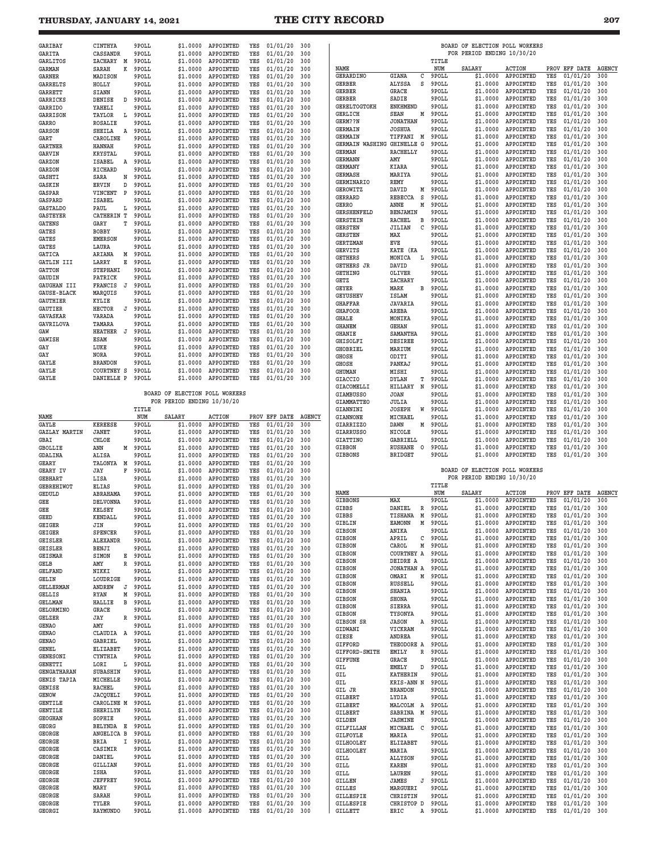| GARIBAY            | CINTHYA           |   | 9POLL | \$1.0000                       | APPOINTED | YES | 01/01/20 | 300 |  |
|--------------------|-------------------|---|-------|--------------------------------|-----------|-----|----------|-----|--|
| <b>GARITA</b>      | CASSANDR          |   | 9POLL | \$1,0000                       | APPOINTED | YES | 01/01/20 | 300 |  |
| <b>GARLITOS</b>    | ZACHARY           | M | 9POLL | \$1,0000                       | APPOINTED | YES | 01/01/20 | 300 |  |
| <b>GARMAN</b>      | SARAH             | K | 9POLL | \$1.0000                       | APPOINTED | YES | 01/01/20 | 300 |  |
| <b>GARNER</b>      | MADISON           |   | 9POLL | \$1,0000                       | APPOINTED | YES | 01/01/20 | 300 |  |
| <b>GARRELTS</b>    | HOLLY             |   | 9POLL | \$1,0000                       | APPOINTED | YES | 01/01/20 | 300 |  |
| <b>GARRETT</b>     | SIANN             |   | 9POLL | \$1.0000                       | APPOINTED | YES | 01/01/20 | 300 |  |
| GARRICKS           | DENISE            | D | 9POLL | \$1.0000                       | APPOINTED | YES | 01/01/20 | 300 |  |
| <b>GARRIDO</b>     | YAHELI            |   | 9POLL | \$1,0000                       | APPOINTED | YES | 01/01/20 | 300 |  |
| <b>GARRISON</b>    | TAYLOR            | г | 9POLL | \$1.0000                       | APPOINTED | YES | 01/01/20 | 300 |  |
| GARRO              | <b>ROSALIE</b>    |   | 9POLL | \$1,0000                       | APPOINTED | YES | 01/01/20 | 300 |  |
| <b>GARSON</b>      | <b>SHEILA</b>     | Α | 9POLL | \$1,0000                       | APPOINTED | YES | 01/01/20 | 300 |  |
| GART               | CAROLINE          |   | 9POLL | \$1,0000                       | APPOINTED | YES | 01/01/20 | 300 |  |
| <b>GARTNER</b>     | <b>HANNAH</b>     |   | 9POLL | \$1.0000                       | APPOINTED | YES | 01/01/20 | 300 |  |
| <b>GARVIN</b>      | <b>KRYSTAL</b>    |   | 9POLL | \$1.0000                       | APPOINTED | YES | 01/01/20 | 300 |  |
| GARZON             | <b>ISABEL</b>     | Α | 9POLL | \$1,0000                       | APPOINTED | YES | 01/01/20 | 300 |  |
| GARZON             | RICHARD           |   | 9POLL | \$1.0000                       | APPOINTED | YES | 01/01/20 | 300 |  |
| GASHTI             | SARA              | N | 9POLL | \$1.0000                       | APPOINTED | YES | 01/01/20 | 300 |  |
| GASKIN             | ERVIN             | D | 9POLL | \$1.0000                       | APPOINTED | YES | 01/01/20 | 300 |  |
| <b>GASPAR</b>      | VINCENT           | P | 9POLL | \$1,0000                       | APPOINTED | YES | 01/01/20 | 300 |  |
| <b>GASPARD</b>     | <b>ISABEL</b>     |   | 9POLL | \$1.0000                       | APPOINTED | YES | 01/01/20 | 300 |  |
| <b>GASTALDO</b>    | PAUL              | r | 9POLL | \$1.0000                       | APPOINTED | YES | 01/01/20 | 300 |  |
| <b>GASTEYER</b>    | CATHERIN T        |   | 9POLL | \$1.0000                       | APPOINTED | YES | 01/01/20 | 300 |  |
| <b>GATENS</b>      | GARY              | T | 9POLL | \$1,0000                       | APPOINTED | YES | 01/01/20 | 300 |  |
| <b>GATES</b>       | <b>BOBBY</b>      |   | 9POLL | \$1.0000                       | APPOINTED | YES | 01/01/20 | 300 |  |
| GATES              | <b>EMERSON</b>    |   | 9POLL | \$1.0000                       | APPOINTED | YES | 01/01/20 | 300 |  |
| <b>GATES</b>       | LAURA             |   | 9POLL | \$1.0000                       | APPOINTED | YES | 01/01/20 | 300 |  |
| <b>GATICA</b>      | ARIANA            | M | 9POLL | \$1.0000                       | APPOINTED | YES | 01/01/20 | 300 |  |
| GATLIN III         | LARRY             | E | 9POLL | \$1.0000                       | APPOINTED | YES | 01/01/20 | 300 |  |
| <b>GATTON</b>      | <b>STEPHANI</b>   |   | 9POLL | \$1.0000                       | APPOINTED | YES | 01/01/20 | 300 |  |
| GAUDIN             | PATRICK           |   | 9POLL | \$1,0000                       | APPOINTED | YES | 01/01/20 | 300 |  |
| GAUGHAN III        | FRANCIS           | J | 9POLL | \$1.0000                       | APPOINTED | YES | 01/01/20 | 300 |  |
| <b>GAUSE-BLACK</b> | MARQUIS           |   | 9POLL | \$1.0000                       | APPOINTED | YES | 01/01/20 | 300 |  |
| <b>GAUTHIER</b>    | KYLIE             |   | 9POLL | \$1.0000                       | APPOINTED | YES | 01/01/20 | 300 |  |
| <b>GAUTIER</b>     | <b>HECTOR</b>     | J | 9POLL | \$1.0000                       | APPOINTED | YES | 01/01/20 | 300 |  |
| <b>GAVASKAR</b>    | VARADA            |   | 9POLL | \$1.0000                       | APPOINTED | YES | 01/01/20 | 300 |  |
| GAVRILOVA          | TAMARA            |   | 9POLL | \$1.0000                       | APPOINTED | YES | 01/01/20 | 300 |  |
| GAW                | <b>HEATHER</b>    | J | 9POLL | \$1.0000                       | APPOINTED | YES | 01/01/20 | 300 |  |
| <b>GAWISH</b>      | <b>ESAM</b>       |   | 9POLL | \$1.0000                       | APPOINTED | YES | 01/01/20 | 300 |  |
| GAY                | LUKE              |   | 9POLL | \$1.0000                       | APPOINTED | YES | 01/01/20 | 300 |  |
| GAY                | NORA              |   | 9POLL | \$1.0000                       | APPOINTED | YES | 01/01/20 | 300 |  |
| GAYLE              | <b>BRANDON</b>    |   | 9POLL | \$1,0000                       | APPOINTED | YES | 01/01/20 | 300 |  |
| GAYLE              | <b>COURTNEY S</b> |   | 9POLL | \$1.0000                       | APPOINTED | YES | 01/01/20 | 300 |  |
| GAYLE              | DANIELLE P        |   | 9POLL | \$1.0000                       | APPOINTED | YES | 01/01/20 | 300 |  |
|                    |                   |   |       |                                |           |     |          |     |  |
|                    |                   |   |       | BOARD OF ELECTION POLL WORKERS |           |     |          |     |  |
|                    |                   |   |       | FOR PERIOD ENDING 10/30/20     |           |     |          |     |  |
|                    |                   |   |       |                                |           |     |          |     |  |

|                      |                 |   | TITLE |               |                  |     |               |               |
|----------------------|-----------------|---|-------|---------------|------------------|-----|---------------|---------------|
| NAME                 |                 |   | NUM   | <b>SALARY</b> | <b>ACTION</b>    |     | PROV EFF DATE | <b>AGENCY</b> |
| GAYLE                | <b>KEREESE</b>  |   | 9POLL | \$1.0000      | APPOINTED        | YES | 01/01/20      | 300           |
| <b>GAZLAY MARTIN</b> | <b>JANET</b>    |   | 9POLL | \$1,0000      | APPOINTED        | YES | 01/01/20      | 300           |
| GBAI                 | CHLOE           |   | 9POLL | \$1,0000      | APPOINTED        | YES | 01/01/20      | 300           |
| <b>GBOLLIE</b>       | ANN             | М | 9POLL | \$1.0000      | APPOINTED        | YES | 01/01/20      | 300           |
| <b>GDALINA</b>       | ALISA           |   | 9POLL | \$1,0000      | APPOINTED        | YES | 01/01/20      | 300           |
| <b>GEARY</b>         | TALONYA         | M | 9POLL | \$1.0000      | APPOINTED        | YES | 01/01/20      | 300           |
| <b>GEARY IV</b>      | JAY             | F | 9POLL | \$1.0000      | APPOINTED        | YES | 01/01/20      | 300           |
| <b>GEBHART</b>       | LISA            |   | 9POLL | \$1,0000      | APPOINTED        | YES | 01/01/20      | 300           |
| <b>GEBREHIWOT</b>    | ELIAS           |   | 9POLL | \$1,0000      | APPOINTED        | YES | 01/01/20      | 300           |
| <b>GEDULD</b>        | ABRAHAMA        |   | 9POLL | \$1,0000      | APPOINTED        | YES | 01/01/20      | 300           |
| GEE                  | <b>DELVONNA</b> |   | 9POLL | \$1.0000      | APPOINTED        | YES | 01/01/20      | 300           |
| GEE                  | <b>KELSEY</b>   |   | 9POLL | \$1,0000      | APPOINTED        | YES | 01/01/20      | 300           |
| <b>GEED</b>          | <b>KENDALL</b>  |   | 9POLL | \$1,0000      | APPOINTED        | YES | 01/01/20      | 300           |
| GEIGER               | JIN             |   | 9POLL | \$1.0000      | APPOINTED        | YES | 01/01/20      | 300           |
| GEIGER               | <b>SPENCER</b>  |   | 9POLL | \$1.0000      | APPOINTED        | YES | 01/01/20      | 300           |
| <b>GEISLER</b>       | <b>ALEXANDR</b> |   | 9POLL | \$1.0000      | APPOINTED        | YES | 01/01/20      | 300           |
| <b>GEISLER</b>       | BENJI           |   | 9POLL | \$1.0000      | APPOINTED        | YES | 01/01/20      | 300           |
| <b>GEISMAR</b>       | SIMON           | E | 9POLL | \$1.0000      | APPOINTED        | YES | 01/01/20      | 300           |
| GELB                 | AMY             | R | 9POLL | \$1.0000      | APPOINTED        | YES | 01/01/20      | 300           |
| <b>GELFAND</b>       | NIKKI           |   | 9POLL | \$1.0000      | APPOINTED        | YES | 01/01/20      | 300           |
| GELIN                | LOUDRIGE        |   | 9POLL | \$1.0000      | APPOINTED        | YES | 01/01/20      | 300           |
| <b>GELLERMAN</b>     | <b>ANDREW</b>   | J | 9POLL | \$1.0000      | APPOINTED        | YES | 01/01/20      | 300           |
| <b>GELLIS</b>        | <b>RYAN</b>     | М | 9POLL | \$1.0000      | APPOINTED        | YES | 01/01/20      | 300           |
| <b>GELLMAN</b>       | <b>HALLIE</b>   | B | 9POLL | \$1.0000      | APPOINTED        | YES | 01/01/20      | 300           |
| GELORMINO            | GRACE           |   | 9POLL | \$1.0000      | APPOINTED        | YES | 01/01/20      | 300           |
| <b>GELZER</b>        | JAY             | R | 9POLL | \$1.0000      | APPOINTED        | YES | 01/01/20      | 300           |
| <b>GENAO</b>         | AMY             |   | 9POLL | \$1.0000      | APPOINTED        | YES | 01/01/20      | 300           |
| <b>GENAO</b>         | CLAUDIA         | A | 9POLL | \$1.0000      | APPOINTED        | YES | 01/01/20      | 300           |
| <b>GENAO</b>         | <b>GABRIEL</b>  |   | 9POLL | \$1.0000      | APPOINTED        | YES | 01/01/20      | 300           |
| <b>GENEL</b>         | <b>ELIZABET</b> |   | 9POLL | \$1.0000      | APPOINTED        | YES | 01/01/20      | 300           |
| <b>GENESONI</b>      | <b>CYNTHIA</b>  |   | 9POLL | \$1.0000      | <b>APPOINTED</b> | YES | 01/01/20      | 300           |
| <b>GENETTI</b>       | LORI            | L | 9POLL | \$1.0000      | APPOINTED        | YES | 01/01/20      | 300           |
| <b>GENGATHARAN</b>   | <b>SUBASHIN</b> |   | 9POLL | \$1.0000      | APPOINTED        | YES | 01/01/20      | 300           |
| <b>GENIS TAPIA</b>   | MICHELLE        |   | 9POLL | \$1.0000      | APPOINTED        | YES | 01/01/20      | 300           |
| GENISE               | RACHEL          |   | 9POLL | \$1.0000      | APPOINTED        | YES | 01/01/20      | 300           |
| <b>GENOW</b>         | <b>JACQUELI</b> |   | 9POLL | \$1,0000      | APPOINTED        | YES | 01/01/20      | 300           |
| <b>GENTILE</b>       | CAROLINE M      |   | 9POLL | \$1.0000      | APPOINTED        | YES | 01/01/20      | 300           |
| <b>GENTILE</b>       | <b>SHERILYN</b> |   | 9POLL | \$1.0000      | APPOINTED        | YES | 01/01/20      | 300           |
| <b>GEOGHAN</b>       | SOPHIE          |   | 9POLL | \$1.0000      | APPOINTED        | YES | 01/01/20      | 300           |
| GEORG                | <b>BELYNDA</b>  | Е | 9POLL | \$1.0000      | APPOINTED        | YES | 01/01/20      | 300           |
| GEORGE               | ANGELICA B      |   | 9POLL | \$1.0000      | APPOINTED        | YES | 01/01/20      | 300           |
| <b>GEORGE</b>        | <b>BRIA</b>     | I | 9POLL | \$1,0000      | APPOINTED        | YES | 01/01/20      | 300           |
| <b>GEORGE</b>        | CASIMIR         |   | 9POLL | \$1.0000      | APPOINTED        | YES | 01/01/20      | 300           |
| GEORGE               | DANIEL          |   | 9POLL | \$1,0000      | APPOINTED        | YES | 01/01/20      | 300           |
| <b>GEORGE</b>        | <b>GILLIAN</b>  |   | 9POLL | \$1.0000      | APPOINTED        | YES | 01/01/20      | 300           |
| <b>GEORGE</b>        | <b>ISHA</b>     |   | 9POLL | \$1,0000      | APPOINTED        | YES | 01/01/20      | 300           |
| <b>GEORGE</b>        | <b>JEFFREY</b>  |   | 9POLL | \$1.0000      | APPOINTED        | YES | 01/01/20      | 300           |
| <b>GEORGE</b>        | MARY            |   | 9POLL | \$1,0000      | APPOINTED        | YES | 01/01/20      | 300           |
| <b>GEORGE</b>        | SARAH           |   | 9POLL | \$1,0000      | APPOINTED        | YES | 01/01/20      | 300           |
| <b>GEORGE</b>        | TYLER           |   | 9POLL | \$1.0000      | APPOINTED        | YES | 01/01/20      | 300           |
|                      |                 |   |       |               |                  |     |               |               |

| <b>GARIBAY</b>                            | CINTHYA         |              | 9POLL   | \$1,0000                       | APPOINTED     | YES | 01/01/20      | 300           |                            |                    |       | BOARD OF ELECTION POLL WORKERS |                    |     |                      |               |
|-------------------------------------------|-----------------|--------------|---------|--------------------------------|---------------|-----|---------------|---------------|----------------------------|--------------------|-------|--------------------------------|--------------------|-----|----------------------|---------------|
| <b>GARITA</b>                             | CASSANDR        |              | 9POLL   | \$1.0000                       | APPOINTED     | YES | 01/01/20      | 300           |                            |                    |       | FOR PERIOD ENDING 10/30/20     |                    |     |                      |               |
| GARLITOS                                  | ZACHARY         | M            | 9POLL   | \$1,0000                       | APPOINTED     | YES | 01/01/20      | 300           |                            |                    | TITLE |                                |                    |     |                      |               |
| <b>GARMAN</b>                             | SARAH           | к            | 9POLL   | \$1.0000                       | APPOINTED     | YES | 01/01/20      | 300           | NAME                       |                    | NUM   | <b>SALARY</b>                  | <b>ACTION</b>      |     | PROV EFF DATE AGENCY |               |
| GARNER                                    | MADISON         |              | 9POLL   | \$1,0000                       | APPOINTED     | YES | 01/01/20      | 300           | <b>GERARDINO</b>           | GIANA<br>С         | 9POLL | \$1,0000                       | APPOINTED          | YES | 01/01/20             | 300           |
| <b>GARRELTS</b>                           | HOLLY           |              | 9POLL   | \$1.0000                       | APPOINTED     | YES | 01/01/20      | 300           | <b>GERBER</b>              | ALYSSA<br>S        | 9POLL | \$1.0000                       | APPOINTED          | YES | 01/01/20             | 300           |
|                                           |                 |              |         |                                |               |     |               |               | <b>GERBER</b>              | GRACE              | 9POLL | \$1.0000                       | APPOINTED          | YES | 01/01/20             | 300           |
| GARRETT                                   | SIANN           |              | 9POLL   | \$1.0000                       | APPOINTED     | YES | 01/01/20      | 300           | <b>GERBER</b>              | SADIE              | 9POLL | \$1.0000                       | APPOINTED          | YES | 01/01/20             | 300           |
| GARRICKS                                  | DENISE          | D            | 9POLL   | \$1.0000                       | APPOINTED     | YES | 01/01/20      | 300           |                            |                    |       |                                |                    |     |                      |               |
| <b>GARRIDO</b>                            | YAHELI          |              | 9POLL   | \$1.0000                       | APPOINTED     | YES | 01/01/20      | 300           | <b>GERELTOGTOKH</b>        | <b>ENKHMEND</b>    | 9POLL | \$1.0000                       | APPOINTED          | YES | 01/01/20             | 300           |
| GARRISON                                  | TAYLOR          | L            | 9POLL   | \$1,0000                       | APPOINTED     | YES | 01/01/20      | 300           | <b>GERLICH</b>             | <b>SEAN</b><br>М   | 9POLL | \$1.0000                       | APPOINTED          | YES | 01/01/20             | 300           |
| GARRO                                     | <b>ROSALIE</b>  |              | 9POLL   | \$1.0000                       | APPOINTED     | YES | 01/01/20      | 300           | GERM??N                    | <b>JONATHAN</b>    | 9POLL | \$1,0000                       | APPOINTED          | YES | 01/01/20             | 300           |
| <b>GARSON</b>                             | SHEILA          | Α            | 9POLL   | \$1.0000                       | APPOINTED     | YES | 01/01/20      | 300           | <b>GERMAIN</b>             | <b>JOSHUA</b>      | 9POLL | \$1.0000                       | APPOINTED          | YES | 01/01/20             | 300           |
| GART                                      | CAROLINE        |              | 9POLL   | \$1.0000                       | APPOINTED     | YES | 01/01/20      | 300           | <b>GERMAIN</b>             | TIFFANI M          | 9POLL | \$1.0000                       | APPOINTED          | YES | 01/01/20             | 300           |
|                                           |                 |              |         |                                |               |     |               |               | GERMAIN WASHING GHINELLE G |                    | 9POLL | \$1,0000                       | APPOINTED          | YES | 01/01/20             | 300           |
| <b>GARTNER</b>                            | <b>HANNAH</b>   |              | 9POLL   | \$1.0000                       | APPOINTED     | YES | 01/01/20      | 300           | <b>GERMAN</b>              | <b>RACHELLY</b>    | 9POLL | \$1.0000                       | APPOINTED          | YES | 01/01/20             | 300           |
| <b>GARVIN</b>                             | <b>KRYSTAL</b>  |              | 9POLL   | \$1,0000                       | APPOINTED     | YES | 01/01/20      | 300           |                            |                    |       |                                |                    |     |                      |               |
| GARZON                                    | ISABEL          | Α            | 9POLL   | \$1.0000                       | APPOINTED     | YES | 01/01/20      | 300           | <b>GERMANN</b>             | AMY                | 9POLL | \$1.0000                       | APPOINTED          | YES | 01/01/20             | 300           |
| GARZON                                    | RICHARD         |              | 9POLL   | \$1.0000                       | APPOINTED     | YES | 01/01/20      | 300           | <b>GERMANY</b>             | KIARA              | 9POLL | \$1,0000                       | APPOINTED          | YES | 01/01/20             | 300           |
| <b>GASHTI</b>                             | SARA            | Ν            | 9POLL   | \$1.0000                       | APPOINTED     | YES | 01/01/20      | 300           | <b>GERMASH</b>             | MARIYA             | 9POLL | \$1.0000                       | APPOINTED          | YES | 01/01/20             | 300           |
| <b>GASKIN</b>                             | ERVIN           | D            | 9POLL   | \$1.0000                       | APPOINTED     | YES | 01/01/20      | 300           | <b>GERMINARIO</b>          | REMY               | 9POLL | \$1.0000                       | APPOINTED          | YES | 01/01/20             | 300           |
|                                           |                 |              |         |                                |               |     |               |               | <b>GEROWITZ</b>            | DAVID<br>М         | 9POLL | \$1.0000                       | APPOINTED          | YES | 01/01/20             | 300           |
| <b>GASPAR</b>                             | VINCENT         | $\mathbf{P}$ | 9POLL   | \$1.0000                       | APPOINTED     | YES | 01/01/20      | 300           | <b>GERRARD</b>             | REBECCA<br>s       | 9POLL | \$1,0000                       | APPOINTED          | YES | 01/01/20             | 300           |
| GASPARD                                   | <b>ISABEL</b>   |              | 9POLL   | \$1.0000                       | APPOINTED     | YES | 01/01/20      | 300           | GERRO                      | ANNE<br>М          | 9POLL | \$1.0000                       | APPOINTED          | YES | 01/01/20             | 300           |
| <b>GASTALDO</b>                           | PAUL            | ь            | 9POLL   | \$1.0000                       | APPOINTED     | YES | 01/01/20      | 300           |                            |                    |       |                                |                    |     |                      |               |
| <b>GASTEYER</b>                           | CATHERIN T      |              | 9POLL   | \$1.0000                       | APPOINTED     | YES | 01/01/20      | 300           | <b>GERSHENFELD</b>         | BENJAMIN           | 9POLL | \$1.0000                       | APPOINTED          | YES | 01/01/20             | 300           |
| <b>GATENS</b>                             | GARY            | т            | 9POLL   | \$1.0000                       | APPOINTED     | YES | 01/01/20      | 300           | <b>GERSTEIN</b>            | RACHEL<br>в        | 9POLL | \$1,0000                       | APPOINTED          | YES | 01/01/20             | 300           |
| GATES                                     | <b>BOBBY</b>    |              | 9POLL   | \$1.0000                       | APPOINTED     | YES | 01/01/20      | 300           | <b>GERSTEN</b>             | <b>JILIAN</b><br>С | 9POLL | \$1,0000                       | APPOINTED          | YES | 01/01/20             | 300           |
|                                           |                 |              |         |                                |               |     |               |               | <b>GERSTEN</b>             | MAX                | 9POLL | \$1.0000                       | APPOINTED          | YES | 01/01/20             | 300           |
| GATES                                     | <b>EMERSON</b>  |              | 9POLL   | \$1.0000                       | APPOINTED     | YES | 01/01/20      | 300           | <b>GERTZMAN</b>            | EVE                | 9POLL | \$1,0000                       | APPOINTED          | YES | 01/01/20             | 300           |
| GATES                                     | LAURA           |              | 9POLL   | \$1.0000                       | APPOINTED     | YES | 01/01/20      | 300           | GERVITS                    | KATE (KA           | 9POLL | \$1.0000                       | APPOINTED          | YES | 01/01/20             | 300           |
| <b>GATICA</b>                             | ARIANA          | М            | 9POLL   | \$1.0000                       | APPOINTED     | YES | 01/01/20      | 300           | <b>GETHERS</b>             | MONICA<br>L        | 9POLL | \$1.0000                       | APPOINTED          | YES | 01/01/20             | 300           |
| GATLIN III                                | LARRY           | Е            | 9POLL   | \$1.0000                       | APPOINTED     | YES | 01/01/20      | 300           |                            |                    |       | \$1.0000                       |                    |     |                      |               |
| <b>GATTON</b>                             | STEPHANI        |              | 9POLL   | \$1.0000                       | APPOINTED     | YES | 01/01/20      | 300           | <b>GETHERS JR</b>          | DAVID              | 9POLL |                                | APPOINTED          | YES | 01/01/20             | 300           |
| GAUDIN                                    | PATRICK         |              | 9POLL   | \$1.0000                       | APPOINTED     | YES | 01/01/20      | 300           | <b>GETHING</b>             | OLIVER             | 9POLL | \$1.0000                       | APPOINTED          | YES | 01/01/20             | 300           |
|                                           |                 |              |         |                                |               |     |               |               | <b>GETZ</b>                | ZACHARY            | 9POLL | \$1.0000                       | APPOINTED          | YES | 01/01/20             | 300           |
| GAUGHAN III                               | FRANCIS         | J            | 9POLL   | \$1.0000                       | APPOINTED     | YES | 01/01/20      | 300           | GEYER                      | MARK<br>в          | 9POLL | \$1.0000                       | APPOINTED          | YES | 01/01/20             | 300           |
| <b>GAUSE-BLACK</b>                        | MARQUIS         |              | 9POLL   | \$1.0000                       | APPOINTED     | YES | 01/01/20      | 300           | <b>GEYUSHEV</b>            | <b>ISLAM</b>       | 9POLL | \$1,0000                       | APPOINTED          | YES | 01/01/20             | 300           |
| <b>GAUTHIER</b>                           | KYLIE           |              | 9POLL   | \$1,0000                       | APPOINTED     | YES | 01/01/20      | 300           | <b>GHAFFAR</b>             | <b>JAVARIA</b>     | 9POLL | \$1.0000                       | APPOINTED          | YES | 01/01/20             | 300           |
| <b>GAUTIER</b>                            | <b>HECTOR</b>   | J            | 9POLL   | \$1,0000                       | APPOINTED     | YES | 01/01/20      | 300           | <b>GHAFOOR</b>             | AREBA              | 9POLL | \$1.0000                       | APPOINTED          | YES | 01/01/20             | 300           |
| GAVASKAR                                  | VARADA          |              | 9POLL   | \$1.0000                       | APPOINTED     | YES | 01/01/20      | 300           |                            |                    |       |                                |                    |     |                      |               |
| GAVRILOVA                                 | TAMARA          |              | 9POLL   | \$1.0000                       | APPOINTED     | YES | 01/01/20      | 300           | <b>GHALE</b>               | MONIKA             | 9POLL | \$1,0000                       | APPOINTED          | YES | 01/01/20             | 300           |
|                                           |                 |              |         |                                | APPOINTED     |     |               |               | <b>GHANEM</b>              | <b>GEHAN</b>       | 9POLL | \$1.0000                       | APPOINTED          | YES | 01/01/20             | 300           |
| GAW                                       | HEATHER J       |              | 9POLL   | \$1.0000                       |               | YES | 01/01/20      | 300           | <b>GHANIE</b>              | SAMANTHA           | 9POLL | \$1.0000                       | APPOINTED          | YES | 01/01/20             | 300           |
| GAWISH                                    | <b>ESAM</b>     |              | 9POLL   | \$1,0000                       | APPOINTED     | YES | 01/01/20      | 300           | <b>GHISOLFI</b>            | <b>DESIREE</b>     | 9POLL | \$1,0000                       | APPOINTED          | YES | 01/01/20             | 300           |
| GAY                                       | LUKE            |              | 9POLL   | \$1,0000                       | APPOINTED     | YES | 01/01/20      | 300           | <b>GHOBRIEL</b>            | MARIUM             | 9POLL | \$1.0000                       | APPOINTED          | YES | 01/01/20             | 300           |
| GAY                                       | NORA            |              | 9POLL   | \$1.0000                       | APPOINTED     | YES | 01/01/20      | 300           | <b>GHOSH</b>               | ODITI              | 9POLL | \$1.0000                       | APPOINTED          | YES | 01/01/20             | 300           |
| GAYLE                                     | <b>BRANDON</b>  |              | 9POLL   | \$1.0000                       | APPOINTED     | YES | 01/01/20      | 300           | <b>GHOSH</b>               | PANKAJ             | 9POLL | \$1.0000                       | APPOINTED          | YES | 01/01/20             | 300           |
| GAYLE                                     | COURTNEY S      |              | 9POLL   | \$1.0000                       | APPOINTED     | YES | 01/01/20      | 300           |                            |                    |       |                                |                    |     |                      |               |
|                                           |                 |              |         |                                |               |     |               |               | <b>GHUMAN</b>              | MISHI              | 9POLL | \$1,0000                       | APPOINTED          | YES | 01/01/20             | 300           |
| GAYLE                                     | DANIELLE P      |              | 9POLL   | \$1.0000                       | APPOINTED     | YES | 01/01/20      | 300           | <b>GIACCIO</b>             | DYLAN<br>т         | 9POLL | \$1.0000                       | APPOINTED          | YES | 01/01/20             | 300           |
|                                           |                 |              |         |                                |               |     |               |               | <b>GIACOMELLI</b>          | HILLARY<br>N       | 9POLL | \$1.0000                       | APPOINTED          | YES | 01/01/20             | 300           |
|                                           |                 |              |         | BOARD OF ELECTION POLL WORKERS |               |     |               |               | <b>GIAMBUSSO</b>           | <b>JOAN</b>        | 9POLL | \$1,0000                       | APPOINTED          | YES | 01/01/20             | 300           |
|                                           |                 |              |         | FOR PERIOD ENDING 10/30/20     |               |     |               |               | <b>GIAMMATTEO</b>          | JULIA              | 9POLL | \$1,0000                       | APPOINTED          | YES | 01/01/20             | 300           |
|                                           |                 |              |         |                                |               |     |               |               |                            |                    |       | \$1.0000                       |                    |     |                      |               |
|                                           |                 |              |         |                                |               |     |               |               |                            |                    |       |                                |                    |     |                      |               |
|                                           |                 |              | TITLE   |                                |               |     |               |               | GIANNINI                   | <b>JOSEPH</b><br>W | 9POLL |                                | APPOINTED          | YES | 01/01/20             | 300           |
| NAME                                      |                 |              | NUM     | <b>SALARY</b>                  | <b>ACTION</b> |     | PROV EFF DATE | <b>AGENCY</b> | <b>GIANNONE</b>            | MICHAEL            | 9POLL | \$1,0000                       | APPOINTED          | YES | 01/01/20             | 300           |
| GAYLE                                     | <b>KEREESE</b>  |              | 9POLL   | \$1.0000                       | APPOINTED     | YES | 01/01/20      | 300           | GIARRIZZO                  | DAWN<br>Μ          | 9POLL | \$1,0000                       | APPOINTED          | YES | 01/01/20             | 300           |
| <b>GAZLAY MARTIN</b>                      | JANET           |              | 9POLL   | \$1.0000                       | APPOINTED     | YES | 01/01/20      | 300           | <b>GIARRUSSO</b>           | NICOLE             | 9POLL | \$1.0000                       | APPOINTED          | YES | 01/01/20             | 300           |
| <b>GBAI</b>                               | CHLOE           |              | 9POLL   | \$1.0000                       | APPOINTED     | YES | 01/01/20      | 300           | <b>GIATTINO</b>            | <b>GABRIELL</b>    | 9POLL | \$1.0000                       | APPOINTED          | YES | 01/01/20             | 300           |
| <b>GBOLLIE</b>                            | ANN             | м            | 9POLL   | \$1.0000                       | APPOINTED     | YES | 01/01/20      | 300           | <b>GIBBON</b>              | RUSHANE<br>$\circ$ | 9POLL | \$1,0000                       | APPOINTED          | YES | 01/01/20             | 300           |
| <b>GDALINA</b>                            | ALISA           |              | 9POLL   | \$1.0000                       | APPOINTED     | YES | 01/01/20      | 300           | <b>GIBBONS</b>             | <b>BRIDGET</b>     | 9POLL | \$1,0000                       | APPOINTED          | YES | 01/01/20             | 300           |
|                                           |                 |              |         |                                |               |     |               |               |                            |                    |       |                                |                    |     |                      |               |
| GEARY                                     | TALONYA M       |              | 9POLL   | \$1,0000                       | APPOINTED     | YES | 01/01/20      | 300           |                            |                    |       |                                |                    |     |                      |               |
| GEARY IV                                  | JAY             | F            | 9POLL   | \$1.0000                       | APPOINTED     | YES | 01/01/20      | 300           |                            |                    |       | BOARD OF ELECTION POLL WORKERS |                    |     |                      |               |
| <b>GEBHART</b>                            | LISA            |              | 9POLL   | \$1.0000                       | APPOINTED     | YES | 01/01/20      | 300           |                            |                    |       | FOR PERIOD ENDING 10/30/20     |                    |     |                      |               |
| <b>GEBREHIWOT</b>                         | <b>ELIAS</b>    |              | 9POLL   | \$1,0000                       | APPOINTED     | YES | 01/01/20      | 300           |                            |                    | TITLE |                                |                    |     |                      |               |
| GEDULD                                    | ABRAHAMA        |              | 9POLL   | \$1.0000                       | APPOINTED     | YES | 01/01/20      | 300           | NAME                       |                    | NUM   | <b>SALARY</b>                  | <b>ACTION</b>      |     | PROV EFF DATE        | <b>AGENCY</b> |
| GEE                                       | <b>DELVONNA</b> |              | 9POLL   | \$1.0000                       | APPOINTED     | YES | 01/01/20      | 300           | <b>GIBBONS</b>             | MAX                | 9POLL | \$1,0000                       | APPOINTED          | YES | 01/01/20             | 300           |
|                                           |                 |              |         |                                |               |     |               |               | <b>GIBBS</b>               | DANIEL<br>R        | 9POLL | \$1,0000                       | APPOINTED          | YES | 01/01/20             | 300           |
| GEE                                       | <b>KELSEY</b>   |              | 9POLL   | \$1.0000                       | APPOINTED     | YES | 01/01/20      | 300           |                            |                    |       |                                |                    |     |                      |               |
| GEED                                      | <b>KENDALL</b>  |              | 9POLL   | \$1,0000                       | APPOINTED     | YES | 01/01/20      | 300           | GIBBS                      | TISHANA M<br>M     | 9POLL | \$1,0000                       | APPOINTED          | YES | 01/01/20             | 300           |
| <b>GEIGER</b>                             | JIN             |              | 9POLL   | \$1.0000                       | APPOINTED     | YES | 01/01/20      | 300           | GIBLIN                     | <b>EAMONN</b>      | 9POLL | \$1,0000                       | APPOINTED          | YES | 01/01/20             | 300           |
| GEIGER                                    | SPENCER         |              | 9POLL   | \$1.0000                       | APPOINTED     | YES | 01/01/20      | 300           | <b>GIBSON</b>              | ANIKA              | 9POLL |                                | \$1.0000 APPOINTED | YES | 01/01/20             | 300           |
| GEISLER                                   | ALEXANDR        |              | 9POLL   | \$1.0000                       | APPOINTED     | YES | 01/01/20      | 300           | GIBSON                     | APRIL<br>с         | 9POLL |                                | \$1.0000 APPOINTED | YES | 01/01/20             | 300           |
| GEISLER                                   | BENJI           |              | 9POLL   | \$1.0000                       | APPOINTED     | YES | 01/01/20      | 300           | <b>GIBSON</b>              | CAROL<br>М         | 9POLL | \$1,0000                       | APPOINTED          | YES | 01/01/20             | 300           |
|                                           |                 |              |         | \$1,0000                       |               |     |               |               | GIBSON                     | COURTNEY A         | 9POLL | \$1.0000                       | APPOINTED          | YES | 01/01/20             | 300           |
| GEISMAR                                   | SIMON           | Е            | 9POLL   |                                | APPOINTED     | YES | 01/01/20      | 300           | GIBSON                     | DEIDRE A           | 9POLL | \$1.0000                       | APPOINTED          | YES | 01/01/20             | 300           |
| GELB                                      | AMY             | R            | 9POLL   | \$1.0000                       | APPOINTED     | YES | 01/01/20      | 300           | <b>GIBSON</b>              | JONATHAN A         | 9POLL | \$1.0000                       | APPOINTED          | YES | 01/01/20             | 300           |
| <b>GELFAND</b>                            | NIKKI           |              | 9POLL   | \$1.0000                       | APPOINTED     | YES | 01/01/20      | 300           | <b>GIBSON</b>              | М                  | 9POLL |                                | APPOINTED          | YES |                      | 300           |
| GELIN                                     | LOUDRIGE        |              | 9POLL   | \$1.0000                       | APPOINTED     | YES | 01/01/20      | 300           |                            | OMARI              |       | \$1.0000<br>\$1.0000           |                    | YES | 01/01/20             | 300           |
| <b>GELLERMAN</b>                          | ANDREW          | J            | 9POLL   | \$1.0000                       | APPOINTED     | YES | 01/01/20      | 300           | GIBSON                     | RUSSELL            | 9POLL |                                | APPOINTED          |     | 01/01/20             |               |
| GELLIS                                    | RYAN            | М            | 9POLL   | \$1.0000                       | APPOINTED     | YES | 01/01/20      | 300           | <b>GIBSON</b>              | SHANIA             | 9POLL | \$1.0000                       | APPOINTED          | YES | 01/01/20             | 300           |
| <b>GELLMAN</b>                            | HALLIE          | в            | 9POLL   | \$1.0000                       | APPOINTED     | YES | 01/01/20      | 300           | GIBSON                     | SHONA              | 9POLL |                                | \$1.0000 APPOINTED | YES | 01/01/20             | 300           |
| <b>GELORMINO</b>                          |                 |              |         |                                |               | YES |               | 300           | GIBSON                     | SIERRA             | 9POLL | \$1.0000                       | APPOINTED          | YES | 01/01/20             | 300           |
|                                           | GRACE           |              | 9POLL   | \$1.0000                       | APPOINTED     |     | 01/01/20      |               | <b>GIBSON</b>              | TYSONYA            | 9POLL |                                | \$1.0000 APPOINTED | YES | 01/01/20             | 300           |
| GELZER                                    | JAY             |              | R 9POLL | \$1.0000                       | APPOINTED     | YES | 01/01/20      | 300           | <b>GIBSON SR</b>           | <b>JASON</b><br>А  | 9POLL |                                | \$1.0000 APPOINTED | YES | 01/01/20             | 300           |
| GENAO                                     | AMY             |              | 9POLL   | \$1.0000                       | APPOINTED     | YES | 01/01/20      | 300           | GIDWANI                    | VICKRAM            | 9POLL | \$1.0000                       | APPOINTED          | YES | 01/01/20             | 300           |
| GENAO                                     | CLAUDIA A       |              | 9POLL   | \$1.0000                       | APPOINTED     | YES | 01/01/20      | 300           |                            |                    |       |                                |                    |     |                      |               |
| GENAO                                     | GABRIEL         |              | 9POLL   | \$1.0000                       | APPOINTED     | YES | 01/01/20      | 300           | GIESE                      | ANDREA             | 9POLL | \$1.0000                       | APPOINTED          | YES | 01/01/20             | 300           |
| GENEL                                     | ELIZABET        |              | 9POLL   | \$1.0000                       | APPOINTED     | YES | 01/01/20      | 300           | <b>GIFFORD</b>             | THEODORE A         | 9POLL | \$1.0000                       | APPOINTED          | YES | 01/01/20             | 300           |
|                                           |                 |              |         |                                |               |     |               |               | <b>GIFFORD-SMITH</b>       | EMILY<br>R         | 9POLL | \$1.0000                       | APPOINTED          | YES | 01/01/20             | 300           |
| <b>GENESONI</b>                           | CYNTHIA         |              | 9POLL   | \$1.0000                       | APPOINTED     | YES | 01/01/20      | 300           | <b>GIFFUNE</b>             | GRACE              | 9POLL |                                | \$1.0000 APPOINTED | YES | 01/01/20             | 300           |
| GENETTI                                   | LORI            | L            | 9POLL   | \$1.0000                       | APPOINTED     | YES | 01/01/20      | 300           | GIL                        | EMELY<br>D         | 9POLL | \$1,0000                       | APPOINTED          | YES | 01/01/20             | 300           |
| <b>GENGATHARAN</b>                        | SUBASHIN        |              | 9POLL   | \$1.0000                       | APPOINTED     | YES | 01/01/20      | 300           | GIL                        | <b>KATHERIN</b>    | 9POLL | \$1.0000                       | APPOINTED          | YES | 01/01/20             | 300           |
| GENIS TAPIA                               | MICHELLE        |              | 9POLL   | \$1.0000                       | APPOINTED     | YES | 01/01/20      | 300           | GIL                        | KRIS-ANN N         | 9POLL |                                | \$1.0000 APPOINTED | YES | 01/01/20             | 300           |
| GENISE                                    | RACHEL          |              | 9POLL   | \$1.0000                       | APPOINTED     | YES | 01/01/20      | 300           | GIL JR                     |                    | 9POLL |                                |                    | YES |                      | 300           |
| GENOW                                     | JACQUELI        |              | 9POLL   | \$1.0000                       | APPOINTED     | YES | 01/01/20      | 300           |                            | <b>BRANDON</b>     |       | \$1.0000                       | APPOINTED          |     | 01/01/20             |               |
|                                           |                 |              |         |                                |               | YES |               | 300           | <b>GILBERT</b>             | LYDIA              | 9POLL | \$1.0000                       | APPOINTED          | YES | 01/01/20             | 300           |
| GENTILE                                   | CAROLINE M      |              | 9POLL   | \$1.0000                       | APPOINTED     |     | 01/01/20      |               | <b>GILBERT</b>             | MALCOLM A          | 9POLL |                                | \$1.0000 APPOINTED | YES | 01/01/20             | 300           |
|                                           | <b>SHERILYN</b> |              | 9POLL   | \$1.0000                       | APPOINTED     | YES | 01/01/20      | 300           | GILBERT                    | SABRINA<br>M       | 9POLL | \$1.0000                       | APPOINTED          | YES | 01/01/20             | 300           |
|                                           | SOPHIE          |              | 9POLL   | \$1.0000                       | APPOINTED     | YES | 01/01/20      | 300           | GILDEN                     | <b>JASMINE</b>     | 9POLL | \$1.0000                       | APPOINTED          | YES | 01/01/20             | 300           |
| <b>GENTILE</b><br><b>GEOGHAN</b><br>GEORG | BELYNDA E       |              | 9POLL   | \$1.0000                       | APPOINTED     | YES | 01/01/20      | 300           | GILFILLAN                  | MICHAEL<br>C       | 9POLL |                                | \$1.0000 APPOINTED | YES | 01/01/20             | 300           |
| GEORGE                                    | ANGELICA B      |              | 9POLL   | \$1.0000                       | APPOINTED     | YES | 01/01/20      | 300           | GILFOYLE                   | MARIA              | 9POLL | \$1.0000                       | APPOINTED          | YES |                      | 300           |
| GEORGE                                    | BRIA            | I            | 9POLL   | \$1.0000                       | APPOINTED     | YES | 01/01/20      | 300           |                            |                    |       |                                |                    |     | 01/01/20             |               |
|                                           |                 |              |         |                                |               |     |               |               | <b>GILHOOLEY</b>           | <b>ELIZABET</b>    | 9POLL | \$1.0000                       | APPOINTED          | YES | 01/01/20             | 300           |
| GEORGE                                    | CASIMIR         |              | 9POLL   | \$1.0000                       | APPOINTED     | YES | 01/01/20      | 300           | <b>GILHOOLEY</b>           | MARIA              | 9POLL |                                | \$1.0000 APPOINTED | YES | 01/01/20             | 300           |
| GEORGE                                    | DANIEL          |              | 9POLL   | \$1.0000                       | APPOINTED     | YES | 01/01/20      | 300           | GILL                       | <b>ALLYSON</b>     | 9POLL | \$1.0000                       | APPOINTED          | YES | 01/01/20             | 300           |
| GEORGE                                    | GILLIAN         |              | 9POLL   | \$1.0000                       | APPOINTED     | YES | 01/01/20      | 300           | GILL                       | KAREN              | 9POLL | \$1.0000                       | APPOINTED          | YES | 01/01/20             | 300           |
| GEORGE                                    | ISHA            |              | 9POLL   | \$1.0000                       | APPOINTED     | YES | 01/01/20      | 300           | GILL                       | LAUREN             | 9POLL | \$1.0000                       | APPOINTED          | YES | 01/01/20             | 300           |
| GEORGE                                    | <b>JEFFREY</b>  |              | 9POLL   | \$1.0000                       | APPOINTED     | YES | 01/01/20      | 300           | GILLEN                     | JAMES<br>J         | 9POLL | \$1.0000                       | APPOINTED          | YES | 01/01/20             | 300           |
| GEORGE                                    | MARY            |              | 9POLL   | \$1.0000                       | APPOINTED     | YES | 01/01/20      | 300           | <b>GILLES</b>              | MARGUERI           | 9POLL |                                | \$1.0000 APPOINTED | YES | 01/01/20             | 300           |
| GEORGE                                    | SARAH           |              | 9POLL   | \$1.0000                       | APPOINTED     | YES | 01/01/20      | 300           | GILLESPIE                  | CHRISTIN           | 9POLL | \$1.0000                       | APPOINTED          | YES | 01/01/20             | 300           |
| GEORGE                                    | TYLER           |              | 9POLL   | \$1.0000                       | APPOINTED     | YES | 01/01/20      | 300           | <b>GILLESPIE</b>           | CHRISTOP D         | 9POLL |                                | \$1.0000 APPOINTED | YES | 01/01/20             | 300           |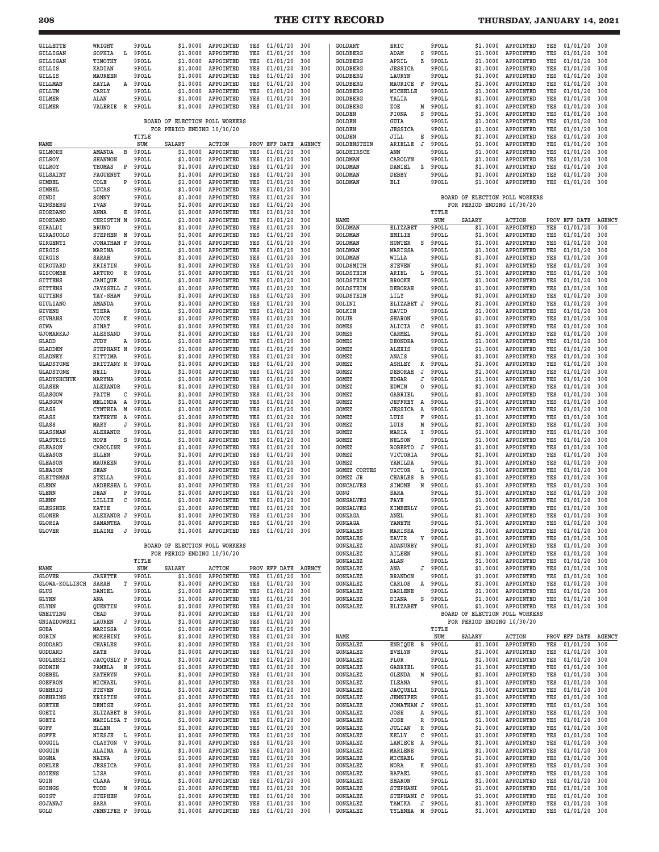| GILLETTE                           | WRIGHT                          | 9POLL          | \$1.0000                       | APPOINTED                  | YES        | 01/01/20             | 300           | GOLDART                              | ERIC                         | 9POLL          | \$1.0000                       | APPOINTED                       | YES        | 01/01/20             | 300           |
|------------------------------------|---------------------------------|----------------|--------------------------------|----------------------------|------------|----------------------|---------------|--------------------------------------|------------------------------|----------------|--------------------------------|---------------------------------|------------|----------------------|---------------|
| <b>GILLIGAN</b><br>GILLIGAN        | SOPHIA<br>L<br>TIMOTHY          | 9POLL<br>9POLL | \$1.0000<br>\$1.0000           | APPOINTED<br>APPOINTED     | YES<br>YES | 01/01/20<br>01/01/20 | 300<br>300    | GOLDBERG<br>GOLDBERG                 | ADAM<br>s<br>APRIL<br>z      | 9POLL<br>9POLL | \$1,0000<br>\$1.0000           | APPOINTED<br>APPOINTED          | YES<br>YES | 01/01/20<br>01/01/20 | 300<br>300    |
| GILLIS                             | <b>KADIAN</b>                   | 9POLL          | \$1.0000                       | APPOINTED                  | YES        | 01/01/20             | 300           | GOLDBERG                             | <b>JESSICA</b>               | 9POLL          | \$1.0000                       | APPOINTED                       | YES        | 01/01/20             | 300           |
| GILLIS                             | MAUREEN                         | 9POLL          | \$1.0000                       | APPOINTED                  | YES        | 01/01/20             | 300           | GOLDBERG                             | LAURYN                       | 9POLL          | \$1,0000                       | APPOINTED                       | YES        | 01/01/20             | 300           |
| <b>GILLMAN</b>                     | KAYLA<br>Α                      | 9POLL          | \$1.0000                       | APPOINTED                  | YES        | 01/01/20             | 300           | GOLDBERG                             | MAURICE<br>F                 | 9POLL          | \$1.0000                       | APPOINTED                       | YES        | 01/01/20             | 300           |
| GILLUM                             | CARLY                           | 9POLL          | \$1.0000                       | APPOINTED                  | YES        | 01/01/20             | 300           | GOLDBERG                             | MICHELLE                     | 9POLL          | \$1.0000                       | APPOINTED                       | YES        | 01/01/20             | 300           |
| GILMER<br>GILMER                   | ALAN<br>VALERIE<br>$\mathbb{R}$ | 9POLL<br>9POLL | \$1,0000<br>\$1.0000           | APPOINTED<br>APPOINTED     | YES<br>YES | 01/01/20<br>01/01/20 | 300<br>300    | GOLDBERG<br>GOLDBERG                 | TALIA<br>ZOE<br>М            | 9POLL<br>9POLL | \$1.0000<br>\$1.0000           | APPOINTED<br>APPOINTED          | YES<br>YES | 01/01/20<br>01/01/20 | 300<br>300    |
|                                    |                                 |                |                                |                            |            |                      |               | GOLDEN                               | S<br>FIONA                   | 9POLL          | \$1,0000                       | APPOINTED                       | YES        | 01/01/20             | 300           |
|                                    |                                 |                | BOARD OF ELECTION POLL WORKERS |                            |            |                      |               | GOLDEN                               | GUIA                         | 9POLL          | \$1,0000                       | APPOINTED                       | YES        | 01/01/20             | 300           |
|                                    |                                 |                | FOR PERIOD ENDING 10/30/20     |                            |            |                      |               | <b>GOLDEN</b>                        | <b>JESSICA</b>               | 9POLL          | \$1.0000                       | APPOINTED                       | YES        | 01/01/20             | 300           |
|                                    |                                 | TITLE          |                                |                            |            |                      |               | GOLDEN                               | JILL<br>Е                    | 9POLL          | \$1.0000                       | APPOINTED                       | YES        | 01/01/20             | 300           |
| NAME                               |                                 | NUM            | SALARY                         | ACTION                     |            | PROV EFF DATE        | <b>AGENCY</b> | GOLDENSTEIN                          | ARIELLE<br>J                 | 9POLL          | \$1.0000                       | APPOINTED                       | YES        | 01/01/20             | 300           |
| GILMORE                            | AMANDA<br>в                     | 9POLL          | \$1.0000                       | APPOINTED<br>APPOINTED     | YES        | 01/01/20             | 300           | GOLDHIRSCH                           | ANN                          | 9POLL          | \$1.0000                       | APPOINTED                       | YES        | 01/01/20             | 300           |
| <b>GILROY</b><br>GILROY            | <b>SHANNON</b><br>THOMAS<br>Ρ   | 9POLL<br>9POLL | \$1.0000<br>\$1,0000           | APPOINTED                  | YES<br>YES | 01/01/20<br>01/01/20 | 300<br>300    | <b>GOLDMAN</b><br><b>GOLDMAN</b>     | CAROLYN<br>DANIEL<br>z       | 9POLL<br>9POLL | \$1.0000<br>\$1.0000           | APPOINTED<br>APPOINTED          | YES<br>YES | 01/01/20<br>01/01/20 | 300<br>300    |
| GILSAINT                           | <b>FAGUENST</b>                 | 9POLL          | \$1.0000                       | APPOINTED                  | YES        | 01/01/20             | 300           | <b>GOLDMAN</b>                       | DEBBY                        | 9POLL          | \$1,0000                       | APPOINTED                       | YES        | 01/01/20             | 300           |
| GIMBEL                             | COLE<br>P                       | 9POLL          | \$1,0000                       | APPOINTED                  | YES        | 01/01/20             | 300           | <b>GOLDMAN</b>                       | ELI                          | 9POLL          | \$1.0000                       | APPOINTED                       | YES        | 01/01/20             | 300           |
| GIMBEL                             | LUCAS                           | 9POLL          | \$1,0000                       | APPOINTED                  | YES        | 01/01/20             | 300           |                                      |                              |                |                                |                                 |            |                      |               |
| GINDI                              | SONNY                           | 9POLL          | \$1.0000                       | APPOINTED                  | YES        | 01/01/20             | 300           |                                      |                              |                | BOARD OF ELECTION POLL WORKERS |                                 |            |                      |               |
| GINSBERG                           | <b>IVAN</b>                     | 9POLL          | \$1.0000                       | APPOINTED                  | YES        | 01/01/20             | 300           |                                      |                              |                | FOR PERIOD ENDING 10/30/20     |                                 |            |                      |               |
| GIORDANO<br>GIORDANO               | ANNA<br>Е<br>CHRISTIN M         | 9POLL<br>9POLL | \$1.0000<br>\$1.0000           | APPOINTED<br>APPOINTED     | YES<br>YES | 01/01/20<br>01/01/20 | 300<br>300    | NAME                                 |                              | TITLE<br>NUM   | SALARY                         | <b>ACTION</b>                   | PROV       | EFF DATE             | <b>AGENCY</b> |
| GIRALDI                            | <b>BRUNO</b>                    | 9POLL          | \$1.0000                       | APPOINTED                  | YES        | 01/01/20             | 300           | <b>GOLDMAN</b>                       | <b>ELIZABET</b>              | 9POLL          | \$1.0000                       | APPOINTED                       | YES        | 01/01/20             | 300           |
| <b>GIRASUOLO</b>                   | <b>STEPHEN</b><br>M             | 9POLL          | \$1.0000                       | APPOINTED                  | YES        | 01/01/20             | 300           | GOLDMAN                              | <b>EMILIE</b>                | 9POLL          | \$1.0000                       | APPOINTED                       | YES        | 01/01/20             | 300           |
| GIRGENTI                           | <b>JONATHAN F</b>               | 9POLL          | \$1.0000                       | APPOINTED                  | YES        | 01/01/20             | 300           | <b>GOLDMAN</b>                       | <b>HUNTER</b><br>S           | 9POLL          | \$1.0000                       | APPOINTED                       | YES        | 01/01/20             | 300           |
| GIRGIS                             | MARINA                          | 9POLL          | \$1.0000                       | APPOINTED                  | YES        | 01/01/20             | 300           | <b>GOLDMAN</b>                       | MARISSA                      | 9POLL          | \$1.0000                       | APPOINTED                       | YES        | 01/01/20             | 300           |
| GIRGIS                             | SARAH                           | 9POLL          | \$1.0000                       | APPOINTED                  | YES        | 01/01/20             | 300           | <b>GOLDMAN</b>                       | WILLA                        | 9POLL          | \$1,0000                       | APPOINTED                       | YES        | 01/01/20             | 300           |
| GIROUARD<br><b>GISCOMBE</b>        | <b>KRISTIN</b><br>ARTURO<br>R   | 9POLL<br>9POLL | \$1,0000<br>\$1.0000           | APPOINTED<br>APPOINTED     | YES<br>YES | 01/01/20<br>01/01/20 | 300<br>300    | <b>GOLDSMITH</b><br><b>GOLDSTEIN</b> | <b>STEVEN</b><br>ARIEL<br>L  | 9POLL<br>9POLL | \$1,0000<br>\$1.0000           | APPOINTED<br>APPOINTED          | YES<br>YES | 01/01/20<br>01/01/20 | 300<br>300    |
| <b>GITTENS</b>                     | JANIQUE                         | 9POLL          | \$1.0000                       | APPOINTED                  | YES        | 01/01/20             | 300           | <b>GOLDSTEIN</b>                     | <b>BROOKE</b>                | 9POLL          | \$1.0000                       | APPOINTED                       | YES        | 01/01/20             | 300           |
| <b>GITTENS</b>                     | JAYSSELL J                      | 9POLL          | \$1.0000                       | APPOINTED                  | YES        | 01/01/20             | 300           | GOLDSTEIN                            | <b>DEBORAH</b>               | 9POLL          | \$1,0000                       | APPOINTED                       | YES        | 01/01/20             | 300           |
| <b>GITTENS</b>                     | TAY-SHAW                        | 9POLL          | \$1.0000                       | APPOINTED                  | YES        | 01/01/20             | 300           | GOLDSTEIN                            | LILY                         | 9POLL          | \$1.0000                       | APPOINTED                       | YES        | 01/01/20             | 300           |
| <b>GIULIANO</b>                    | AMANDA                          | 9POLL          | \$1.0000                       | APPOINTED                  | YES        | 01/01/20             | 300           | GOLINI                               | ELIZABET J                   | 9POLL          | \$1,0000                       | APPOINTED                       | YES        | 01/01/20             | 300           |
| GIVENS                             | TIERA                           | 9POLL          | \$1,0000                       | APPOINTED                  | YES        | 01/01/20             | 300           | GOLKIN                               | DAVID                        | 9POLL          | \$1.0000                       | APPOINTED                       | YES        | 01/01/20             | 300           |
| <b>GIVHANS</b><br>GIWA             | JOYCE<br>к<br>SINAT             | 9POLL<br>9POLL | \$1,0000<br>\$1.0000           | APPOINTED<br>APPOINTED     | YES<br>YES | 01/01/20<br>01/01/20 | 300<br>300    | <b>GOLUB</b><br>GOMES                | <b>SHARON</b><br>ALICIA<br>C | 9POLL<br>9POLL | \$1.0000<br>\$1.0000           | APPOINTED<br>APPOINTED          | YES<br>YES | 01/01/20<br>01/01/20 | 300<br>300    |
| GJOMARKAJ                          | <b>ALESSAND</b>                 | 9POLL          | \$1.0000                       | APPOINTED                  | YES        | 01/01/20             | 300           | GOMES                                | CARMEL                       | 9POLL          | \$1.0000                       | APPOINTED                       | YES        | 01/01/20             | 300           |
| GLADD                              | JUDY<br>А                       | 9POLL          | \$1,0000                       | APPOINTED                  | YES        | 01/01/20             | 300           | GOMES                                | DEONDRA                      | 9POLL          | \$1.0000                       | APPOINTED                       | YES        | 01/01/20             | 300           |
| <b>GLADDEN</b>                     | STEPHANI N                      | 9POLL          | \$1.0000                       | APPOINTED                  | YES        | 01/01/20             | 300           | GOMEZ                                | ALEXIS                       | 9POLL          | \$1.0000                       | APPOINTED                       | YES        | 01/01/20             | 300           |
| <b>GLADNEY</b>                     | KITTIMA                         | 9POLL          | \$1.0000                       | APPOINTED                  | YES        | 01/01/20             | 300           | GOMEZ                                | ANAIS                        | 9POLL          | \$1.0000                       | APPOINTED                       | YES        | 01/01/20             | 300           |
| <b>GLADSTONE</b>                   | BRITTANY R                      | 9POLL          | \$1.0000                       | APPOINTED                  | YES        | 01/01/20             | 300           | GOMEZ                                | <b>ASHLEY</b><br>к           | 9POLL          | \$1.0000                       | APPOINTED                       | YES        | 01/01/20             | 300           |
| <b>GLADSTONE</b>                   | NEIL                            | 9POLL          | \$1.0000                       | APPOINTED                  | YES        | 01/01/20             | 300           | GOMEZ                                | J<br><b>DEBORAH</b>          | 9POLL          | \$1.0000                       | APPOINTED                       | YES        | 01/01/20             | 300           |
| <b>GLADYSHCHUK</b><br>GLASER       | MARYNA<br><b>ALEXANDR</b>       | 9POLL<br>9POLL | \$1.0000<br>\$1.0000           | APPOINTED<br>APPOINTED     | YES<br>YES | 01/01/20<br>01/01/20 | 300<br>300    | <b>GOMEZ</b><br>GOMEZ                | EDGAR<br>J<br>EDWIN<br>0     | 9POLL<br>9POLL | \$1.0000<br>\$1.0000           | APPOINTED<br>APPOINTED          | YES<br>YES | 01/01/20<br>01/01/20 | 300<br>300    |
| <b>GLASGOW</b>                     | FAITH<br>С                      | 9POLL          | \$1.0000                       | APPOINTED                  | YES        | 01/01/20             | 300           | GOMEZ                                | GABRIEL                      | 9POLL          | \$1.0000                       | APPOINTED                       | YES        | 01/01/20             | 300           |
| <b>GLASGOW</b>                     | MELINDA<br>A                    | 9POLL          | \$1.0000                       | APPOINTED                  | YES        | 01/01/20             | 300           | GOMEZ                                | <b>JEFFREY</b><br>A          | 9POLL          | \$1.0000                       | APPOINTED                       | YES        | 01/01/20             | 300           |
| GLASS                              | CYNTHIA<br>M                    | 9POLL          | \$1.0000                       | APPOINTED                  | YES        | 01/01/20             | 300           | GOMEZ                                | <b>JESSICA</b><br>Α          | 9POLL          | \$1.0000                       | APPOINTED                       | YES        | 01/01/20             | 300           |
| GLASS                              | <b>KATHRYN</b><br>A             | 9POLL          | \$1.0000                       | APPOINTED                  | YES        | 01/01/20             | 300           | GOMEZ                                | LUIS<br>F                    | 9POLL          | \$1.0000                       | APPOINTED                       | YES        | 01/01/20             | 300           |
| <b>GLASS</b>                       | MARY<br>J                       | 9POLL          | \$1.0000                       | APPOINTED                  | YES        | 01/01/20             | 300           | GOMEZ                                | LUIS<br>Μ                    | 9POLL          | \$1.0000                       | APPOINTED                       | YES        | 01/01/20             | 300           |
| <b>GLASSMAN</b><br><b>GLASTRIS</b> | <b>ALEXANDR</b><br>HOPE<br>s    | 9POLL<br>9POLL | \$1.0000<br>\$1.0000           | APPOINTED<br>APPOINTED     | YES<br>YES | 01/01/20<br>01/01/20 | 300<br>300    | GOMEZ<br>GOMEZ                       | MARIA<br>Ι.<br>NELSON        | 9POLL<br>9POLL | \$1.0000<br>\$1.0000           | APPOINTED<br>APPOINTED          | YES<br>YES | 01/01/20<br>01/01/20 | 300<br>300    |
| GLEASON                            | CAROLINE                        | 9POLL          | \$1.0000                       | APPOINTED                  | YES        | 01/01/20             | 300           | GOMEZ                                | <b>ROBERTO</b><br>J          | 9POLL          | \$1.0000                       | APPOINTED                       | YES        | 01/01/20             | 300           |
| <b>GLEASON</b>                     | ELLEN                           | 9POLL          | \$1.0000                       | APPOINTED                  | YES        | 01/01/20             | 300           | GOMEZ                                | VICTORIA                     | 9POLL          | \$1.0000                       | APPOINTED                       | YES        | 01/01/20             | 300           |
| <b>GLEASON</b>                     | MAUREEN                         | 9POLL          | \$1.0000                       | APPOINTED                  | YES        | 01/01/20             | 300           | GOMEZ                                | YANILDA                      | 9POLL          | \$1,0000                       | APPOINTED                       | YES        | 01/01/20             | 300           |
| <b>GLEASON</b>                     | <b>SEAN</b>                     | 9POLL          | \$1.0000                       | APPOINTED                  | YES        | 01/01/20             | 300           | GOMEZ CORTES                         | VICTOR<br>L                  | 9POLL          | \$1.0000                       | APPOINTED                       | YES        | 01/01/20             | 300           |
| <b>GLEITSMAN</b>                   | <b>STELLA</b>                   | 9POLL          | \$1.0000                       | APPOINTED                  | YES        | 01/01/20             | 300           | GOMEZ JR                             | <b>CHARLES</b><br>В          | 9POLL          | \$1,0000                       | APPOINTED                       | YES        | 01/01/20             | 300           |
| GLENN<br>GLENN                     | ARDEESHA L<br>DEAN<br>Ρ         | 9POLL<br>9POLL | \$1,0000<br>\$1,0000           | APPOINTED<br>APPOINTED     | YES<br>YES | 01/01/20<br>01/01/20 | 300<br>300    | <b>GONCALVES</b><br>GONG             | N<br>SIMONE<br>SARA          | 9POLL<br>9POLL | \$1.0000<br>\$1.0000           | APPOINTED<br>APPOINTED          | YES<br>YES | 01/01/20<br>01/01/20 | 300<br>300    |
| GLENN                              | LILLIE<br>С                     | 9POLL          | \$1.0000                       | APPOINTED                  | YES        | 01/01/20             | 300           | <b>GONSALVES</b>                     | FAYE                         | 9POLL          | \$1.0000                       | APPOINTED                       | YES        | 01/01/20             | 300           |
| <b>GLESSNER</b>                    | KATIE                           | 9POLL          | \$1.0000                       | APPOINTED                  | YES        | 01/01/20             | 300           | <b>GONSALVES</b>                     | KIMBERLY                     | 9POLL          | \$1.0000                       | APPOINTED                       | YES        | 01/01/20             | 300           |
| <b>GLONER</b>                      | ALEXANDR J                      | 9POLL          | \$1.0000                       | APPOINTED                  | YES        | 01/01/20             | 300           | GONZAGA                              | ANEL                         | 9POLL          | \$1.0000                       | APPOINTED                       | YES        | 01/01/20             | 300           |
| GLORIA                             | SAMANTHA                        | 9POLL          | \$1.0000                       | APPOINTED                  | YES        | 01/01/20             | 300           | GONZAGA                              | YANETH                       | 9POLL          | \$1.0000                       | APPOINTED                       | YES        | 01/01/20             | 300           |
| <b>GLOVER</b>                      | <b>ELAINE</b>                   | J 9POLL        | \$1.0000                       | APPOINTED                  | YES        | $01/01/20$ 300       |               | <b>GONZALES</b>                      | MARISSA                      | 9POLL          |                                | \$1.0000 APPOINTED              | YES        | 01/01/20             | 300           |
|                                    |                                 |                | BOARD OF ELECTION POLL WORKERS |                            |            |                      |               | GONZALES                             | ZAVIR<br>Υ                   |                |                                |                                 |            | 01/01/20             | 300<br>300    |
|                                    |                                 |                |                                |                            |            |                      |               |                                      |                              | 9POLL          | \$1.0000                       | APPOINTED                       | YES        |                      |               |
|                                    |                                 |                |                                |                            |            |                      |               | GONZALEZ                             | ADANURBY                     | 9POLL          | \$1.0000                       | APPOINTED                       | YES        | 01/01/20             |               |
| NAME                               |                                 | TITLE          |                                | FOR PERIOD ENDING 10/30/20 |            |                      |               | GONZALEZ<br>GONZALEZ                 | AILEEN<br>ALAN               | 9POLL<br>9POLL | \$1.0000<br>\$1.0000           | APPOINTED<br>APPOINTED          | YES<br>YES | 01/01/20<br>01/01/20 | 300<br>300    |
| <b>GLOVER</b>                      |                                 | NUM            | SALARY                         | <b>ACTION</b>              |            | PROV EFF DATE        | <b>AGENCY</b> | GONZALEZ                             | ANA<br>J                     | 9POLL          |                                | \$1.0000 APPOINTED              | YES        | 01/01/20             | 300           |
|                                    | <b>JAZETTE</b>                  | 9POLL          | \$1,0000                       | APPOINTED                  | YES        | 01/01/20             | 300           | GONZALEZ                             | <b>BRANDON</b>               | 9POLL          |                                | \$1.0000 APPOINTED              | YES        | 01/01/20             | 300           |
| <b>GLOWA-KOLLISCH</b>              | SARAH<br>т                      | 9POLL          | \$1.0000                       | APPOINTED                  | YES        | 01/01/20             | 300           | GONZALEZ                             | CARLOS<br>Α                  | 9POLL          | \$1.0000                       | APPOINTED                       | YES        | 01/01/20             | 300           |
| GLUS<br>GLYNN                      | DANIEL<br>ANA                   | 9POLL          | \$1.0000                       | APPOINTED                  | YES<br>YES | 01/01/20             | 300<br>300    | GONZALEZ                             | DARLENE                      | 9POLL          | \$1.0000                       | \$1.0000 APPOINTED              | YES<br>YES | 01/01/20             | 300<br>300    |
| GLYNN                              | QUENTIN                         | 9POLL<br>9POLL | \$1.0000<br>\$1.0000           | APPOINTED<br>APPOINTED     | YES        | 01/01/20<br>01/01/20 | 300           | GONZALEZ<br>GONZALEZ                 | DIANA<br>s<br>ELIZABET       | 9POLL<br>9POLL |                                | APPOINTED<br>\$1.0000 APPOINTED | YES        | 01/01/20<br>01/01/20 | 300           |
| GNEITING                           | CHAD                            | 9POLL          | \$1.0000                       | APPOINTED                  | YES        | 01/01/20             | 300           |                                      |                              |                | BOARD OF ELECTION POLL WORKERS |                                 |            |                      |               |
| GNIAZDOWSKI                        | LAUREN<br>J                     | 9POLL          | \$1.0000                       | APPOINTED                  | YES        | 01/01/20             | 300           |                                      |                              |                | FOR PERIOD ENDING 10/30/20     |                                 |            |                      |               |
| GOBA                               | MARISSA                         | 9POLL          | \$1,0000                       | APPOINTED                  | YES        | 01/01/20             | 300           |                                      |                              | TITLE          |                                |                                 |            |                      |               |
| GOBIN                              | MOKSHINI                        | 9POLL          | \$1.0000                       | APPOINTED                  | YES        | 01/01/20             | 300           | NAME                                 |                              | NUM            | SALARY                         | <b>ACTION</b>                   | PROV       | EFF DATE             | <b>AGENCY</b> |
| GODDARD<br>GODDARD                 | <b>CHARLES</b>                  | 9POLL          | \$1.0000                       | APPOINTED                  | YES<br>YES | 01/01/20             | 300           | GONZALEZ<br><b>GONZALEZ</b>          | ENRIQUE<br>в                 | 9POLL          | \$1.0000                       | APPOINTED                       | YES<br>YES | 01/01/20             | 300           |
| GODLESKI                           | KATE<br>JACQUELY P              | 9POLL<br>9POLL | \$1,0000<br>\$1.0000           | APPOINTED<br>APPOINTED     | YES        | 01/01/20<br>01/01/20 | 300<br>300    | GONZALEZ                             | <b>EVELYN</b><br>FLOR        | 9POLL<br>9POLL | \$1.0000<br>\$1.0000           | APPOINTED<br>APPOINTED          | YES        | 01/01/20<br>01/01/20 | 300<br>300    |
| GODWIN                             | PAMELA<br>N                     | 9POLL          | \$1.0000                       | APPOINTED                  | YES        | 01/01/20             | 300           | GONZALEZ                             | GABRIEL                      | 9POLL          |                                | \$1.0000 APPOINTED              | YES        | 01/01/20             | 300           |
| GOEBEL                             | <b>KATHRYN</b>                  | 9POLL          | \$1,0000                       | APPOINTED                  | YES        | 01/01/20             | 300           | GONZALEZ                             | GLENDA<br>м                  | 9POLL          | \$1.0000                       | APPOINTED                       | YES        | 01/01/20             | 300           |
| <b>GOEFRON</b>                     | MICHAEL                         | 9POLL          | \$1.0000                       | APPOINTED                  | YES        | 01/01/20             | 300           | GONZALEZ                             | ILEANA                       | 9POLL          |                                | \$1.0000 APPOINTED              | YES        | 01/01/20             | 300           |
| GOEHRIG                            | <b>STEVEN</b>                   | 9POLL          | \$1.0000                       | APPOINTED                  | YES        | 01/01/20             | 300           | GONZALEZ                             | JACQUELI                     | 9POLL          | \$1.0000                       | APPOINTED                       | YES        | 01/01/20             | 300           |
| <b>GOEHRING</b><br><b>GOETHE</b>   | KRISTIN<br>DENISE               | 9POLL<br>9POLL | \$1.0000<br>\$1.0000           | APPOINTED                  | YES<br>YES | 01/01/20             | 300<br>300    | GONZALEZ<br>GONZALEZ                 | <b>JENNIFER</b>              | 9POLL<br>9POLL |                                | \$1.0000 APPOINTED              | YES<br>YES | 01/01/20             | 300<br>300    |
| GOETZ                              | ELIZABET B                      | 9POLL          | \$1.0000                       | APPOINTED<br>APPOINTED     | YES        | 01/01/20<br>01/01/20 | 300           | GONZALEZ                             | JONATHAN J<br>JOSE<br>А      | 9POLL          | \$1.0000                       | \$1.0000 APPOINTED<br>APPOINTED | YES        | 01/01/20<br>01/01/20 | 300           |
| GOETZ                              | MARILISA T                      | 9POLL          | \$1.0000                       | APPOINTED                  | YES        | 01/01/20             | 300           | GONZALEZ                             | R<br>JOSE                    | 9POLL          | \$1.0000                       | APPOINTED                       | YES        | 01/01/20             | 300           |
| GOFF                               | ELLEN                           | 9POLL          | \$1.0000                       | APPOINTED                  | YES        | 01/01/20             | 300           | GONZALEZ                             | <b>JULIAN</b><br>R           | 9POLL          | \$1.0000                       | APPOINTED                       | YES        | 01/01/20             | 300           |
| GOFFE                              | NIESJE<br>L                     | 9POLL          | \$1.0000                       | APPOINTED                  | YES        | 01/01/20             | 300           | GONZALEZ                             | KELLY<br>С                   | 9POLL          | \$1.0000                       | APPOINTED                       | YES        | 01/01/20             | 300           |
| GOGGIL                             | V<br>CLAYTON                    | 9POLL          | \$1.0000                       | APPOINTED                  | YES        | 01/01/20             | 300           | GONZALEZ                             | A<br>LANIECE                 | 9POLL          |                                | \$1.0000 APPOINTED              | YES        | 01/01/20             | 300           |
| GOGGIN<br>GOGNA                    | ALAINA<br>Α<br>NAINA            | 9POLL<br>9POLL | \$1.0000<br>\$1.0000           | APPOINTED                  | YES<br>YES | 01/01/20<br>01/01/20 | 300<br>300    | GONZALEZ<br>GONZALEZ                 | MARLENE<br>MICHAEL           | 9POLL<br>9POLL | \$1,0000                       | \$1.0000 APPOINTED              | YES<br>YES | 01/01/20             | 300<br>300    |
| GOHLKE                             | <b>JESSICA</b>                  | 9POLL          | \$1.0000                       | APPOINTED<br>APPOINTED     | YES        | 01/01/20             | 300           | GONZALEZ                             | NORA<br>К                    | 9POLL          |                                | APPOINTED<br>\$1.0000 APPOINTED | YES        | 01/01/20<br>01/01/20 | 300           |
| GOIENS                             | LISA                            | 9POLL          | \$1.0000                       | APPOINTED                  | YES        | 01/01/20             | 300           | GONZALEZ                             | RAFAEL                       | 9POLL          |                                | \$1.0000 APPOINTED              | YES        | 01/01/20             | 300           |
| GOIN                               | CLARA                           | 9POLL          | \$1.0000                       | APPOINTED                  | YES        | 01/01/20             | 300           | GONZALEZ                             | <b>SHARON</b>                | 9POLL          | \$1.0000                       | APPOINTED                       | YES        | 01/01/20             | 300           |
| GOINGS                             | TODD<br>М                       | 9POLL          | \$1.0000                       | APPOINTED                  | YES        | 01/01/20             | 300           | GONZALEZ                             | STEPHANI                     | 9POLL          | \$1.0000                       | APPOINTED                       | YES        | 01/01/20             | 300           |
| GOIST                              | <b>STEPHEN</b>                  | 9POLL          | \$1.0000                       | APPOINTED                  | YES        | 01/01/20             | 300           | GONZALEZ                             | STEPHANI C                   | 9POLL          | \$1.0000                       | APPOINTED                       | YES        | 01/01/20             | 300           |
| GOJANAJ<br><b>GOLD</b>             | SARA<br><b>JENNIFER P</b>       | 9POLL<br>9POLL | \$1.0000<br>\$1.0000           | APPOINTED<br>APPOINTED     | YES<br>YES | 01/01/20<br>01/01/20 | 300<br>300    | GONZALEZ<br>GONZALEZ                 | TAMIKA<br>J<br>TYLENEA<br>M  | 9POLL<br>9POLL | \$1.0000<br>\$1.0000           | APPOINTED<br>APPOINTED          | YES<br>YES | 01/01/20<br>01/01/20 | 300<br>300    |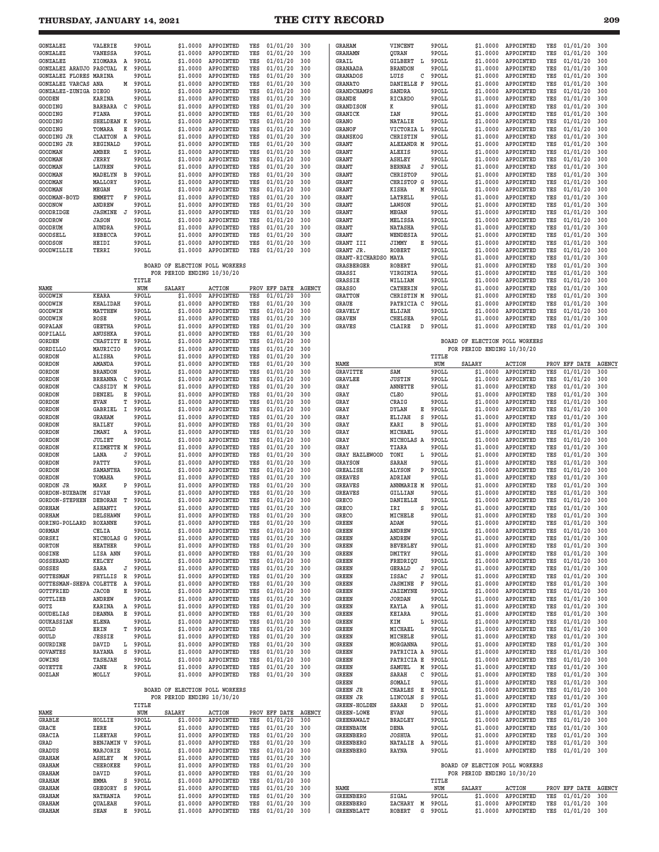| __ | ٠ | ٦<br>$\sim$ |
|----|---|-------------|

| <b>GONZALEZ</b>            | VALERIE           |          | 9POLL | \$1,0000                       | APPOINTED     | YES  | 01/01/20        | 300           | <b>GRAHAM</b>       | VINCENT             | 9POLL | \$1.0000                       | APPOINTED     | YES | 01/01/20      | 300           |
|----------------------------|-------------------|----------|-------|--------------------------------|---------------|------|-----------------|---------------|---------------------|---------------------|-------|--------------------------------|---------------|-----|---------------|---------------|
| <b>GONZALEZ</b>            | <b>VANESSA</b>    |          | 9POLL | \$1.0000                       | APPOINTED     | YES  | 01/01/20        | 300           | <b>GRAHAMN</b>      | QURAN               | 9POLL | \$1.0000                       | APPOINTED     | YES | 01/01/20      | 300           |
| <b>GONZALEZ</b>            | XIOMARA           | Α        | 9POLL | \$1.0000                       | APPOINTED     | YES  | 01/01/20        | 300           | GRAIL               | GILBERT<br>L        | 9POLL | \$1,0000                       | APPOINTED     | YES | 01/01/20      | 300           |
| GONZALEZ ARAUJO            | PASCUAL           | K        | 9POLL | \$1.0000                       | APPOINTED     | YES  | 01/01/20        | 300           | GRANAADA            | <b>BRANDON</b>      | 9POLL | \$1.0000                       | APPOINTED     | YES | 01/01/20      | 300           |
| GONZALEZ FLORES            | MARINA            |          | 9POLL | \$1,0000                       | APPOINTED     | YES  | 01/01/20        | 300           | GRANADOS            | LUIS<br>С           | 9POLL | \$1,0000                       | APPOINTED     | YES | 01/01/20      | 300           |
| <b>GONZALEZ VARCAS ANA</b> |                   | М        | 9POLL | \$1,0000                       | APPOINTED     | YES  | 01/01/20        | 300           | <b>GRANATO</b>      | DANIELLE F          | 9POLL | \$1.0000                       | APPOINTED     | YES | 01/01/20      | 300           |
| GONZALEZ-ZUNIGA DIEGO      |                   |          | 9POLL | \$1.0000                       | APPOINTED     | YES  | 01/01/20        | 300           | <b>GRANDCHAMPS</b>  | SANDRA              | 9POLL | \$1.0000                       | APPOINTED     | YES | 01/01/20      | 300           |
| <b>GOODEN</b>              | <b>KARINA</b>     |          | 9POLL | \$1,0000                       | APPOINTED     | YES  | 01/01/20        | 300           | GRANDE              | RICARDO             | 9POLL | \$1.0000                       | APPOINTED     | YES | 01/01/20      | 300           |
| GOODING                    | <b>BARBARA</b>    | C        | 9POLL | \$1,0000                       | APPOINTED     | YES  | 01/01/20        | 300           | GRANDISON           | к                   | 9POLL | \$1,0000                       | APPOINTED     | YES | 01/01/20      | 300           |
|                            |                   |          | 9POLL | \$1,0000                       |               |      |                 |               |                     |                     |       |                                |               | YES |               |               |
| GOODING                    | FIANA             |          |       |                                | APPOINTED     | YES  | 01/01/20        | 300           | GRANICK             | IAN                 | 9POLL | \$1.0000                       | APPOINTED     |     | 01/01/20      | 300           |
| GOODING                    | SHELDEAN K        |          | 9POLL | \$1.0000                       | APPOINTED     | YES  | 01/01/20        | 300           | GRANO               | NATALIE             | 9POLL | \$1.0000                       | APPOINTED     | YES | 01/01/20      | 300           |
| GOODING                    | TOMARA            | Е        | 9POLL | \$1.0000                       | APPOINTED     | YES  | 01/01/20        | 300           | GRANOF              | VICTORIA L          | 9POLL | \$1.0000                       | APPOINTED     | YES | 01/01/20      | 300           |
| GOODING JR                 | <b>CLAXTON</b>    | A        | 9POLL | \$1.0000                       | APPOINTED     | YES  | 01/01/20        | 300           | GRANSKOG            | CHRISTIN            | 9POLL | \$1.0000                       | APPOINTED     | YES | 01/01/20      | 300           |
| GOODING JR                 | REGINALD          |          | 9POLL | \$1.0000                       | APPOINTED     | YES  | 01/01/20        | 300           | GRANT               | ALEXANDR M          | 9POLL | \$1.0000                       | APPOINTED     | YES | 01/01/20      | 300           |
| GOODMAN                    | AMBER             | z        | 9POLL | \$1,0000                       | APPOINTED     | YES  | 01/01/20        | 300           | GRANT               | <b>ALEXIS</b>       | 9POLL | \$1.0000                       | APPOINTED     | YES | 01/01/20      | 300           |
|                            |                   |          | 9POLL | \$1.0000                       | APPOINTED     | YES  | 01/01/20        | 300           | GRANT               |                     | 9POLL | \$1.0000                       | APPOINTED     | YES | 01/01/20      | 300           |
| GOODMAN                    | JERRY             |          |       |                                |               |      |                 |               |                     | ASHLEY              |       |                                |               |     |               |               |
| GOODMAN                    | LAUREN            |          | 9POLL | \$1.0000                       | APPOINTED     | YES  | 01/01/20        | 300           | GRANT               | <b>BERNAE</b><br>J  | 9POLL | \$1.0000                       | APPOINTED     | YES | 01/01/20      | 300           |
| GOODMAN                    | MADELYN           | в        | 9POLL | \$1,0000                       | APPOINTED     | YES  | 01/01/20        | 300           | GRANT               | <b>CHRISTOP</b>     | 9POLL | \$1.0000                       | APPOINTED     | YES | 01/01/20      | 300           |
| GOODMAN                    | MALLORY           |          | 9POLL | \$1.0000                       | APPOINTED     | YES  | 01/01/20        | 300           | GRANT               | CHRISTOP G          | 9POLL | \$1,0000                       | APPOINTED     | YES | 01/01/20      | 300           |
| <b>GOODMAN</b>             | MEGAN             |          | 9POLL | \$1.0000                       | APPOINTED     | YES  | 01/01/20        | 300           | GRANT               | KISHA<br>М          | 9POLL | \$1.0000                       | APPOINTED     | YES | 01/01/20      | 300           |
| GOODMAN-BOYD               | <b>EMMETT</b>     | F        | 9POLL | \$1.0000                       | APPOINTED     | YES  | 01/01/20        | 300           | GRANT               | LATRELL             | 9POLL | \$1,0000                       | APPOINTED     | YES | 01/01/20      | 300           |
| <b>GOODNOW</b>             | ANDREW            |          | 9POLL | \$1.0000                       | APPOINTED     | YES  | 01/01/20        | 300           | GRANT               | LAWSON              | 9POLL | \$1.0000                       | APPOINTED     | YES | 01/01/20      | 300           |
|                            |                   |          |       |                                |               |      |                 |               |                     |                     |       |                                |               |     |               |               |
| GOODRIDGE                  | <b>JASMINE</b>    | -J       | 9POLL | \$1.0000                       | APPOINTED     | YES  | 01/01/20        | 300           | GRANT               | MEGAN               | 9POLL | \$1.0000                       | APPOINTED     | YES | 01/01/20      | 300           |
| GOODROW                    | <b>JASON</b>      |          | 9POLL | \$1.0000                       | APPOINTED     | YES  | 01/01/20        | 300           | GRANT               | MELISSA             | 9POLL | \$1.0000                       | APPOINTED     | YES | 01/01/20      | 300           |
| GOODRUM                    | AUNDRA            |          | 9POLL | \$1.0000                       | APPOINTED     | YES  | 01/01/20        | 300           | GRANT               | <b>NATASHA</b>      | 9POLL | \$1.0000                       | APPOINTED     | YES | 01/01/20      | 300           |
| <b>GOODSELL</b>            | <b>REBECCA</b>    |          | 9POLL | \$1.0000                       | APPOINTED     | YES  | 01/01/20        | 300           | GRANT               | WENDESIA            | 9POLL | \$1.0000                       | APPOINTED     | YES | 01/01/20      | 300           |
| <b>GOODSON</b>             | HEIDI             |          | 9POLL | \$1.0000                       | APPOINTED     | YES  | 01/01/20        | 300           | GRANT III           | JIMMY<br>Е          | 9POLL | \$1.0000                       | APPOINTED     | YES | 01/01/20      | 300           |
| GOODWILLIE                 | TERRI             |          | 9POLL | \$1.0000                       | APPOINTED     | YES  | 01/01/20        | 300           | GRANT JR            | <b>ROBERT</b>       | 9POLL | \$1.0000                       | APPOINTED     | YES | 01/01/20      | 300           |
|                            |                   |          |       |                                |               |      |                 |               |                     |                     |       |                                |               |     |               |               |
|                            |                   |          |       |                                |               |      |                 |               | GRANT-RICHARDSO     | MAYA                | 9POLL | \$1.0000                       | APPOINTED     | YES | 01/01/20      | 300           |
|                            |                   |          |       | BOARD OF ELECTION POLL WORKERS |               |      |                 |               | <b>GRASBERGER</b>   | <b>ROBERT</b>       | 9POLL | \$1.0000                       | APPOINTED     | YES | 01/01/20      | 300           |
|                            |                   |          |       | FOR PERIOD ENDING 10/30/20     |               |      |                 |               | GRASSI              | VIRGINIA            | 9POLL | \$1.0000                       | APPOINTED     | YES | 01/01/20      | 300           |
|                            |                   |          | TITLE |                                |               |      |                 |               | GRASSIE             | WILLIAM             | 9POLL | \$1.0000                       | APPOINTED     | YES | 01/01/20      | 300           |
| NAME                       |                   |          | NUM   | <b>SALARY</b>                  | <b>ACTION</b> |      | PROV EFF DATE   | <b>AGENCY</b> | <b>GRASSO</b>       | CATHERIN            | 9POLL | \$1.0000                       | APPOINTED     | YES | 01/01/20      | 300           |
| GOODWIN                    | KEARA             |          | 9POLL | \$1,0000                       | APPOINTED     | YES  | 01/01/20        | 300           | <b>GRATTON</b>      | CHRISTIN M          | 9POLL | \$1.0000                       | APPOINTED     | YES | 01/01/20      | 300           |
| GOODWIN                    | <b>KHALIDAH</b>   |          | 9POLL | \$1,0000                       | APPOINTED     | YES  | 01/01/20        | 300           | GRAUE               | PATRICIA C          | 9POLL | \$1.0000                       | APPOINTED     | YES | 01/01/20      | 300           |
| GOODWIN                    | MATTHEW           |          | 9POLL | \$1.0000                       | APPOINTED     | YES  | 01/01/20        | 300           | <b>GRAVELY</b>      | ELIJAH              | 9POLL | \$1.0000                       | APPOINTED     | YES | 01/01/20      | 300           |
|                            |                   |          |       |                                |               |      |                 |               |                     |                     |       |                                |               |     |               |               |
| GOODWIN                    | ROSE              |          | 9POLL | \$1.0000                       | APPOINTED     | YES  | 01/01/20        | 300           | <b>GRAVEN</b>       | <b>CHELSEA</b>      | 9POLL | \$1.0000                       | APPOINTED     | YES | 01/01/20      | 300           |
| <b>GOPALAN</b>             | <b>GEETHA</b>     |          | 9POLL | \$1,0000                       | APPOINTED     | YES  | 01/01/20        | 300           | <b>GRAVES</b>       | CLAIRE<br>D         | 9POLL | \$1.0000                       | APPOINTED     | YES | 01/01/20      | 300           |
| GOPILALL                   | <b>ANUSHKA</b>    |          | 9POLL | \$1.0000                       | APPOINTED     | YES  | 01/01/20        | 300           |                     |                     |       |                                |               |     |               |               |
| <b>GORDEN</b>              | CHASTITY E        |          | 9POLL | \$1.0000                       | APPOINTED     | YES  | 01/01/20        | 300           |                     |                     |       | BOARD OF ELECTION POLL WORKERS |               |     |               |               |
| <b>GORDILLO</b>            | MAURICIO          |          | 9POLL | \$1,0000                       | APPOINTED     | YES  | 01/01/20        | 300           |                     |                     |       | FOR PERIOD ENDING 10/30/20     |               |     |               |               |
| GORDON                     | ALISHA            |          | 9POLL | \$1.0000                       | APPOINTED     | YES  | 01/01/20        | 300           |                     |                     | TITLE |                                |               |     |               |               |
|                            |                   |          |       |                                |               |      |                 |               |                     |                     |       |                                |               |     |               |               |
| <b>GORDON</b>              | AMANDA            |          | 9POLL | \$1.0000                       | APPOINTED     | YES  | 01/01/20        | 300           | NAME                |                     | NUM   | <b>SALARY</b>                  | <b>ACTION</b> |     | PROV EFF DATE | <b>AGENCY</b> |
| <b>GORDON</b>              | <b>BRANDON</b>    |          | 9POLL | \$1.0000                       | APPOINTED     | YES  | 01/01/20        | 300           | <b>GRAVITTE</b>     | SAM                 | 9POLL | \$1.0000                       | APPOINTED     | YES | 01/01/20      | 300           |
| GORDON                     | <b>BREANNA</b>    | C        | 9POLL | \$1.0000                       | APPOINTED     | YES  | 01/01/20        | 300           | <b>GRAVLEE</b>      | <b>JUSTIN</b>       | 9POLL | \$1.0000                       | APPOINTED     | YES | 01/01/20      | 300           |
| GORDON                     | CASSIDY           | М        | 9POLL | \$1.0000                       | APPOINTED     | YES  | 01/01/20        | 300           | GRAY                | <b>ANNETTE</b>      | 9POLL | \$1.0000                       | APPOINTED     | YES | 01/01/20      | 300           |
| GORDON                     | DENZEL            | E        | 9POLL | \$1.0000                       | APPOINTED     | YES  | 01/01/20        | 300           | GRAY                | CLEO                | 9POLL | \$1.0000                       | APPOINTED     | YES | 01/01/20      | 300           |
| GORDON                     | <b>EVAN</b>       | т        | 9POLL | \$1.0000                       | APPOINTED     | YES  | 01/01/20        | 300           | GRAY                | CRAIG               | 9POLL | \$1.0000                       | APPOINTED     | YES | 01/01/20      | 300           |
| <b>GORDON</b>              | GABRIEL           | I        | 9POLL | \$1.0000                       | APPOINTED     | YES  | 01/01/20        | 300           | GRAY                | DYLAN<br>Е          | 9POLL | \$1.0000                       | APPOINTED     | YES |               | 300           |
| <b>GORDON</b>              | <b>GRAHAM</b>     |          |       |                                | APPOINTED     |      |                 |               |                     |                     |       |                                |               |     |               |               |
|                            |                   |          |       |                                |               |      |                 |               |                     |                     |       |                                |               |     | 01/01/20      |               |
|                            |                   |          | 9POLL | \$1.0000                       |               | YES  | 01/01/20        | 300           | GRAY                | <b>ELIJAH</b><br>S  | 9POLL | \$1.0000                       | APPOINTED     | YES | 01/01/20      | 300           |
| GORDON                     | HAILEY            |          | 9POLL | \$1.0000                       | APPOINTED     | YES  | 01/01/20        | 300           | GRAY                | KARI<br>в           | 9POLL | \$1.0000                       | APPOINTED     | YES | 01/01/20      | 300           |
| GORDON                     | IMANI             | Α        | 9POLL | \$1.0000                       | APPOINTED     | YES  | 01/01/20        | 300           | GRAY                | MICHAEL             | 9POLL | \$1.0000                       | APPOINTED     | YES | 01/01/20      | 300           |
| GORDON                     | JULIET            |          | 9POLL | \$1.0000                       | APPOINTED     | YES  | 01/01/20        | 300           | GRAY                | NICHOLAS A          | 9POLL | \$1.0000                       | APPOINTED     | YES | 01/01/20      | 300           |
| GORDON                     | KIZMETTE M        |          | 9POLL | \$1.0000                       | APPOINTED     | YES  | 01/01/20        | 300           | GRAY                | TIARA               | 9POLL | \$1.0000                       | APPOINTED     | YES | 01/01/20      | 300           |
|                            |                   | J        | 9POLL | \$1.0000                       | APPOINTED     | YES  |                 | 300           |                     | TONI<br>L           | 9POLL | \$1.0000                       |               | YES |               | 300           |
| GORDON                     | LANA              |          |       |                                |               |      | 01/01/20        |               | GRAY HAZLEWOOD      |                     |       |                                | APPOINTED     |     | 01/01/20      |               |
| GORDON                     | PATTY             |          | 9POLL | \$1,0000                       | APPOINTED     | YES  | 01/01/20        | 300           | <b>GRAYSON</b>      | SARAH               | 9POLL | \$1.0000                       | APPOINTED     | YES | 01/01/20      | 300           |
| GORDON                     | SAMANTHA          |          | 9POLL | \$1.0000                       | APPOINTED     | YES  | 01/01/20        | 300           | <b>GREALISH</b>     | <b>ALYSON</b><br>P  | 9POLL | \$1.0000                       | APPOINTED     | YES | 01/01/20      | 300           |
| GORDON                     | YOMAHA            |          | 9POLL | \$1,0000                       | APPOINTED     | YES  | 01/01/20        | 300           | <b>GREAVES</b>      | ADRIAN              | 9POLL | \$1.0000                       | APPOINTED     | YES | 01/01/20      | 300           |
| <b>GORDON JR</b>           | MARK              | P        | 9POLL | \$1.0000                       | APPOINTED     | YES  | 01/01/20        | 300           | <b>GREAVES</b>      | <b>ANNMARIE M</b>   | 9POLL | \$1,0000                       | APPOINTED     | YES | 01/01/20      | 300           |
| <b>GORDON-BUXBAUM</b>      | SIVAN             |          | 9POLL | \$1.0000                       | APPOINTED     | YES  | 01/01/20        | 300           | <b>GREAVES</b>      | <b>GILLIAN</b>      | 9POLL | \$1.0000                       | APPOINTED     | YES | 01/01/20      | 300           |
| <b>GORDON-STEPHEN</b>      | <b>DEBORAH</b>    | т        | 9POLL | \$1,0000                       | APPOINTED     | YES  | 01/01/20        | 300           | GRECO               | DANIELLE            | 9POLL | \$1,0000                       | APPOINTED     | YES | 01/01/20      | 300           |
| <b>GORHAM</b>              | <b>ASHANTI</b>    |          | 9POLL | \$1.0000                       | APPOINTED     | YES  |                 | 300           | <b>GRECO</b>        | IRI<br>S            |       | \$1.0000                       | APPOINTED     | YES | 01/01/20      | 300           |
|                            |                   |          |       |                                |               |      | 01/01/20        |               |                     |                     | 9POLL |                                |               |     |               |               |
| <b>GORHAM</b>              | <b>DELSHAWN</b>   |          | 9POLL | \$1.0000                       | APPOINTED     | YES  | 01/01/20        | 300           | <b>GRECO</b>        | MICHELE             | 9POLL | \$1.0000                       | APPOINTED     | YES | 01/01/20      | 300           |
| <b>GORING-POLLARD</b>      | <b>ROXANNE</b>    |          | 9POLL | \$1,0000                       | APPOINTED     | YES  | 01/01/20        | 300           | <b>GREEN</b>        | ADAM                | 9POLL | \$1,0000                       | APPOINTED     | YES | 01/01/20      | 300           |
| GORMAN                     | CELIA             |          | 9POLL | \$1.0000                       | APPOINTED     | YES  | 01/01/20        | 300           | GREEN               | ANDREW              | 9POLL | \$1.0000                       | APPOINTED     | YES | 01/01/20      | 300           |
| GORSKI                     | NICHOLAS G        |          | 9POLL | \$1.0000                       | APPOINTED     | YES  | 01/01/20        | 300           | GREEN               | ANDREW              | 9POLL | \$1.0000                       | APPOINTED     | YES | 01/01/20      | 300           |
| <b>GORTON</b>              | <b>HEATHER</b>    |          | 9POLL | \$1,0000                       | APPOINTED     | YES  | 01/01/20        | 300           | GREEN               | <b>BEVERLEY</b>     | 9POLL | \$1.0000                       | APPOINTED     | YES | 01/01/20      | 300           |
| GOSINE                     | LISA ANN          |          | 9POLL | \$1.0000                       | APPOINTED     | YES  | 01/01/20        | 300           | <b>GREEN</b>        | DMITRY              | 9POLL | \$1.0000                       | APPOINTED     | YES | 01/01/20      | 300           |
| GOSSERAND                  | KELCEY            |          | 9POLL | \$1.0000                       | APPOINTED     | YES  | 01/01/20        | 300           | GREEN               | FREDRIQU            | 9POLL | \$1.0000                       | APPOINTED     | YES | 01/01/20      | 300           |
| GOSSES                     | SARA              | J        | 9POLL | \$1.0000                       | APPOINTED     | YES  | 01/01/20        | 300           | GREEN               | J<br>GERALD         | 9POLL | \$1.0000                       | APPOINTED     | YES | 01/01/20      | 300           |
| <b>GOTTESMAN</b>           | PHYLLIS           | $\,$ R   | 9POLL | \$1.0000                       | APPOINTED     | YES  | 01/01/20        | 300           | GREEN               | ISSAC<br>J          | 9POLL | \$1.0000                       | APPOINTED     | YES | 01/01/20      | 300           |
| GOTTESMAN-SHEPA COLETTE    |                   | A        | 9POLL | \$1.0000                       | APPOINTED     | YES  |                 | 300           | GREEN               | <b>JASMINE</b><br>F | 9POLL | \$1.0000                       | APPOINTED     | YES |               | 300           |
|                            |                   | E        |       | \$1,0000                       |               |      | 01/01/20        |               |                     |                     |       |                                |               |     | 01/01/20      |               |
| <b>GOTTFRIED</b>           | JACOB             |          | 9POLL |                                | APPOINTED     | YES  | 01/01/20        | 300           | GREEN               | JAZZMYNE            | 9POLL | \$1.0000                       | APPOINTED     | YES | 01/01/20      | 300           |
| <b>GOTTLIEB</b>            | ANDREW            |          | 9POLL | \$1.0000                       | APPOINTED     | YES  | 01/01/20        | 300           | GREEN               | <b>JORDAN</b>       | 9POLL | \$1.0000                       | APPOINTED     | YES | 01/01/20      | 300           |
| GOTZ                       | KARINA            | Α        | 9POLL | \$1.0000                       | APPOINTED     | YES  | 01/01/20        | 300           | <b>GREEN</b>        | KAYLA<br>Α          | 9POLL | \$1.0000                       | APPOINTED     | YES | 01/01/20      | 300           |
| <b>GOUDELIAS</b>           | DEANNA            | Е        | 9POLL | \$1.0000                       | APPOINTED     | YES  | 01/01/20        | 300           | GREEN               | <b>KEIARA</b>       | 9POLL | \$1.0000                       | APPOINTED     | YES | 01/01/20      | 300           |
| GOUKASSIAN                 | ELENA             |          | 9POLL | \$1.0000                       | APPOINTED     | YES  | 01/01/20        | 300           | GREEN               | KIM<br>L            | 9POLL | \$1.0000                       | APPOINTED     | YES | 01/01/20      | 300           |
| GOULD                      | ERIN              | т        | 9POLL | \$1.0000                       | APPOINTED     | YES  | 01/01/20        | 300           | <b>GREEN</b>        | MICHAEL             | 9POLL | \$1.0000                       | APPOINTED     | YES | 01/01/20      | 300           |
| GOULD                      | <b>JESSIE</b>     |          | 9POLL | \$1.0000                       | APPOINTED     | YES  | 01/01/20        | 300           | GREEN               | MICHELE             | 9POLL | \$1.0000                       | APPOINTED     | YES | 01/01/20      | 300           |
| GOURDINE                   |                   | Ŀ        | 9POLL | \$1.0000                       | APPOINTED     | YES  |                 | 300           | GREEN               | MORGANNA            | 9POLL | \$1,0000                       |               | YES |               | 300           |
|                            | DAVID             |          |       |                                |               |      | 01/01/20        |               |                     |                     |       |                                | APPOINTED     |     | 01/01/20      |               |
| <b>GOVANTES</b>            | RAYANA            | S        | 9POLL | \$1.0000                       | APPOINTED     | YES  | 01/01/20        | 300           | <b>GREEN</b>        | PATRICIA A          | 9POLL | \$1.0000                       | APPOINTED     | YES | 01/01/20      | 300           |
| GOWINS                     | TASHJAH           |          | 9POLL | \$1.0000                       | APPOINTED     | YES  | 01/01/20        | 300           | GREEN               | PATRICIA E          | 9POLL | \$1.0000                       | APPOINTED     | YES | 01/01/20      | 300           |
| <b>GOYETTE</b>             | JANE              | R        | 9POLL | \$1.0000                       | APPOINTED     | YES  | 01/01/20        | 300           | GREEN               | SAMUEL<br>Μ         | 9POLL | \$1.0000                       | APPOINTED     | YES | 01/01/20      | 300           |
| GOZLAN                     | <b>MOLLY</b>      |          | 9POLL | \$1.0000                       | APPOINTED     | YES  | $01/01/20$ 300  |               | <b>GREEN</b>        | SARAH<br>с          | 9POLL | \$1.0000                       | APPOINTED     | YES | 01/01/20      | 300           |
|                            |                   |          |       |                                |               |      |                 |               | GREEN               | SOMALI              | 9POLL | \$1.0000                       | APPOINTED     | YES | 01/01/20      | 300           |
|                            |                   |          |       | BOARD OF ELECTION POLL WORKERS |               |      |                 |               | <b>GREEN JR</b>     | <b>CHARLES</b><br>Е | 9POLL | \$1.0000                       | APPOINTED     | YES | 01/01/20      | 300           |
|                            |                   |          |       |                                |               |      |                 |               |                     | S                   | 9POLL |                                |               | YES |               | 300           |
|                            |                   |          |       | FOR PERIOD ENDING 10/30/20     |               |      |                 |               | <b>GREEN JR</b>     | LINCOLN             |       | \$1.0000                       | APPOINTED     |     | 01/01/20      |               |
|                            |                   |          | TITLE |                                |               |      |                 |               | <b>GREEN-HOLDEN</b> | D<br>SARAH          | 9POLL | \$1.0000                       | APPOINTED     | YES | 01/01/20      | 300           |
| NAME                       |                   |          | NUM   | SALARY                         | <b>ACTION</b> | PROV | EFF DATE AGENCY |               | <b>GREEN-LOWE</b>   | <b>EVAN</b>         | 9POLL | \$1.0000                       | APPOINTED     | YES | 01/01/20      | 300           |
| <b>GRABLE</b>              | HOLLIE            |          | 9POLL | \$1,0000                       | APPOINTED     | YES  | 01/01/20        | 300           | <b>GREENAWALT</b>   | <b>BRADLEY</b>      | 9POLL | \$1.0000                       | APPOINTED     | YES | 01/01/20      | 300           |
| GRACE                      | ZERE              |          | 9POLL | \$1.0000                       | APPOINTED     | YES  | 01/01/20        | 300           | <b>GREENBAUM</b>    | DENA                | 9POLL | \$1.0000                       | APPOINTED     | YES | 01/01/20      | 300           |
| GRACIA                     | <b>ILEEYAH</b>    |          | 9POLL | \$1.0000                       | APPOINTED     | YES  | 01/01/20        | 300           | GREENBERG           | <b>JOSHUA</b>       | 9POLL | \$1.0000                       | APPOINTED     | YES | 01/01/20      | 300           |
| GRAD                       | <b>BENJAMIN V</b> |          | 9POLL | \$1.0000                       | APPOINTED     | YES  | 01/01/20        | 300           | <b>GREENBERG</b>    | NATALIE A           | 9POLL | \$1.0000                       | APPOINTED     | YES | 01/01/20      | 300           |
|                            |                   |          |       |                                |               |      |                 |               |                     |                     |       |                                |               |     |               |               |
| GRADUS                     | MARJORIE          |          | 9POLL | \$1.0000                       | APPOINTED     | YES  | 01/01/20        | 300           | GREENBERG           | <b>RAYNA</b>        | 9POLL | \$1.0000                       | APPOINTED     | YES | 01/01/20      | 300           |
| GRAHAM                     | ASHLEY            | М        | 9POLL | \$1.0000                       | APPOINTED     | YES  | 01/01/20        | 300           |                     |                     |       |                                |               |     |               |               |
| <b>GRAHAM</b>              | CHEROKEE          |          | 9POLL | \$1.0000                       | APPOINTED     | YES  | 01/01/20        | 300           |                     |                     |       | BOARD OF ELECTION POLL WORKERS |               |     |               |               |
| <b>GRAHAM</b>              | DAVID             |          | 9POLL | \$1.0000                       | APPOINTED     | YES  | 01/01/20        | 300           |                     |                     |       | FOR PERIOD ENDING 10/30/20     |               |     |               |               |
| <b>GRAHAM</b>              | EMMA              | s        | 9POLL | \$1.0000                       | APPOINTED     | YES  | 01/01/20        | 300           |                     |                     | TITLE |                                |               |     |               |               |
| <b>GRAHAM</b>              | GREGORY           | <b>S</b> | 9POLL | \$1.0000                       | APPOINTED     | YES  | 01/01/20        | 300           | NAME                |                     | NUM   | SALARY                         | <b>ACTION</b> |     | PROV EFF DATE | <b>AGENCY</b> |
| <b>GRAHAM</b>              | NATHANIA          |          | 9POLL | \$1,0000                       | APPOINTED     | YES  | 01/01/20        | 300           | <b>GREENBERG</b>    | SIGAL               | 9POLL | \$1.0000                       | APPOINTED     | YES | 01/01/20      | 300           |
| <b>GRAHAM</b>              | QUALEAH           |          | 9POLL | \$1.0000                       | APPOINTED     | YES  | 01/01/20        | 300           | GREENBERG           | ZACHARY<br>M        | 9POLL | \$1.0000                       | APPOINTED     | YES | 01/01/20      | 300           |
| <b>GRAHAM</b>              | <b>SEAN</b>       | Е        | 9POLL | \$1.0000                       | APPOINTED     | YES  | $01/01/20$ 300  |               | <b>GREENBLATT</b>   | ROBERT<br>G         | 9POLL | \$1.0000                       | APPOINTED     | YES | 01/01/20      | 300           |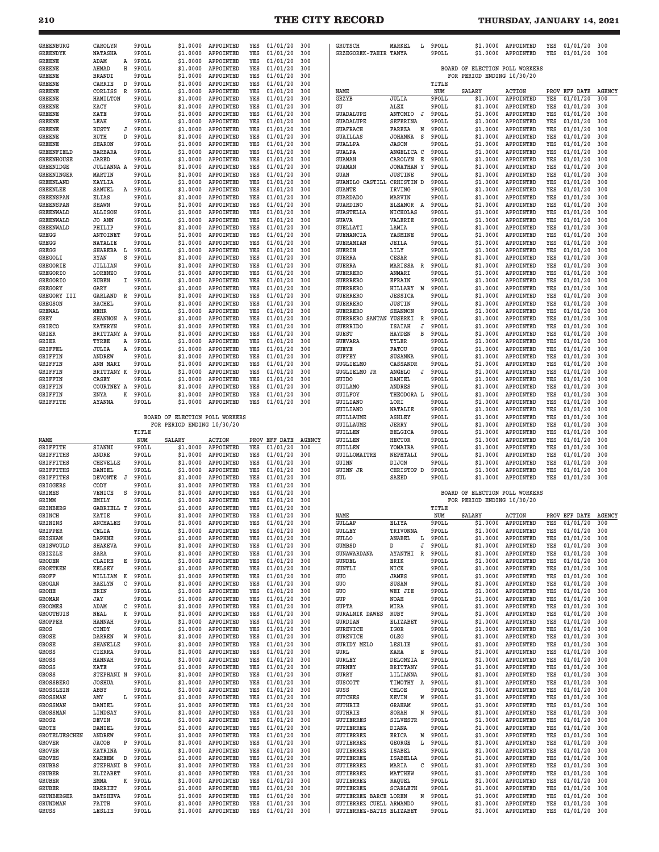## **210 THE CITY RECORD THURSDAY, JANUARY 14, 2021**

| <b>GREENBURG</b>                     | CAROLYN                                    | 9POLL          |                                | \$1.0000 APPOINTED              | YES        | 01/01/20                   | 300           | <b>GRUTSCH</b>                                      | MARKEL<br>L                 | 9POLL          | \$1.0000                       | APPOINTED                  | YES        | 01/01/20                   | 300                  |
|--------------------------------------|--------------------------------------------|----------------|--------------------------------|---------------------------------|------------|----------------------------|---------------|-----------------------------------------------------|-----------------------------|----------------|--------------------------------|----------------------------|------------|----------------------------|----------------------|
| GREENDYK                             | <b>NATASHA</b>                             | 9POLL          | \$1.0000                       | APPOINTED                       | YES        | 01/01/20                   | 300           | GRZEGOREK-TAHIR TANYA                               |                             | 9POLL          | \$1.0000                       | APPOINTED                  | YES        | 01/01/20                   | 300                  |
| GREENE                               | ADAM<br>Α                                  | 9POLL          | \$1.0000                       | APPOINTED                       | YES        | 01/01/20                   | 300           |                                                     |                             |                |                                |                            |            |                            |                      |
| <b>GREENE</b>                        | н<br>AHMAD                                 | 9POLL          | \$1.0000                       | APPOINTED                       | YES        | 01/01/20                   | 300           |                                                     |                             |                | BOARD OF ELECTION POLL WORKERS |                            |            |                            |                      |
| GREENE                               | <b>BRANDI</b>                              | 9POLL          | \$1.0000                       | APPOINTED                       | YES        | 01/01/20                   | 300           |                                                     |                             |                | FOR PERIOD ENDING 10/30/20     |                            |            |                            |                      |
| <b>GREENE</b>                        | CARRIE<br>D                                | 9POLL          | \$1.0000                       | APPOINTED                       | YES        | 01/01/20                   | 300           |                                                     |                             | TITLE          |                                |                            |            |                            |                      |
| <b>GREENE</b><br>GREENE              | CORLISS<br>$\mathbb{R}$<br><b>HAMILTON</b> | 9POLL<br>9POLL | \$1.0000<br>\$1.0000           | APPOINTED<br>APPOINTED          | YES<br>YES | 01/01/20<br>01/01/20       | 300<br>300    | NAME<br>GRZYB                                       | <b>JULIA</b>                | NUM<br>9POLL   | <b>SALARY</b><br>\$1.0000      | <b>ACTION</b><br>APPOINTED | YES        | PROV EFF DATE<br>01/01/20  | <b>AGENCY</b><br>300 |
| <b>GREENE</b>                        | KACY                                       | 9POLL          | \$1.0000                       | APPOINTED                       | YES        | 01/01/20                   | 300           | GU                                                  | ALEX                        | 9POLL          | \$1.0000                       | APPOINTED                  | YES        | 01/01/20                   | 300                  |
| <b>GREENE</b>                        | KATE                                       | 9POLL          | \$1.0000                       | APPOINTED                       | YES        | 01/01/20                   | 300           | <b>GUADALUPE</b>                                    | ANTONIO<br>J                | 9POLL          | \$1.0000                       | APPOINTED                  | YES        | 01/01/20                   | 300                  |
| <b>GREENE</b>                        | LEAH                                       | 9POLL          | \$1.0000                       | APPOINTED                       | YES        | 01/01/20                   | 300           | <b>GUADALUPE</b>                                    | <b>SEFERINA</b>             | 9POLL          | \$1.0000                       | APPOINTED                  | YES        | 01/01/20                   | 300                  |
| <b>GREENE</b>                        | RUSTY<br>J                                 | 9POLL          | \$1.0000                       | APPOINTED                       | YES        | 01/01/20                   | 300           | <b>GUAFRACH</b>                                     | FAREZA<br>N                 | 9POLL          | \$1.0000                       | APPOINTED                  | YES        | 01/01/20                   | 300                  |
| <b>GREENE</b>                        | D<br>RUTH                                  | 9POLL          | \$1.0000                       | APPOINTED                       | YES        | 01/01/20                   | 300           | <b>GUAILLAS</b>                                     | <b>JOHANNA</b><br>S         | 9POLL          | \$1.0000                       | APPOINTED                  | YES        | 01/01/20                   | 300                  |
| <b>GREENE</b>                        | <b>SHARON</b>                              | 9POLL          | \$1.0000                       | APPOINTED                       | YES        | 01/01/20                   | 300           | <b>GUALLPA</b>                                      | <b>JASON</b>                | 9POLL          | \$1.0000                       | APPOINTED                  | YES        | 01/01/20                   | 300                  |
| GREENFIELD                           | <b>BARBARA</b>                             | 9POLL          | \$1.0000                       | APPOINTED                       | YES        | 01/01/20                   | 300           | <b>GUALPA</b>                                       | ANGELICA C                  | 9POLL          | \$1.0000                       | APPOINTED                  | YES        | 01/01/20                   | 300                  |
| <b>GREENHOUSE</b>                    | JARED                                      | 9POLL          | \$1.0000                       | APPOINTED                       | YES        | 01/01/20                   | 300           | GUAMAN                                              | Е<br>CAROLYN                | 9POLL          | \$1.0000                       | APPOINTED                  | YES        | 01/01/20                   | 300                  |
| <b>GREENIDGE</b>                     | <b>JULIANNA A</b>                          | 9POLL          | \$1.0000                       | APPOINTED                       | YES        | 01/01/20                   | 300           | <b>GUAMAN</b>                                       | <b>JONATHAN Y</b>           | 9POLL          | \$1.0000                       | APPOINTED                  | YES        | 01/01/20                   | 300                  |
| GREENINGER                           | MARTIN                                     | 9POLL          | \$1.0000                       | APPOINTED                       | YES        | 01/01/20                   | 300           | GUAN                                                | <b>JUSTINE</b>              | 9POLL          | \$1.0000                       | APPOINTED                  | YES        | 01/01/20                   | 300                  |
| GREENLAND                            | KAYLIA                                     | 9POLL          | \$1.0000                       | APPOINTED                       | YES        | 01/01/20                   | 300           | <b>GUANILO CASTILL</b>                              | CRHISTIN D                  | 9POLL          | \$1.0000                       | APPOINTED                  | YES        | 01/01/20                   | 300                  |
| <b>GREENLEE</b>                      | SAMUEL<br>A                                | 9POLL          | \$1.0000                       | APPOINTED                       | YES        | 01/01/20                   | 300           | <b>GUANTE</b>                                       | IRVING                      | 9POLL          | \$1.0000                       | APPOINTED                  | YES        | 01/01/20                   | 300                  |
| <b>GREENSPAN</b>                     | <b>ELIAS</b>                               | 9POLL          | \$1.0000                       | APPOINTED                       | YES        | 01/01/20                   | 300           | <b>GUARDADO</b>                                     | MARVIN                      | 9POLL          | \$1.0000                       | APPOINTED                  | YES        | 01/01/20                   | 300                  |
| GREENSPAN                            | <b>SHAWN</b>                               | 9POLL          | \$1.0000                       | APPOINTED                       | YES        | 01/01/20                   | 300           | GUARDINO                                            | ELEANOR A                   | 9POLL          | \$1.0000                       | APPOINTED                  | YES        | 01/01/20                   | 300                  |
| <b>GREENWALD</b>                     | <b>ALLISON</b>                             | 9POLL          | \$1.0000                       | APPOINTED                       | YES        | 01/01/20                   | 300           | <b>GUASTELLA</b>                                    | NICHOLAS                    | 9POLL          | \$1.0000                       | APPOINTED                  | YES        | 01/01/20                   | 300                  |
| <b>GREENWALD</b>                     | JO ANN                                     | 9POLL          | \$1.0000                       | APPOINTED                       | YES        | 01/01/20                   | 300           | GUAVA                                               | VALERIE                     | 9POLL          | \$1.0000                       | APPOINTED                  | YES        | 01/01/20                   | 300                  |
| <b>GREENWALD</b>                     | PHILIP                                     | 9POLL          | \$1.0000                       | APPOINTED                       | YES        | 01/01/20                   | 300           | <b>GUELLATI</b>                                     | LAMIA                       | 9POLL          | \$1.0000                       | APPOINTED                  | YES        | 01/01/20                   | 300                  |
| GREGG                                | ANTOINET                                   | 9POLL          | \$1.0000                       | APPOINTED                       | YES        | 01/01/20                   | 300           | <b>GUENANCIA</b>                                    | YASMINE                     | 9POLL          | \$1.0000                       | APPOINTED                  | YES        | 01/01/20                   | 300                  |
| GREGG                                | <b>NATALIE</b>                             | 9POLL          | \$1.0000                       | APPOINTED                       | YES        | 01/01/20                   | 300           | GUERAMIAN                                           | <b>JEILA</b>                | 9POLL          | \$1.0000                       | APPOINTED                  | YES        | 01/01/20                   | 300                  |
| GREGG                                | <b>SHAREBA</b><br>L<br>S                   | 9POLL          | \$1.0000<br>\$1,0000           | APPOINTED<br>APPOINTED          | YES<br>YES | 01/01/20<br>01/01/20       | 300           | <b>GUERIN</b>                                       | LILY                        | 9POLL          | \$1.0000                       | APPOINTED<br>APPOINTED     | YES        | 01/01/20<br>01/01/20       | 300                  |
| GREGOLI<br>GREGORIE                  | RYAN                                       | 9POLL<br>9POLL | \$1.0000                       | APPOINTED                       | YES        | 01/01/20                   | 300<br>300    | <b>GUERRA</b><br><b>GUERRA</b>                      | CESAR<br>MARISSA            | 9POLL          | \$1.0000<br>\$1.0000           | APPOINTED                  | YES<br>YES | 01/01/20                   | 300<br>300           |
| <b>GREGORIO</b>                      | JILLIAN<br>LORENZO                         | 9POLL          | \$1.0000                       | APPOINTED                       | YES        | 01/01/20                   | 300           | <b>GUERRERO</b>                                     | R<br>ANMARI                 | 9POLL<br>9POLL | \$1.0000                       | APPOINTED                  | YES        | 01/01/20                   | 300                  |
| <b>GREGORIO</b>                      | <b>RUBEN</b><br>Ι.                         | 9POLL          | \$1.0000                       | APPOINTED                       | YES        | 01/01/20                   | 300           | <b>GUERRERO</b>                                     | <b>EFRAIN</b>               | 9POLL          | \$1.0000                       | APPOINTED                  | YES        | 01/01/20                   | 300                  |
| <b>GREGORY</b>                       | GARY                                       | 9POLL          | \$1.0000                       | APPOINTED                       | YES        | 01/01/20                   | 300           | <b>GUERRERO</b>                                     | HILLARY M                   | 9POLL          | \$1.0000                       | APPOINTED                  | YES        | 01/01/20                   | 300                  |
| GREGORY III                          | GARLAND<br>R                               | 9POLL          | \$1.0000                       | APPOINTED                       | YES        | 01/01/20                   | 300           | <b>GUERRERO</b>                                     | <b>JESSICA</b>              | 9POLL          | \$1.0000                       | APPOINTED                  | YES        | 01/01/20                   | 300                  |
| <b>GREGSON</b>                       | <b>RACHEL</b>                              | 9POLL          | \$1.0000                       | APPOINTED                       | YES        | 01/01/20                   | 300           | <b>GUERRERO</b>                                     | <b>JUSTIN</b>               | 9POLL          | \$1.0000                       | APPOINTED                  | YES        | 01/01/20                   | 300                  |
| <b>GREWAL</b>                        | MEHR                                       | 9POLL          | \$1,0000                       | APPOINTED                       | YES        | 01/01/20                   | 300           | <b>GUERRERO</b>                                     | <b>SHANNON</b>              | 9POLL          | \$1.0000                       | APPOINTED                  | YES        | 01/01/20                   | 300                  |
| GREY                                 | <b>SHANNON</b><br>A                        | 9POLL          | \$1.0000                       | APPOINTED                       | YES        | 01/01/20                   | 300           | <b>GUERRERO SANTAN</b>                              | YUSERKI<br>R                | 9POLL          | \$1.0000                       | APPOINTED                  | YES        | 01/01/20                   | 300                  |
| <b>GRIECO</b>                        | <b>KATHRYN</b>                             | 9POLL          | \$1.0000                       | APPOINTED                       | YES        | 01/01/20                   | 300           | <b>GUERRIDO</b>                                     | <b>ISAIAH</b><br>J          | 9POLL          | \$1.0000                       | APPOINTED                  | YES        | 01/01/20                   | 300                  |
| GRIER                                | BRITTANY A                                 | 9POLL          | \$1.0000                       | APPOINTED                       | YES        | 01/01/20                   | 300           | <b>GUEST</b>                                        | <b>HAYDEN</b><br>В          | 9POLL          | \$1.0000                       | APPOINTED                  | YES        | 01/01/20                   | 300                  |
| GRIER                                | TYREE<br>Α                                 | 9POLL          | \$1.0000                       | APPOINTED                       | YES        | 01/01/20                   | 300           | <b>GUEVARA</b>                                      | TYLER                       | 9POLL          | \$1.0000                       | APPOINTED                  | YES        | 01/01/20                   | 300                  |
| <b>GRIFFEL</b>                       | JULIA<br>Α                                 | 9POLL          | \$1.0000                       | APPOINTED                       | YES        | 01/01/20                   | 300           | GUEYE                                               | FATOU                       | 9POLL          | \$1.0000                       | APPOINTED                  | YES        | 01/01/20                   | 300                  |
| <b>GRIFFIN</b>                       | ANDREW                                     | 9POLL          | \$1.0000                       | APPOINTED                       | YES        | 01/01/20                   | 300           | <b>GUFFEY</b>                                       | <b>SUSANNA</b>              | 9POLL          | \$1.0000                       | APPOINTED                  | YES        | 01/01/20                   | 300                  |
| GRIFFIN                              | ANN MARI                                   | 9POLL          | \$1.0000                       | APPOINTED                       | YES        | 01/01/20                   | 300           | <b>GUGLIELMO</b>                                    | CASSANDR                    | 9POLL          | \$1.0000                       | APPOINTED                  | YES        | 01/01/20                   | 300                  |
| <b>GRIFFIN</b>                       | BRITTANY K                                 | 9POLL          | \$1.0000                       | APPOINTED                       | YES        | 01/01/20                   | 300           | <b>GUGLIELMO JR</b>                                 | <b>ANGELO</b><br>J          | 9POLL          | \$1.0000                       | APPOINTED                  | YES        | 01/01/20                   | 300                  |
| GRIFFIN                              | CASEY                                      | 9POLL          | \$1,0000                       | APPOINTED                       | YES        | 01/01/20                   | 300           | <b>GUIDO</b>                                        | DANIEL                      | 9POLL          | \$1.0000                       | APPOINTED                  | YES        | 01/01/20                   | 300                  |
| GRIFFIN                              | COURTNEY A                                 | 9POLL          | \$1.0000                       | APPOINTED                       | YES        | 01/01/20                   | 300           | GUILAMO                                             | ANDRES                      | 9POLL          | \$1.0000                       | APPOINTED                  | YES        | 01/01/20                   | 300                  |
| GRIFFIN                              | ENYA<br>к                                  | 9POLL          | \$1.0000                       | APPOINTED                       | YES        | 01/01/20                   | 300           | <b>GUILFOY</b>                                      | THEODORA L                  | 9POLL          | \$1.0000                       | APPOINTED                  | YES        | 01/01/20                   | 300                  |
| GRIFFITH                             | <b>AYANNA</b>                              | 9POLL          | \$1.0000                       | APPOINTED                       | YES        | 01/01/20                   | 300           | <b>GUILIANO</b>                                     | LORI                        | 9POLL          | \$1.0000<br>\$1.0000           | APPOINTED<br>APPOINTED     | YES<br>YES | 01/01/20<br>01/01/20       | 300<br>300           |
|                                      |                                            |                | BOARD OF ELECTION POLL WORKERS |                                 |            |                            |               | <b>GUILIANO</b><br><b>GUILLAUME</b>                 | NATALIE<br><b>ASHLEY</b>    | 9POLL<br>9POLL | \$1.0000                       | APPOINTED                  | YES        | 01/01/20                   | 300                  |
|                                      |                                            |                |                                |                                 |            |                            |               |                                                     |                             |                |                                |                            |            |                            |                      |
|                                      |                                            |                |                                |                                 |            |                            |               |                                                     |                             |                |                                |                            |            |                            |                      |
|                                      |                                            |                | FOR PERIOD ENDING 10/30/20     |                                 |            |                            |               | <b>GUILLAUME</b>                                    | JERRY                       | 9POLL          | \$1.0000                       | APPOINTED                  | YES        | 01/01/20                   | 300                  |
|                                      |                                            | TITLE          |                                |                                 |            |                            |               | <b>GUILLEN</b>                                      | <b>BELGICA</b>              | 9POLL          | \$1.0000                       | APPOINTED                  | YES        | 01/01/20                   | 300                  |
| NAME                                 |                                            | NUM            | SALARY                         | <b>ACTION</b>                   |            | PROV EFF DATE              | <b>AGENCY</b> | <b>GUILLEN</b>                                      | <b>HECTOR</b>               | 9POLL          | \$1.0000                       | APPOINTED                  | YES        | 01/01/20                   | 300                  |
| GRIFFITH                             | SIANNI                                     | 9POLL          | \$1.0000<br>\$1,0000           | APPOINTED                       | YES        | 01/01/20                   | 300           | <b>GUILLEN</b>                                      | YOMAIRA                     | 9POLL          | \$1.0000                       | APPOINTED                  | YES        | 01/01/20                   | 300                  |
| <b>GRIFFITHS</b><br><b>GRIFFITHS</b> | ANDRE<br><b>CHEVELLE</b>                   | 9POLL          | \$1.0000                       | APPOINTED<br>APPOINTED          | YES<br>YES | 01/01/20                   | 300<br>300    | GUILLOMAITRE                                        | NEPHTALI<br>DIJON           | 9POLL          | \$1.0000<br>\$1.0000           | APPOINTED                  | YES<br>YES | 01/01/20                   | 300<br>300           |
| <b>GRIFFITHS</b>                     | DANIEL                                     | 9POLL<br>9POLL | \$1.0000                       | APPOINTED                       | YES        | 01/01/20<br>01/01/20       | 300           | GUINN<br><b>GUINN JR</b>                            | CHRISTOP D                  | 9POLL<br>9POLL | \$1.0000                       | APPOINTED<br>APPOINTED     | YES        | 01/01/20<br>01/01/20       | 300                  |
| <b>GRIFFITHS</b>                     | <b>DEVONTE</b><br>J                        | 9POLL          | \$1.0000                       | APPOINTED                       | YES        | 01/01/20                   | 300           | GUL                                                 | SAEED                       | 9POLL          | \$1.0000                       | APPOINTED                  | YES        | 01/01/20                   | 300                  |
| GRIGGERS                             | CODY                                       | 9POLL          | \$1.0000                       | APPOINTED                       | YES        | 01/01/20                   | 300           |                                                     |                             |                |                                |                            |            |                            |                      |
| <b>GRIMES</b>                        | VENICE<br>S                                | 9POLL          | \$1.0000                       | APPOINTED                       | YES        | 01/01/20                   | 300           |                                                     |                             |                | BOARD OF ELECTION POLL WORKERS |                            |            |                            |                      |
| GRIMM                                | EMILY                                      | 9POLL          | \$1,0000                       | APPOINTED                       | YES        | 01/01/20                   | 300           |                                                     |                             |                | FOR PERIOD ENDING 10/30/20     |                            |            |                            |                      |
| GRINBERG                             | <b>GABRIELL T</b>                          | 9POLL          | \$1.0000                       | APPOINTED                       | YES        | 01/01/20                   | 300           |                                                     |                             | TITLE          |                                |                            |            |                            |                      |
| GRINCH                               | KATIE                                      | 9POLL          | \$1.0000                       | <b>APPOINTRE</b>                | YES        | 01/01/20                   | 300           | <b>NAME</b>                                         |                             |                | SALARY                         | <b>ACTION</b>              |            | PROV EFF DATE AGENCY       |                      |
| GRININS                              | <b>ANCHALEE</b>                            | 9POLL          |                                | \$1.0000 APPOINTED              | YES        | 01/01/20                   | 300           | <b>GULLAP</b>                                       | ELIYA                       | 9POLL          | \$1.0000                       | APPOINTED                  | YES        | 01/01/20                   | 300                  |
| GRIPPER                              | CELIA                                      | 9POLL          | \$1.0000                       | APPOINTED                       | YES        | 01/01/20                   | 300           | <b>GULLEY</b>                                       | TRIVONNA                    | 9POLL          | \$1.0000                       | APPOINTED                  | YES        | 01/01/20                   | 300                  |
| <b>GRISHAM</b>                       | DAPHNE                                     | 9POLL          | \$1.0000                       | APPOINTED                       | YES        | 01/01/20                   | 300           | <b>GULLO</b>                                        | ANABEL<br>L                 | 9POLL          | \$1.0000                       | APPOINTED                  | YES        | 01/01/20                   | 300                  |
| GRISWOULD                            | <b>SHAKEVA</b>                             | 9POLL          | \$1.0000                       | APPOINTED                       | YES        | 01/01/20                   | 300           | <b>GUMBSD</b>                                       | D<br>J                      | 9POLL          | \$1.0000                       | APPOINTED                  | YES        | 01/01/20                   | 300                  |
| GRIZZLE                              | SARA                                       | 9POLL          | \$1.0000                       | APPOINTED                       | YES        | 01/01/20                   | 300           | GUNAWARDANA                                         | AYANTHI<br>R                | 9POLL          | \$1.0000                       | APPOINTED                  | YES        | 01/01/20                   | 300                  |
| GRODEN                               | CLAIRE<br>E                                | 9POLL          | \$1.0000                       | APPOINTED                       | YES        | 01/01/20                   | 300           | GUNDEL                                              | ERIK                        | 9POLL          | \$1.0000                       | APPOINTED                  | YES        | 01/01/20                   | 300                  |
| <b>GROETKEN</b>                      | KELSEY                                     | 9POLL          | \$1.0000                       | APPOINTED                       | YES        | 01/01/20                   | 300           | <b>GUNTLI</b>                                       | NICK                        | 9POLL          | \$1.0000                       | APPOINTED                  | YES        | 01/01/20                   | 300                  |
| GROFF<br>GROGAN                      | WILLIAM<br>K<br>RAELYN<br>C                | 9POLL<br>9POLL | \$1.0000<br>\$1.0000           | APPOINTED<br>APPOINTED          | YES<br>YES | 01/01/20<br>01/01/20       | 300<br>300    | GUO<br>GUO                                          | <b>JAMES</b><br>SUSAN       | 9POLL<br>9POLL | \$1,0000<br>\$1.0000           | APPOINTED<br>APPOINTED     | YES<br>YES | 01/01/20<br>01/01/20       | 300<br>300           |
| GROHE                                | ERIN                                       | 9POLL          | \$1.0000                       | APPOINTED                       | YES        | 01/01/20                   | 300           | GUO                                                 | WEI JIE                     | 9POLL          | \$1.0000                       | APPOINTED                  | YES        | 01/01/20                   | 300                  |
| <b>GROMAN</b>                        | JAY                                        | 9POLL          | \$1.0000                       | APPOINTED                       | YES        | 01/01/20                   | 300           | GUP                                                 | NOAH                        | 9POLL          | \$1.0000                       | APPOINTED                  | YES        | 01/01/20                   | 300                  |
| <b>GROOMES</b>                       | ADAM<br>с                                  | 9POLL          | \$1.0000                       | APPOINTED                       | YES        | 01/01/20                   | 300           | <b>GUPTA</b>                                        | MIRA                        | 9POLL          | \$1.0000                       | APPOINTED                  | YES        | 01/01/20                   | 300                  |
| <b>GROOTHUIS</b>                     | к<br>NEAL                                  | 9POLL          | \$1.0000                       | APPOINTED                       | YES        | 01/01/20                   | 300           | <b>GURALNIK DAWES</b>                               | RUBY                        | 9POLL          | \$1.0000                       | APPOINTED                  | YES        | 01/01/20                   | 300                  |
| <b>GROPPER</b>                       | <b>HANNAH</b>                              | 9POLL          | \$1.0000                       | APPOINTED                       | YES        | 01/01/20                   | 300           | <b>GURDIAN</b>                                      | ELIZABET                    | 9POLL          | \$1.0000                       | APPOINTED                  | YES        | 01/01/20                   | 300                  |
| GROS                                 | CINDY                                      | 9POLL          | \$1.0000                       | APPOINTED                       | YES        | 01/01/20                   | 300           | <b>GUREVICH</b>                                     | IGOR                        | 9POLL          | \$1.0000                       | APPOINTED                  | YES        | 01/01/20                   | 300                  |
| GROSE                                | W<br>DARREN                                | 9POLL          | \$1.0000                       | APPOINTED                       | YES        | 01/01/20                   | 300           | <b>GUREVICH</b>                                     | OLEG                        | 9POLL          | \$1.0000                       | APPOINTED                  | YES        | 01/01/20                   | 300                  |
| GROSE                                | SHANELLE                                   | 9POLL          | \$1.0000                       | APPOINTED                       | YES        | 01/01/20                   | 300           | <b>GURIDY MELO</b>                                  | <b>LESLIE</b>               | 9POLL          | \$1.0000                       | APPOINTED                  | YES        | 01/01/20                   | 300                  |
| GROSS                                | CIERRA                                     | 9POLL          | \$1,0000                       | APPOINTED                       | YES        | 01/01/20                   | 300           | GURL                                                | KARA<br>E                   | 9POLL          | \$1.0000                       | APPOINTED                  | YES        | 01/01/20                   | 300                  |
| GROSS                                | <b>HANNAH</b>                              | 9POLL          | \$1.0000                       | APPOINTED                       | YES        | 01/01/20                   | 300           | <b>GURLEY</b>                                       | DELONZIA                    | 9POLL          | \$1.0000                       | APPOINTED                  | YES        | 01/01/20                   | 300                  |
| GROSS                                | KATE                                       | 9POLL          | \$1.0000                       | APPOINTED                       | YES        | 01/01/20                   | 300           | GURNEY                                              | <b>BRITTANY</b>             | 9POLL          | \$1.0000                       | APPOINTED                  | YES        | 01/01/20                   | 300                  |
| GROSS                                | STEPHANI N                                 | 9POLL          | \$1.0000                       | APPOINTED                       | YES        | 01/01/20                   | 300           | GURRY                                               | LILIANNA                    | 9POLL          | \$1.0000                       | APPOINTED                  | YES        | 01/01/20                   | 300                  |
| GROSSBERG                            | <b>JOSHUA</b>                              | 9POLL          | \$1.0000                       | APPOINTED                       | YES        | 01/01/20                   | 300           | <b>GUSCOTT</b>                                      | TIMOTHY A                   | 9POLL          | \$1.0000                       | APPOINTED                  | YES        | 01/01/20                   | 300                  |
| GROSSLEIN                            | ABBY                                       | 9POLL          | \$1.0000                       | APPOINTED                       | YES        | 01/01/20                   | 300           | GUSS                                                | CHLOE<br>W                  | 9POLL          | \$1.0000                       | APPOINTED                  | YES        | 01/01/20                   | 300                  |
| <b>GROSSMAN</b>                      | AMY<br>L                                   | 9POLL          | \$1.0000                       | APPOINTED                       | YES        | 01/01/20                   | 300           | <b>GUTCHES</b>                                      | KEVIN                       | 9POLL          | \$1.0000                       | APPOINTED                  | YES<br>YES | 01/01/20                   | 300<br>300           |
| <b>GROSSMAN</b><br><b>GROSSMAN</b>   | DANIEL<br>LINDSAY                          | 9POLL<br>9POLL | \$1.0000<br>\$1.0000           | APPOINTED<br>APPOINTED          | YES<br>YES | 01/01/20<br>01/01/20       | 300<br>300    | <b>GUTHRIE</b><br><b>GUTHRIE</b>                    | <b>GRAHAM</b><br>SORAH<br>N | 9POLL<br>9POLL | \$1.0000<br>\$1.0000           | APPOINTED<br>APPOINTED     | YES        | 01/01/20<br>01/01/20       | 300                  |
| GROSZ                                | DEVIN                                      | 9POLL          | \$1.0000                       | APPOINTED                       | YES        | 01/01/20                   | 300           | <b>GUTIERRES</b>                                    | SILVESTR                    | 9POLL          | \$1.0000                       | APPOINTED                  | YES        | 01/01/20                   | 300                  |
| GROTE                                | DANIEL                                     | 9POLL          | \$1.0000                       | APPOINTED                       | YES        | 01/01/20                   | 300           | <b>GUTIERREZ</b>                                    | DIANA                       | 9POLL          | \$1.0000                       | APPOINTED                  | YES        | 01/01/20                   | 300                  |
| GROTELUESCHEN                        | ANDREW                                     | 9POLL          | \$1.0000                       | APPOINTED                       | YES        | 01/01/20                   | 300           | GUTIERREZ                                           | ERICA<br>М                  | 9POLL          | \$1.0000                       | APPOINTED                  | YES        | 01/01/20                   | 300                  |
| GROVER                               | JACOB<br>P                                 | 9POLL          | \$1.0000                       | APPOINTED                       | YES        | 01/01/20                   | 300           | <b>GUTIERREZ</b>                                    | GEORGE<br>L                 | 9POLL          | \$1.0000                       | APPOINTED                  | YES        | 01/01/20                   | 300                  |
| <b>GROVER</b>                        | <b>KATRINA</b>                             | 9POLL          | \$1.0000                       | APPOINTED                       | YES        | 01/01/20                   | 300           | <b>GUTIERREZ</b>                                    | ISABEL                      | 9POLL          | \$1.0000                       | APPOINTED                  | YES        | 01/01/20                   | 300                  |
| <b>GROVES</b>                        | <b>KAREEM</b><br>D                         | 9POLL          | \$1.0000                       | APPOINTED                       | YES        | 01/01/20                   | 300           | <b>GUTIERREZ</b>                                    | ISABELLA                    | 9POLL          | \$1.0000                       | APPOINTED                  | YES        | 01/01/20                   | 300                  |
| GRUBBS                               | STEPHANI B                                 | 9POLL          | \$1.0000                       | APPOINTED                       | YES        | 01/01/20                   | 300           | <b>GUTIERREZ</b>                                    | C<br>MARIA                  | 9 POLL         | \$1.0000                       | APPOINTED                  | YES        | 01/01/20                   | 300                  |
| GRUBER                               | <b>ELIZABET</b>                            | 9POLL          | \$1.0000                       | APPOINTED                       | YES        | 01/01/20                   | 300           | <b>GUTIERREZ</b>                                    | MATTHEW                     | 9POLL          | \$1.0000                       | APPOINTED                  | YES        | 01/01/20                   | 300                  |
| GRUBER                               | К<br>EMMA                                  | 9POLL          | \$1.0000                       | APPOINTED                       | YES        | 01/01/20                   | 300           | <b>GUTIERREZ</b>                                    | RAQUEL                      | 9POLL          | \$1.0000                       | APPOINTED                  | YES        | 01/01/20                   | 300                  |
| GRUBER                               | HARRIET                                    | 9POLL          | \$1.0000                       | APPOINTED                       | YES        | 01/01/20                   | 300           | <b>GUTIERREZ</b>                                    | SCARLETH                    | 9POLL          | \$1.0000                       | APPOINTED                  | YES        | 01/01/20                   | 300                  |
| <b>GRUNBERGER</b>                    | <b>BATSHEVA</b>                            | 9POLL          | \$1.0000                       | APPOINTED                       | YES        | 01/01/20                   | 300           | <b>GUTIERREZ BARCE LOREN</b>                        | N                           | 9POLL          | \$1.0000                       | APPOINTED                  | YES        | 01/01/20                   | 300                  |
| <b>GRUNDMAN</b><br>GRUSS             | FAITH<br>LESLIE                            | 9POLL<br>9POLL | \$1.0000                       | APPOINTED<br>\$1.0000 APPOINTED | YES<br>YES | 01/01/20<br>$01/01/20$ 300 | 300           | GUTIERREZ CUELL ARMANDO<br>GUTIERREZ-BATIS ELIZABET |                             | 9POLL<br>9POLL | \$1.0000<br>\$1.0000           | APPOINTED<br>APPOINTED     | YES<br>YES | 01/01/20<br>$01/01/20$ 300 | 300                  |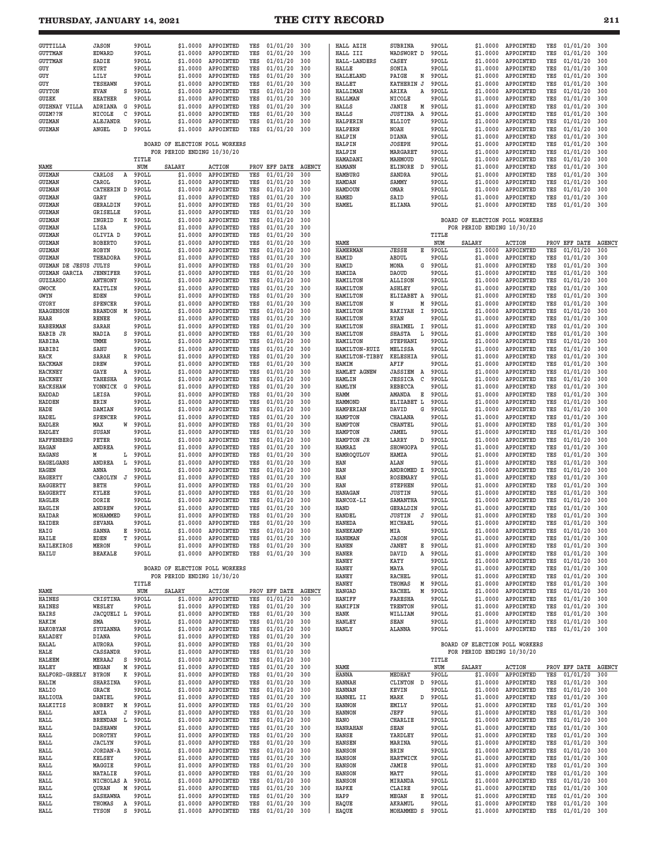## **THURSDAY, JANUARY 14, 2021 THE CITY RECORD 211**

| GUTTILLA                          | <b>JASON</b>                  |        | 9POLL          | \$1.0000                       | APPOINTED              | YES        | 01/01/20             | 300           | HALL AZIH                        | SUBRINA                     | 9POLL          | \$1.0000                       | APPOINTED              | YES        | 01/01/20             | 300           |
|-----------------------------------|-------------------------------|--------|----------------|--------------------------------|------------------------|------------|----------------------|---------------|----------------------------------|-----------------------------|----------------|--------------------------------|------------------------|------------|----------------------|---------------|
| <b>GUTTMAN</b><br><b>GUTTMAN</b>  | <b>EDWARD</b>                 |        | 9POLL          | \$1.0000                       | APPOINTED              | YES        | 01/01/20             | 300           | HALL III<br><b>HALL-LANDERS</b>  | WADSWORT D                  | 9POLL          | \$1.0000<br>\$1,0000           | APPOINTED              | YES        | 01/01/20             | 300           |
| GUY                               | SADIE<br>KURT                 |        | 9POLL<br>9POLL | \$1.0000<br>\$1.0000           | APPOINTED<br>APPOINTED | YES<br>YES | 01/01/20<br>01/01/20 | 300<br>300    | HALLE                            | CASEY<br>SONIA              | 9POLL<br>9POLL | \$1.0000                       | APPOINTED<br>APPOINTED | YES<br>YES | 01/01/20<br>01/01/20 | 300<br>300    |
| GUY                               | LILY                          |        | 9POLL          | \$1.0000                       | APPOINTED              | YES        | 01/01/20             | 300           | <b>HALLELAND</b>                 | PAIGE<br>N                  | 9POLL          | \$1.0000                       | APPOINTED              | YES        | 01/01/20             | 300           |
| GUY                               | <b>TESHAWN</b>                |        | 9POLL          | \$1.0000                       | APPOINTED              | YES        | 01/01/20             | 300           | <b>HALLET</b>                    | <b>KATHERIN</b><br>J        | 9POLL          | \$1.0000                       | APPOINTED              | YES        | 01/01/20             | 300           |
| <b>GUYTON</b>                     | <b>EVAN</b>                   | s      | 9POLL          | \$1.0000                       | APPOINTED              | YES        | 01/01/20             | 300           | HALLIMAN                         | Α<br>ARIKA                  | 9POLL          | \$1.0000                       | APPOINTED              | YES        | 01/01/20             | 300           |
| GUZEK                             | <b>HEATHER</b>                |        | 9POLL          | \$1.0000                       | APPOINTED              | YES        | 01/01/20             | 300           | <b>HALLMAN</b>                   | NICOLE                      | 9POLL          | \$1.0000                       | APPOINTED              | YES        | 01/01/20             | 300           |
| <b>GUZHNAY VILLA</b>              | ADRIANA                       | G      | 9POLL          | \$1.0000                       | APPOINTED              | YES        | 01/01/20             | 300           | HALLS                            | JANIE<br>М                  | 9POLL          | \$1,0000                       | APPOINTED              | YES        | 01/01/20             | 300           |
| GUZM??N                           | NICOLE                        | С      | 9POLL          | \$1,0000                       | APPOINTED              | YES        | 01/01/20             | 300           | HALLS                            | <b>JUSTINA</b><br>A         | 9POLL          | \$1.0000                       | APPOINTED              | YES        | 01/01/20             | 300           |
| <b>GUZMAN</b><br>GUZMAN           | <b>ALEJANDR</b><br>ANGEL      | D      | 9POLL<br>9POLL | \$1.0000<br>\$1.0000           | APPOINTED<br>APPOINTED | YES<br>YES | 01/01/20<br>01/01/20 | 300<br>300    | HALPERIN<br><b>HALPERN</b>       | <b>ELLIOT</b><br>NOAH       | 9POLL<br>9POLL | \$1,0000<br>\$1.0000           | APPOINTED<br>APPOINTED | YES<br>YES | 01/01/20<br>01/01/20 | 300<br>300    |
|                                   |                               |        |                |                                |                        |            |                      |               | HALPIN                           | DIANA                       | 9POLL          | \$1.0000                       | APPOINTED              | YES        | 01/01/20             | 300           |
|                                   |                               |        |                | BOARD OF ELECTION POLL WORKERS |                        |            |                      |               | HALPIN                           | JOSEPH                      | 9POLL          | \$1.0000                       | APPOINTED              | YES        | 01/01/20             | 300           |
|                                   |                               |        |                | FOR PERIOD ENDING 10/30/20     |                        |            |                      |               | <b>HALPIN</b>                    | MARGARET                    | 9POLL          | \$1.0000                       | APPOINTED              | YES        | 01/01/20             | 300           |
|                                   |                               |        | TITLE          |                                |                        |            |                      |               | HAMADANI                         | MAHMOUD                     | 9POLL          | \$1.0000                       | APPOINTED              | YES        | 01/01/20             | 300           |
| NAME                              |                               |        | NUM            | <b>SALARY</b>                  | <b>ACTION</b>          |            | PROV EFF DATE        | <b>AGENCY</b> | <b>HAMANN</b>                    | ELINORE<br>D                | 9POLL          | \$1.0000                       | APPOINTED              | YES        | 01/01/20             | 300           |
| GUZMAN<br><b>GUZMAN</b>           | CARLOS<br>CAROL               | Α      | 9POLL<br>9POLL | \$1.0000<br>\$1.0000           | APPOINTED<br>APPOINTED | YES<br>YES | 01/01/20<br>01/01/20 | 300<br>300    | HAMBURG<br><b>HAMDAN</b>         | SANDRA<br><b>SAMMY</b>      | 9POLL<br>9POLL | \$1.0000<br>\$1.0000           | APPOINTED<br>APPOINTED | YES<br>YES | 01/01/20<br>01/01/20 | 300<br>300    |
| <b>GUZMAN</b>                     | CATHERIN D                    |        | 9POLL          | \$1,0000                       | APPOINTED              | YES        | 01/01/20             | 300           | HAMDOUN                          | OMAR                        | 9POLL          | \$1.0000                       | APPOINTED              | YES        | 01/01/20             | 300           |
| GUZMAN                            | GARY                          |        | 9POLL          | \$1.0000                       | APPOINTED              | YES        | 01/01/20             | 300           | HAMED                            | SAID                        | 9POLL          | \$1.0000                       | APPOINTED              | YES        | 01/01/20             | 300           |
| <b>GUZMAN</b>                     | GERALDIN                      |        | 9POLL          | \$1.0000                       | APPOINTED              | YES        | 01/01/20             | 300           | HAMEL                            | <b>ELIANA</b>               | 9POLL          | \$1.0000                       | APPOINTED              | YES        | 01/01/20             | 300           |
| <b>GUZMAN</b>                     | <b>GRISELLE</b>               |        | 9POLL          | \$1.0000                       | APPOINTED              | YES        | 01/01/20             | 300           |                                  |                             |                |                                |                        |            |                      |               |
| GUZMAN                            | INGRID                        | K      | 9POLL          | \$1.0000                       | APPOINTED              | YES        | 01/01/20             | 300           |                                  |                             |                | BOARD OF ELECTION POLL WORKERS |                        |            |                      |               |
| GUZMAN                            | LISA                          |        | 9POLL          | \$1.0000                       | APPOINTED              | YES        | 01/01/20             | 300           |                                  |                             |                | FOR PERIOD ENDING 10/30/20     |                        |            |                      |               |
| <b>GUZMAN</b><br>GUZMAN           | OLIVIA D<br><b>ROBERTO</b>    |        | 9POLL<br>9POLL | \$1.0000<br>\$1.0000           | APPOINTED<br>APPOINTED | YES<br>YES | 01/01/20<br>01/01/20 | 300<br>300    | NAME                             |                             | TITLE<br>NUM   | SALARY                         | <b>ACTION</b>          |            | PROV EFF DATE        | <b>AGENCY</b> |
| GUZMAN                            | <b>ROBYN</b>                  |        | 9POLL          | \$1.0000                       | APPOINTED              | YES        | 01/01/20             | 300           | <b>HAMERMAN</b>                  | JESSE<br>Е                  | 9POLL          | \$1.0000                       | APPOINTED              | YES        | 01/01/20             | 300           |
| <b>GUZMAN</b>                     | THEADORA                      |        | 9POLL          | \$1.0000                       | APPOINTED              | YES        | 01/01/20             | 300           | HAMID                            | ABDUL                       | 9POLL          | \$1,0000                       | APPOINTED              | YES        | 01/01/20             | 300           |
| <b>GUZMAN DE JESUS</b>            | JULYS                         |        | 9POLL          | \$1.0000                       | APPOINTED              | YES        | 01/01/20             | 300           | HAMID                            | MONA<br>G                   | 9POLL          | \$1.0000                       | APPOINTED              | YES        | 01/01/20             | 300           |
| <b>GUZMAN GARCIA</b>              | <b>JENNIFER</b>               |        | 9POLL          | \$1.0000                       | APPOINTED              | YES        | 01/01/20             | 300           | HAMIDA                           | DAOUD                       | 9POLL          | \$1.0000                       | APPOINTED              | YES        | 01/01/20             | 300           |
| GUZZARDO                          | <b>ANTHONY</b>                |        | 9POLL          | \$1.0000                       | APPOINTED              | YES        | 01/01/20             | 300           | <b>HAMILTON</b>                  | <b>ALLISON</b>              | 9POLL          | \$1,0000                       | APPOINTED              | YES        | 01/01/20             | 300           |
| <b>GWOCK</b><br>GWYN              | <b>KAITLIN</b><br><b>EDEN</b> |        | 9POLL<br>9POLL | \$1.0000<br>\$1.0000           | APPOINTED<br>APPOINTED | YES<br>YES | 01/01/20<br>01/01/20 | 300<br>300    | HAMILTON<br><b>HAMILTON</b>      | <b>ASHLEY</b><br>ELIZABET A | 9POLL<br>9POLL | \$1.0000<br>\$1.0000           | APPOINTED<br>APPOINTED | YES<br>YES | 01/01/20<br>01/01/20 | 300<br>300    |
| GYORY                             | <b>SPENCER</b>                |        | 9POLL          | \$1.0000                       | APPOINTED              | YES        | 01/01/20             | 300           | <b>HAMILTON</b>                  | N<br>M                      | 9POLL          | \$1.0000                       | APPOINTED              | YES        | 01/01/20             | 300           |
| <b>HAAGENSON</b>                  | <b>BRANDON</b>                | M      | 9POLL          | \$1.0000                       | APPOINTED              | YES        | 01/01/20             | 300           | HAMILTON                         | RAKIYAH<br>I                | 9POLL          | \$1.0000                       | APPOINTED              | YES        | 01/01/20             | 300           |
| HAAR                              | RENEE                         |        | 9POLL          | \$1.0000                       | APPOINTED              | YES        | 01/01/20             | 300           | HAMILTON                         | <b>RYAN</b>                 | 9POLL          | \$1.0000                       | APPOINTED              | YES        | 01/01/20             | 300           |
| <b>HABERMAN</b>                   | SARAH                         |        | 9POLL          | \$1.0000                       | APPOINTED              | YES        | 01/01/20             | 300           | <b>HAMILTON</b>                  | SHAIMEL<br>I                | 9POLL          | \$1.0000                       | APPOINTED              | YES        | 01/01/20             | 300           |
| HABIB JR                          | NADIA                         | s      | 9POLL          | \$1.0000                       | APPOINTED              | YES        | 01/01/20             | 300           | <b>HAMILTON</b>                  | <b>SHASTA</b><br>L          | 9POLL          | \$1.0000                       | APPOINTED              | YES        | 01/01/20             | 300           |
| <b>HABIBA</b><br>HABIBI           | UMME<br>SAHU                  |        | 9POLL<br>9POLL | \$1,0000<br>\$1.0000           | APPOINTED<br>APPOINTED | YES<br>YES | 01/01/20<br>01/01/20 | 300<br>300    | <b>HAMILTON</b><br>HAMILTON-RUIZ | STEPHANI<br>MELISSA         | 9POLL<br>9POLL | \$1.0000<br>\$1.0000           | APPOINTED<br>APPOINTED | YES<br>YES | 01/01/20<br>01/01/20 | 300<br>300    |
| HACK                              | SARAH                         | R      | 9POLL          | \$1.0000                       | APPOINTED              | YES        | 01/01/20             | 300           | HAMILTON-TIBBY                   | <b>KELESHIA</b>             | 9POLL          | \$1.0000                       | APPOINTED              | YES        | 01/01/20             | 300           |
| <b>HACKMAN</b>                    | DREW                          |        | 9POLL          | \$1.0000                       | APPOINTED              | YES        | 01/01/20             | 300           | HAMIM                            | AFIF                        | 9POLL          | \$1.0000                       | APPOINTED              | YES        | 01/01/20             | 300           |
| <b>HACKNEY</b>                    | GAYE                          | A      | 9POLL          | \$1.0000                       | APPOINTED              | YES        | 01/01/20             | 300           | HAMLET AGNEW                     | JASSIEM<br>A                | 9POLL          | \$1.0000                       | APPOINTED              | YES        | 01/01/20             | 300           |
| <b>HACKNEY</b>                    | TAHESHA                       |        | 9POLL          | \$1.0000                       | APPOINTED              | YES        | 01/01/20             | 300           | <b>HAMLIN</b>                    | <b>JESSICA</b><br>С         | 9POLL          | \$1.0000                       | APPOINTED              | YES        | 01/01/20             | 300           |
| <b>HACKSHAW</b>                   | YONNICK                       | G      | 9POLL          | \$1.0000                       | APPOINTED              | YES        | 01/01/20             | 300           | <b>HAMLYN</b>                    | <b>REBECCA</b>              | 9POLL          | \$1.0000                       | APPOINTED              | YES        | 01/01/20             | 300           |
| HADDAD<br><b>HADDEN</b>           | LEISA<br><b>ERIN</b>          |        | 9POLL<br>9POLL | \$1.0000<br>\$1.0000           | APPOINTED<br>APPOINTED | YES<br>YES | 01/01/20<br>01/01/20 | 300<br>300    | HAMM<br>HAMMOND                  | AMANDA<br>Е<br>ELIZABET L   | 9POLL<br>9POLL | \$1.0000<br>\$1.0000           | APPOINTED<br>APPOINTED | YES<br>YES | 01/01/20<br>01/01/20 | 300<br>300    |
| HADE                              | DAMIAN                        |        | 9POLL          | \$1.0000                       | APPOINTED              | YES        | 01/01/20             | 300           | HAMPERIAN                        | DAVID<br>G                  | 9POLL          | \$1.0000                       | APPOINTED              | YES        | 01/01/20             | 300           |
| HADEL                             | <b>SPENCER</b>                |        | 9POLL          | \$1.0000                       | APPOINTED              | YES        | 01/01/20             | 300           | <b>HAMPTON</b>                   | CHALANA                     | 9POLL          | \$1.0000                       | APPOINTED              | YES        | 01/01/20             | 300           |
| HADLER                            | MAX                           | W      | 9POLL          | \$1.0000                       | APPOINTED              | YES        | 01/01/20             | 300           | <b>HAMPTON</b>                   | CHANTEL                     | 9POLL          | \$1.0000                       | APPOINTED              | YES        | 01/01/20             | 300           |
| HADLEY                            | SUSAN                         |        | 9POLL          | \$1.0000                       | APPOINTED              | YES        | 01/01/20             | 300           | <b>HAMPTON</b>                   | JAMEL                       | 9POLL          | \$1.0000                       | APPOINTED              | YES        | 01/01/20             | 300           |
| <b>HAFFENBERG</b>                 | PETER                         |        | 9POLL          | \$1.0000                       | APPOINTED              | YES        | 01/01/20             | 300           | HAMPTON JR                       | LARRY<br>D                  | 9POLL          | \$1.0000                       | APPOINTED              | YES        | 01/01/20             | 300           |
| <b>HAGAN</b>                      | ANDREA                        |        | 9POLL          | \$1.0000                       | APPOINTED              | YES        | 01/01/20             | 300           | HAMRAZ                           | SHOWGOFA                    | 9POLL          | \$1.0000                       | APPOINTED              | YES        | 01/01/20             | 300           |
| <b>HAGANS</b><br><b>HAGELGANS</b> | M<br>ANDREA                   | L<br>L | 9POLL<br>9POLL | \$1.0000<br>\$1.0000           | APPOINTED<br>APPOINTED | YES<br>YES | 01/01/20<br>01/01/20 | 300<br>300    | HAMROQULOV<br>HAN                | HAMZA<br>ALAN               | 9POLL<br>9POLL | \$1.0000<br>\$1.0000           | APPOINTED<br>APPOINTED | YES<br>YES | 01/01/20<br>01/01/20 | 300<br>300    |
| <b>HAGEN</b>                      | ANNA                          |        | 9POLL          | \$1,0000                       | APPOINTED              | YES        | 01/01/20             | 300           | HAN                              | ANDROMED Z                  | 9POLL          | \$1.0000                       | APPOINTED              | YES        | 01/01/20             | 300           |
| <b>HAGERTY</b>                    | CAROLYN J                     |        | 9POLL          | \$1.0000                       | APPOINTED              | YES        | 01/01/20             | 300           | HAN                              | <b>ROSEMARY</b>             | 9POLL          | \$1.0000                       | APPOINTED              | YES        | 01/01/20             | 300           |
| HAGGERTY                          | <b>BETH</b>                   |        | 9POLL          | \$1.0000                       | APPOINTED              | YES        | 01/01/20             | 300           | HAN                              | <b>STEPHEN</b>              | 9POLL          | \$1.0000                       | APPOINTED              | YES        | 01/01/20             | 300           |
| HAGGERTY                          | KYLEE                         |        | 9POLL          | \$1,0000                       | APPOINTED              | YES        | 01/01/20             | 300           | HANAGAN                          | JUSTIN                      | 9POLL          | \$1.0000                       | APPOINTED              | YES        | 01/01/20             | 300           |
| HAGLER                            | DORIE                         |        | 9POLL          | \$1.0000                       | APPOINTED              | YES        | 01/01/20             | 300           | HANCOX-LI                        | SAMANTHA                    | 9POLL          | \$1.0000                       | APPOINTED<br>APPOINTED | YES<br>YES | 01/01/20<br>01/01/20 | 300           |
| <b>HAGLIN</b><br>HAIDAR           | ANDREW<br>MOHAMMED            |        | 9POLL<br>9POLL | \$1.0000<br>\$1.0000           | APPOINTED<br>APPOINTED | YES<br>YES | 01/01/20<br>01/01/20 | 300<br>300    | <b>HAND</b><br>HANDEL            | GERALDIN<br>JUSTIN<br>J     | 9POLL<br>9POLL | \$1.0000<br>\$1.0000           | APPOINTED              | YES        | 01/01/20             | 300<br>300    |
| HAIDER                            | <b>SEVANA</b>                 |        | 9POLL          | \$1.0000                       | APPOINTED              | YES        | 01/01/20             | 300           | <b>HANEDA</b>                    | MICHAEL                     | 9POLL          | \$1.0000                       | APPOINTED              | YES        | 01/01/20             | 300           |
| HAIG                              | SANNA                         | Е      | 9POLL          | \$1.0000                       | APPOINTED              | YES        | 01/01/20             | 300           | <b>HANEKAMP</b>                  | MIA                         | 9POLL          | \$1.0000                       | APPOINTED              | YES        | 01/01/20             | 300           |
| HAILE                             | EDEN                          | т      | 9POLL          | \$1.0000                       | APPOINTED              | YES        | 01/01/20             | 300           | <b>HANEMAN</b>                   | <b>JASON</b>                | 9POLL          | \$1.0000                       | APPOINTED              | YES        | 01/01/20             | 300           |
| HAILEKIROS                        | MERON                         |        | 9POLL          | \$1.0000                       | APPOINTED              | YES        | 01/01/20             | 300           | <b>HANEN</b>                     | JANET<br>Е                  | 9POLL          | \$1.0000                       | APPOINTED              | YES        | 01/01/20             | 300           |
| HAILU                             | <b>BEAKALE</b>                |        | 9POLL          | \$1.0000                       | APPOINTED              | YES        | 01/01/20             | 300           | HANER<br>HANEY                   | DAVID<br>Α<br>KATY          | 9POLL<br>9POLL | \$1.0000<br>\$1.0000           | APPOINTED<br>APPOINTED | YES<br>YES | 01/01/20<br>01/01/20 | 300<br>300    |
|                                   |                               |        |                | BOARD OF ELECTION POLL WORKERS |                        |            |                      |               | HANEY                            | MAYA                        | 9POLL          | \$1.0000                       | APPOINTED              | YES        | 01/01/20             | 300           |
|                                   |                               |        |                | FOR PERIOD ENDING 10/30/20     |                        |            |                      |               | HANEY                            | RACHEL                      | 9POLL          | \$1.0000                       | APPOINTED              | YES        | 01/01/20             | 300           |
|                                   |                               |        | TITLE          |                                |                        |            |                      |               | HANEY                            | THOMAS<br>Μ                 | 9POLL          | \$1.0000                       | APPOINTED              | YES        | 01/01/20             | 300           |
| NAME                              |                               |        | NUM            | SALARY                         | <b>ACTION</b>          |            | PROV EFF DATE        | <b>AGENCY</b> | HANGAD                           | RACHEL<br>М                 | 9POLL          | \$1.0000                       | APPOINTED              | YES        | 01/01/20<br>01/01/20 | 300           |
| <b>HAINES</b><br><b>HAINES</b>    | CRISTINA<br>WESLEY            |        | 9POLL<br>9POLL | \$1.0000<br>\$1,0000           | APPOINTED              | YES<br>YES | 01/01/20             | 300<br>300    | HANIFF<br><b>HANIFIN</b>         | FARESHA                     | 9POLL<br>9POLL | \$1.0000                       | APPOINTED<br>APPOINTED | YES<br>YES | 01/01/20             | 300<br>300    |
| HAIRS                             | JACQUELI L                    |        | 9POLL          | \$1.0000                       | APPOINTED<br>APPOINTED | YES        | 01/01/20<br>01/01/20 | 300           | HANK                             | <b>TRENTON</b><br>WILLIAM   | 9POLL          | \$1.0000<br>\$1.0000           | APPOINTED              | YES        | 01/01/20             | 300           |
| HAKIM                             | SMA                           |        | 9POLL          | \$1.0000                       | APPOINTED              | YES        | 01/01/20             | 300           | HANLEY                           | SEAN                        | 9POLL          | \$1.0000                       | APPOINTED              | YES        | 01/01/20             | 300           |
| HAKOBYAN                          | SYUZANNA                      |        | 9POLL          | \$1.0000                       | APPOINTED              | YES        | 01/01/20             | 300           | <b>HANLY</b>                     | ALANNA                      | 9POLL          | \$1.0000                       | APPOINTED              | YES        | 01/01/20             | 300           |
| HALADEY                           | DIANA                         |        | 9POLL          | \$1.0000                       | APPOINTED              | YES        | 01/01/20             | 300           |                                  |                             |                |                                |                        |            |                      |               |
| HALAL                             | AURORA                        |        | 9POLL          | \$1.0000                       | APPOINTED              | YES        | 01/01/20             | 300           |                                  |                             |                | BOARD OF ELECTION POLL WORKERS |                        |            |                      |               |
| HALE<br>HALEEM                    | CASSANDR<br>MERAAJ            | S      | 9POLL<br>9POLL | \$1.0000<br>\$1.0000           | APPOINTED<br>APPOINTED | YES<br>YES | 01/01/20<br>01/01/20 | 300<br>300    |                                  |                             | TITLE          | FOR PERIOD ENDING 10/30/20     |                        |            |                      |               |
| <b>HALEY</b>                      | MEGAN                         | М      | 9POLL          | \$1.0000                       | APPOINTED              | YES        | 01/01/20             | 300           | NAME                             |                             | NUM            | SALARY                         | <b>ACTION</b>          |            | PROV EFF DATE AGENCY |               |
| HALFORD-GREELY                    | <b>BYRON</b>                  | К      | 9POLL          | \$1.0000                       | APPOINTED              | YES        | 01/01/20             | 300           | HANNA                            | MEDHAT                      | 9POLL          | \$1.0000                       | APPOINTED              | YES        | 01/01/20             | 300           |
| HALIM                             | SHARZINA                      |        | 9POLL          | \$1.0000                       | APPOINTED              | YES        | 01/01/20             | 300           | <b>HANNAH</b>                    | <b>CLINTON</b><br>D         | 9POLL          | \$1.0000                       | APPOINTED              | YES        | 01/01/20             | 300           |
| HALIO                             | GRACE                         |        | 9POLL          | \$1.0000                       | APPOINTED              | YES        | 01/01/20             | 300           | <b>HANNAN</b>                    | KEVIN                       | 9POLL          | \$1.0000                       | APPOINTED              | YES        | 01/01/20             | 300           |
| HALIOUA                           | DANIEL                        |        | 9POLL          | \$1.0000                       | APPOINTED              | YES        | 01/01/20             | 300           | HANNEL II                        | MARK<br>D                   | 9POLL          | \$1.0000                       | APPOINTED              | YES        | 01/01/20             | 300           |
| HALKITIS<br>HALL                  | ROBERT<br>ANIA                | Μ<br>J | 9POLL<br>9POLL | \$1.0000<br>\$1.0000           | APPOINTED<br>APPOINTED | YES<br>YES | 01/01/20<br>01/01/20 | 300<br>300    | <b>HANNON</b><br><b>HANNON</b>   | EMILY<br>JEFF               | 9POLL<br>9POLL | \$1.0000<br>\$1.0000           | APPOINTED<br>APPOINTED | YES<br>YES | 01/01/20<br>01/01/20 | 300<br>300    |
| HALL                              | <b>BRENDAN</b>                | L      | 9POLL          | \$1.0000                       | APPOINTED              | YES        | 01/01/20             | 300           | HANO                             | <b>CHARLIE</b>              | 9POLL          | \$1.0000                       | APPOINTED              | YES        | 01/01/20             | 300           |
| HALL                              | <b>DASHAWN</b>                |        | 9POLL          | \$1.0000                       | APPOINTED              | YES        | 01/01/20             | 300           | <b>HANRAHAN</b>                  | SEAN                        | 9POLL          | \$1.0000                       | APPOINTED              | YES        | 01/01/20             | 300           |
| HALL                              | DOROTHY                       |        | 9POLL          | \$1.0000                       | APPOINTED              | YES        | 01/01/20             | 300           | HANSE                            | YARDLEY                     | 9POLL          | \$1.0000                       | APPOINTED              | YES        | 01/01/20             | 300           |
| HALL                              | <b>JACLYN</b>                 |        | 9POLL          | \$1.0000                       | APPOINTED              | YES        | 01/01/20             | 300           | <b>HANSEN</b>                    | MARINA                      | 9POLL          | \$1.0000                       | APPOINTED              | YES        | 01/01/20             | 300           |
| HALL                              | JORDAN-A                      |        | 9POLL          | \$1.0000                       | APPOINTED              | YES        | 01/01/20             | 300           | <b>HANSON</b>                    | BRIN                        | 9POLL          | \$1.0000                       | APPOINTED              | YES        | 01/01/20             | 300           |
| HALL<br>HALL                      | KELSEY<br>MAGGIE              |        | 9POLL<br>9POLL | \$1.0000<br>\$1.0000           | APPOINTED<br>APPOINTED | YES<br>YES | 01/01/20<br>01/01/20 | 300<br>300    | <b>HANSON</b><br><b>HANSON</b>   | HARTWICK<br>JAMIE           | 9POLL<br>9POLL | \$1.0000<br>\$1.0000           | APPOINTED<br>APPOINTED | YES<br>YES | 01/01/20<br>01/01/20 | 300<br>300    |
| HALL                              | NATALIE                       |        | 9POLL          | \$1.0000                       | APPOINTED              | YES        | 01/01/20             | 300           | <b>HANSON</b>                    | MATT                        | 9POLL          | \$1.0000                       | APPOINTED              | YES        | 01/01/20             | 300           |
| HALL                              | NICHOLAS A                    |        | 9POLL          | \$1.0000                       | APPOINTED              | YES        | 01/01/20             | 300           | <b>HANSON</b>                    | MIRANDA                     | 9POLL          | \$1.0000                       | APPOINTED              | YES        | 01/01/20             | 300           |
| HALL                              | QURAN                         | М      | 9POLL          | \$1.0000                       | APPOINTED              | YES        | 01/01/20             | 300           | HAPKE                            | CLAIRE                      | 9POLL          | \$1.0000                       | APPOINTED              | YES        | 01/01/20             | 300           |
| HALL                              | SASHAWNA                      |        | 9POLL          | \$1.0000                       | APPOINTED              | YES        | 01/01/20             | 300           | HAPP                             | MEGAN<br>Е                  | 9POLL          | \$1.0000                       | APPOINTED              | YES        | 01/01/20             | 300           |
| HALL                              | THOMAS                        | A      | 9POLL          | \$1.0000                       | APPOINTED              | YES        | 01/01/20             | 300           | HAQUE                            | AKRAMUL                     | 9POLL          | \$1.0000                       | APPOINTED              | YES        | 01/01/20             | 300           |
| HALL                              | TYSON                         | s      | 9POLL          | \$1.0000                       | APPOINTED              | YES        | $01/01/20$ 300       |               | HAQUE                            | MOHAMMED S                  | 9POLL          | \$1.0000                       | APPOINTED              | YES        | $01/01/20$ 300       |               |